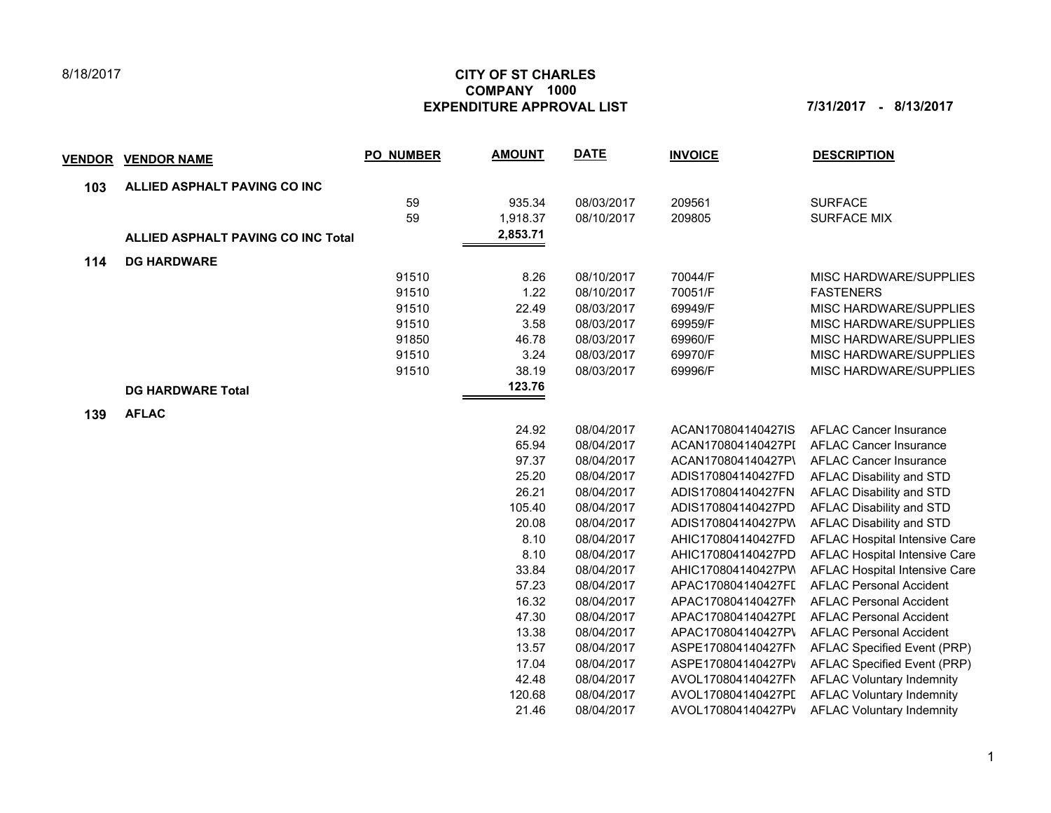## 8/18/2017

## **CITY OF ST CHARLES EXPENDITURE APPROVAL LIST 7/31/2017 - 8/13/2017 COMPANY 1000**

| <u>VENDOR</u> | <b>VENDOR NAME</b>                        | <b>PO NUMBER</b> | <b>AMOUNT</b> | <b>DATE</b> | <b>INVOICE</b>     | <b>DESCRIPTION</b>               |
|---------------|-------------------------------------------|------------------|---------------|-------------|--------------------|----------------------------------|
| 103           | ALLIED ASPHALT PAVING CO INC              |                  |               |             |                    |                                  |
|               |                                           | 59               | 935.34        | 08/03/2017  | 209561             | <b>SURFACE</b>                   |
|               |                                           | 59               | 1,918.37      | 08/10/2017  | 209805             | <b>SURFACE MIX</b>               |
|               | <b>ALLIED ASPHALT PAVING CO INC Total</b> |                  | 2,853.71      |             |                    |                                  |
| 114           | <b>DG HARDWARE</b>                        |                  |               |             |                    |                                  |
|               |                                           | 91510            | 8.26          | 08/10/2017  | 70044/F            | MISC HARDWARE/SUPPLIES           |
|               |                                           | 91510            | 1.22          | 08/10/2017  | 70051/F            | <b>FASTENERS</b>                 |
|               |                                           | 91510            | 22.49         | 08/03/2017  | 69949/F            | MISC HARDWARE/SUPPLIES           |
|               |                                           | 91510            | 3.58          | 08/03/2017  | 69959/F            | MISC HARDWARE/SUPPLIES           |
|               |                                           | 91850            | 46.78         | 08/03/2017  | 69960/F            | MISC HARDWARE/SUPPLIES           |
|               |                                           | 91510            | 3.24          | 08/03/2017  | 69970/F            | MISC HARDWARE/SUPPLIES           |
|               |                                           | 91510            | 38.19         | 08/03/2017  | 69996/F            | MISC HARDWARE/SUPPLIES           |
|               | <b>DG HARDWARE Total</b>                  |                  | 123.76        |             |                    |                                  |
| 139           | <b>AFLAC</b>                              |                  |               |             |                    |                                  |
|               |                                           |                  | 24.92         | 08/04/2017  | ACAN170804140427IS | <b>AFLAC Cancer Insurance</b>    |
|               |                                           |                  | 65.94         | 08/04/2017  | ACAN170804140427PI | <b>AFLAC Cancer Insurance</b>    |
|               |                                           |                  | 97.37         | 08/04/2017  | ACAN170804140427P\ | <b>AFLAC Cancer Insurance</b>    |
|               |                                           |                  | 25.20         | 08/04/2017  | ADIS170804140427FD | AFLAC Disability and STD         |
|               |                                           |                  | 26.21         | 08/04/2017  | ADIS170804140427FN | AFLAC Disability and STD         |
|               |                                           |                  | 105.40        | 08/04/2017  | ADIS170804140427PD | AFLAC Disability and STD         |
|               |                                           |                  | 20.08         | 08/04/2017  | ADIS170804140427PW | AFLAC Disability and STD         |
|               |                                           |                  | 8.10          | 08/04/2017  | AHIC170804140427FD | AFLAC Hospital Intensive Care    |
|               |                                           |                  | 8.10          | 08/04/2017  | AHIC170804140427PD | AFLAC Hospital Intensive Care    |
|               |                                           |                  | 33.84         | 08/04/2017  | AHIC170804140427PV | AFLAC Hospital Intensive Care    |
|               |                                           |                  | 57.23         | 08/04/2017  | APAC170804140427FL | <b>AFLAC Personal Accident</b>   |
|               |                                           |                  | 16.32         | 08/04/2017  | APAC170804140427FN | <b>AFLAC Personal Accident</b>   |
|               |                                           |                  | 47.30         | 08/04/2017  | APAC170804140427PI | <b>AFLAC Personal Accident</b>   |
|               |                                           |                  | 13.38         | 08/04/2017  | APAC170804140427P\ | <b>AFLAC Personal Accident</b>   |
|               |                                           |                  | 13.57         | 08/04/2017  | ASPE170804140427FN | AFLAC Specified Event (PRP)      |
|               |                                           |                  | 17.04         | 08/04/2017  | ASPE170804140427PV | AFLAC Specified Event (PRP)      |
|               |                                           |                  | 42.48         | 08/04/2017  | AVOL170804140427FN | <b>AFLAC Voluntary Indemnity</b> |
|               |                                           |                  | 120.68        | 08/04/2017  | AVOL170804140427PI | <b>AFLAC Voluntary Indemnity</b> |
|               |                                           |                  | 21.46         | 08/04/2017  | AVOL170804140427PV | <b>AFLAC Voluntary Indemnity</b> |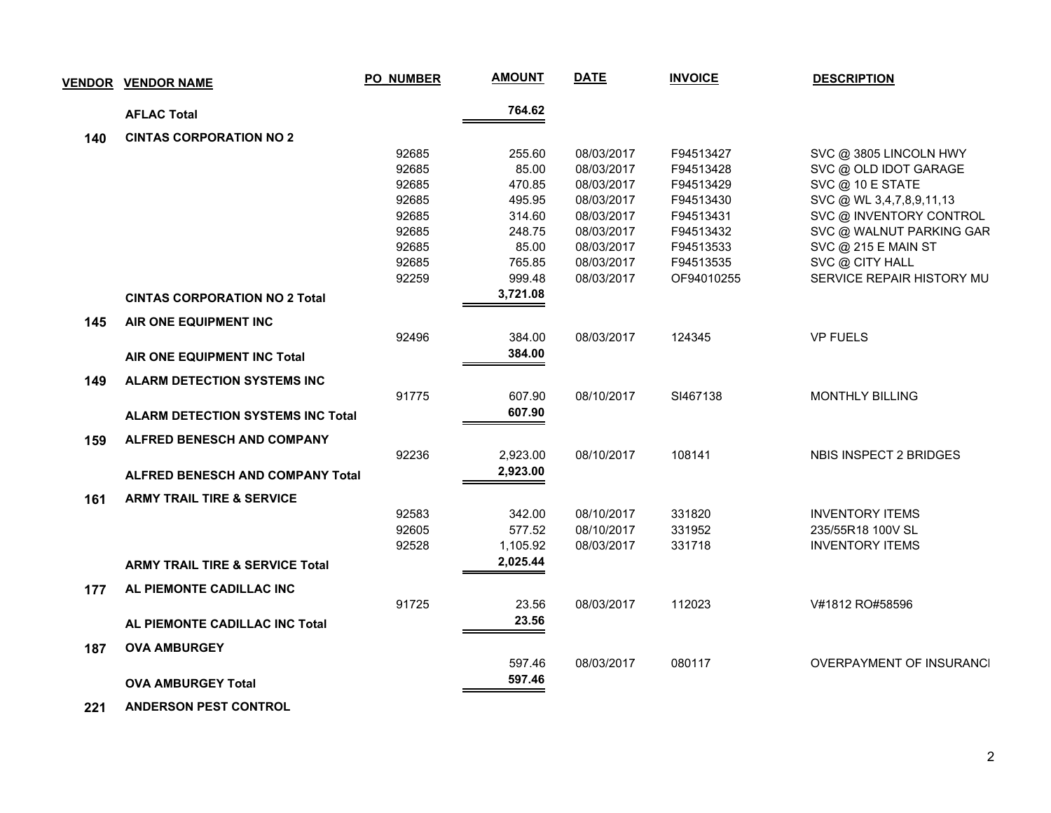| <b>VENDOR</b> | <b>VENDOR NAME</b>                         | <b>PO_NUMBER</b> | <b>AMOUNT</b> | <b>DATE</b> | <b>INVOICE</b> | <b>DESCRIPTION</b>              |
|---------------|--------------------------------------------|------------------|---------------|-------------|----------------|---------------------------------|
|               | <b>AFLAC Total</b>                         |                  | 764.62        |             |                |                                 |
| 140           | <b>CINTAS CORPORATION NO 2</b>             |                  |               |             |                |                                 |
|               |                                            | 92685            | 255.60        | 08/03/2017  | F94513427      | SVC @ 3805 LINCOLN HWY          |
|               |                                            | 92685            | 85.00         | 08/03/2017  | F94513428      | SVC @ OLD IDOT GARAGE           |
|               |                                            | 92685            | 470.85        | 08/03/2017  | F94513429      | SVC @ 10 E STATE                |
|               |                                            | 92685            | 495.95        | 08/03/2017  | F94513430      | SVC @ WL 3,4,7,8,9,11,13        |
|               |                                            | 92685            | 314.60        | 08/03/2017  | F94513431      | SVC @ INVENTORY CONTROL         |
|               |                                            | 92685            | 248.75        | 08/03/2017  | F94513432      | SVC @ WALNUT PARKING GAR        |
|               |                                            | 92685            | 85.00         | 08/03/2017  | F94513533      | SVC @ 215 E MAIN ST             |
|               |                                            | 92685            | 765.85        | 08/03/2017  | F94513535      | SVC @ CITY HALL                 |
|               |                                            | 92259            | 999.48        | 08/03/2017  | OF94010255     | SERVICE REPAIR HISTORY MU       |
|               | <b>CINTAS CORPORATION NO 2 Total</b>       |                  | 3,721.08      |             |                |                                 |
| 145           | AIR ONE EQUIPMENT INC                      |                  |               |             |                |                                 |
|               |                                            | 92496            | 384.00        | 08/03/2017  | 124345         | <b>VP FUELS</b>                 |
|               | AIR ONE EQUIPMENT INC Total                |                  | 384.00        |             |                |                                 |
| 149           | <b>ALARM DETECTION SYSTEMS INC</b>         |                  |               |             |                |                                 |
|               |                                            | 91775            | 607.90        | 08/10/2017  | SI467138       | <b>MONTHLY BILLING</b>          |
|               | <b>ALARM DETECTION SYSTEMS INC Total</b>   |                  | 607.90        |             |                |                                 |
| 159           | <b>ALFRED BENESCH AND COMPANY</b>          |                  |               |             |                |                                 |
|               |                                            | 92236            | 2,923.00      | 08/10/2017  | 108141         | NBIS INSPECT 2 BRIDGES          |
|               | <b>ALFRED BENESCH AND COMPANY Total</b>    |                  | 2,923.00      |             |                |                                 |
| 161           | <b>ARMY TRAIL TIRE &amp; SERVICE</b>       |                  |               |             |                |                                 |
|               |                                            | 92583            | 342.00        | 08/10/2017  | 331820         | <b>INVENTORY ITEMS</b>          |
|               |                                            | 92605            | 577.52        | 08/10/2017  | 331952         | 235/55R18 100V SL               |
|               |                                            | 92528            | 1,105.92      | 08/03/2017  | 331718         | <b>INVENTORY ITEMS</b>          |
|               | <b>ARMY TRAIL TIRE &amp; SERVICE Total</b> |                  | 2,025.44      |             |                |                                 |
| 177           | AL PIEMONTE CADILLAC INC                   |                  |               |             |                |                                 |
|               |                                            | 91725            | 23.56         | 08/03/2017  | 112023         | V#1812 RO#58596                 |
|               | AL PIEMONTE CADILLAC INC Total             |                  | 23.56         |             |                |                                 |
| 187           | <b>OVA AMBURGEY</b>                        |                  |               |             |                |                                 |
|               |                                            |                  | 597.46        | 08/03/2017  | 080117         | <b>OVERPAYMENT OF INSURANCI</b> |
|               | <b>OVA AMBURGEY Total</b>                  |                  | 597.46        |             |                |                                 |
|               |                                            |                  |               |             |                |                                 |

 **221 ANDERSON PEST CONTROL**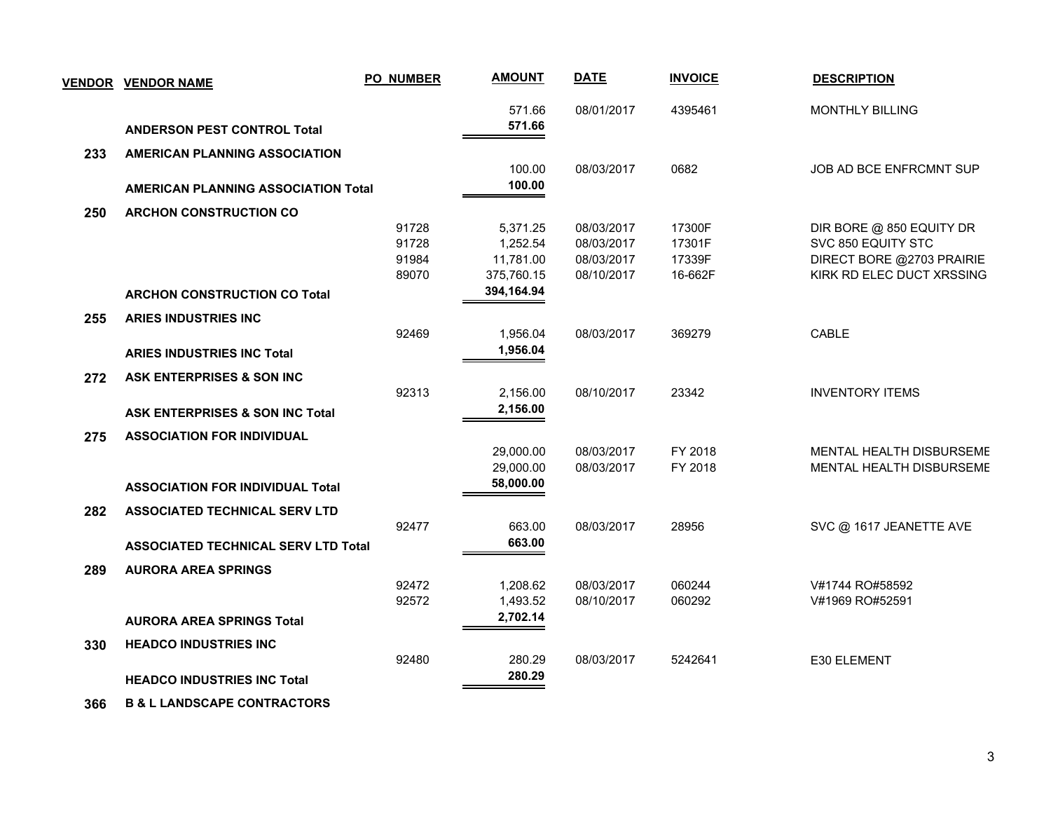|     | <b>VENDOR VENDOR NAME</b>                  | <b>PO_NUMBER</b> | <b>AMOUNT</b> | <b>DATE</b> | <b>INVOICE</b> | <b>DESCRIPTION</b>              |
|-----|--------------------------------------------|------------------|---------------|-------------|----------------|---------------------------------|
|     |                                            |                  | 571.66        | 08/01/2017  | 4395461        | <b>MONTHLY BILLING</b>          |
|     | <b>ANDERSON PEST CONTROL Total</b>         |                  | 571.66        |             |                |                                 |
| 233 | <b>AMERICAN PLANNING ASSOCIATION</b>       |                  |               |             |                |                                 |
|     |                                            |                  | 100.00        | 08/03/2017  | 0682           | JOB AD BCE ENFRCMNT SUP         |
|     | <b>AMERICAN PLANNING ASSOCIATION Total</b> |                  | 100.00        |             |                |                                 |
| 250 | <b>ARCHON CONSTRUCTION CO</b>              |                  |               |             |                |                                 |
|     |                                            | 91728            | 5,371.25      | 08/03/2017  | 17300F         | DIR BORE @ 850 EQUITY DR        |
|     |                                            | 91728            | 1,252.54      | 08/03/2017  | 17301F         | SVC 850 EQUITY STC              |
|     |                                            | 91984            | 11,781.00     | 08/03/2017  | 17339F         | DIRECT BORE @2703 PRAIRIE       |
|     |                                            | 89070            | 375,760.15    | 08/10/2017  | 16-662F        | KIRK RD ELEC DUCT XRSSING       |
|     | <b>ARCHON CONSTRUCTION CO Total</b>        |                  | 394,164.94    |             |                |                                 |
| 255 | <b>ARIES INDUSTRIES INC</b>                |                  |               |             |                |                                 |
|     |                                            | 92469            | 1,956.04      | 08/03/2017  | 369279         | CABLE                           |
|     | <b>ARIES INDUSTRIES INC Total</b>          |                  | 1,956.04      |             |                |                                 |
| 272 | ASK ENTERPRISES & SON INC                  |                  |               |             |                |                                 |
|     |                                            | 92313            | 2,156.00      | 08/10/2017  | 23342          | <b>INVENTORY ITEMS</b>          |
|     | <b>ASK ENTERPRISES &amp; SON INC Total</b> |                  | 2,156.00      |             |                |                                 |
| 275 | <b>ASSOCIATION FOR INDIVIDUAL</b>          |                  |               |             |                |                                 |
|     |                                            |                  | 29,000.00     | 08/03/2017  | FY 2018        | MENTAL HEALTH DISBURSEME        |
|     |                                            |                  | 29,000.00     | 08/03/2017  | FY 2018        | <b>MENTAL HEALTH DISBURSEME</b> |
|     | <b>ASSOCIATION FOR INDIVIDUAL Total</b>    |                  | 58,000.00     |             |                |                                 |
| 282 | <b>ASSOCIATED TECHNICAL SERV LTD</b>       |                  |               |             |                |                                 |
|     |                                            | 92477            | 663.00        | 08/03/2017  | 28956          | SVC @ 1617 JEANETTE AVE         |
|     | <b>ASSOCIATED TECHNICAL SERV LTD Total</b> |                  | 663.00        |             |                |                                 |
| 289 | <b>AURORA AREA SPRINGS</b>                 |                  |               |             |                |                                 |
|     |                                            | 92472            | 1,208.62      | 08/03/2017  | 060244         | V#1744 RO#58592                 |
|     |                                            | 92572            | 1,493.52      | 08/10/2017  | 060292         | V#1969 RO#52591                 |
|     | <b>AURORA AREA SPRINGS Total</b>           |                  | 2,702.14      |             |                |                                 |
| 330 | <b>HEADCO INDUSTRIES INC</b>               |                  |               |             |                |                                 |
|     |                                            | 92480            | 280.29        | 08/03/2017  | 5242641        | E30 ELEMENT                     |
|     | <b>HEADCO INDUSTRIES INC Total</b>         |                  | 280.29        |             |                |                                 |
|     |                                            |                  |               |             |                |                                 |
| 366 | <b>B &amp; L LANDSCAPE CONTRACTORS</b>     |                  |               |             |                |                                 |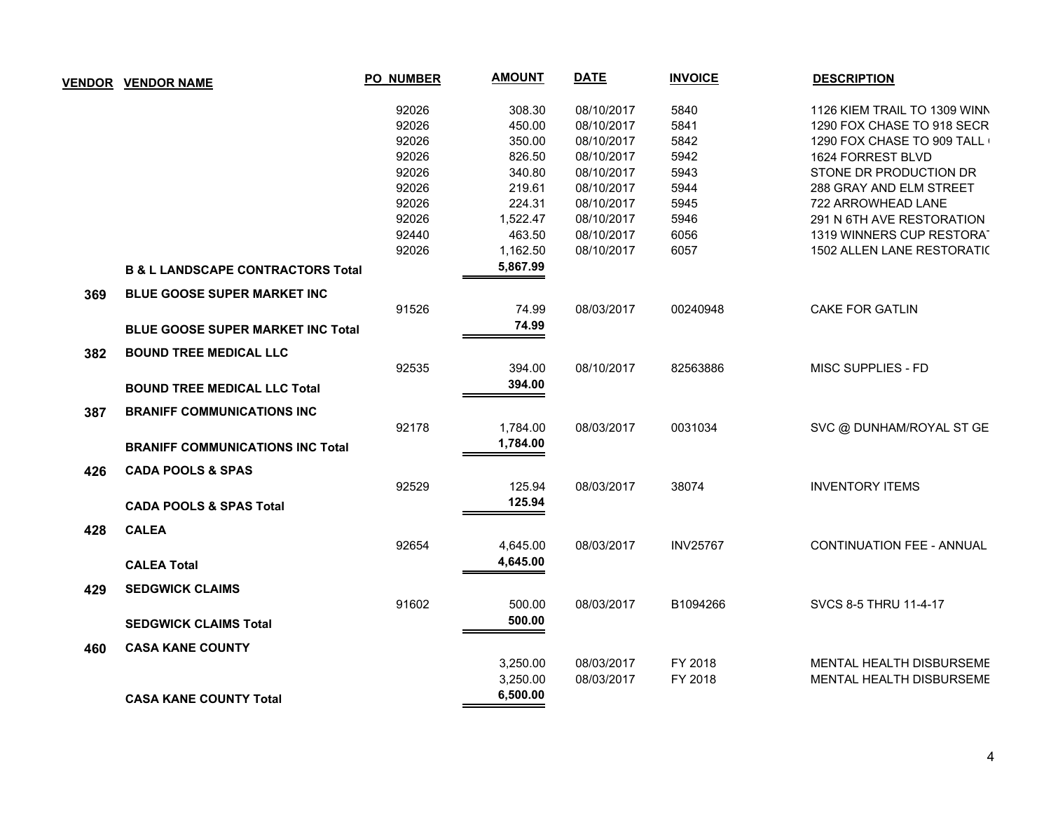| <b>VENDOR</b> | <b>VENDOR NAME</b>                           | <b>PO_NUMBER</b> | <b>AMOUNT</b> | <b>DATE</b> | <b>INVOICE</b>  | <b>DESCRIPTION</b>               |
|---------------|----------------------------------------------|------------------|---------------|-------------|-----------------|----------------------------------|
|               |                                              | 92026            | 308.30        | 08/10/2017  | 5840            | 1126 KIEM TRAIL TO 1309 WINN     |
|               |                                              | 92026            | 450.00        | 08/10/2017  | 5841            | 1290 FOX CHASE TO 918 SECR       |
|               |                                              | 92026            | 350.00        | 08/10/2017  | 5842            | 1290 FOX CHASE TO 909 TALL       |
|               |                                              | 92026            | 826.50        | 08/10/2017  | 5942            | 1624 FORREST BLVD                |
|               |                                              | 92026            | 340.80        | 08/10/2017  | 5943            | STONE DR PRODUCTION DR           |
|               |                                              | 92026            | 219.61        | 08/10/2017  | 5944            | 288 GRAY AND ELM STREET          |
|               |                                              | 92026            | 224.31        | 08/10/2017  | 5945            | 722 ARROWHEAD LANE               |
|               |                                              | 92026            | 1,522.47      | 08/10/2017  | 5946            | 291 N 6TH AVE RESTORATION        |
|               |                                              | 92440            | 463.50        | 08/10/2017  | 6056            | 1319 WINNERS CUP RESTORAT        |
|               |                                              | 92026            | 1,162.50      | 08/10/2017  | 6057            | 1502 ALLEN LANE RESTORATIC       |
|               | <b>B &amp; L LANDSCAPE CONTRACTORS Total</b> |                  | 5,867.99      |             |                 |                                  |
| 369           | BLUE GOOSE SUPER MARKET INC                  |                  |               |             |                 |                                  |
|               |                                              | 91526            | 74.99         | 08/03/2017  | 00240948        | <b>CAKE FOR GATLIN</b>           |
|               | <b>BLUE GOOSE SUPER MARKET INC Total</b>     |                  | 74.99         |             |                 |                                  |
| 382           | <b>BOUND TREE MEDICAL LLC</b>                |                  |               |             |                 |                                  |
|               |                                              | 92535            | 394.00        | 08/10/2017  | 82563886        | MISC SUPPLIES - FD               |
|               | <b>BOUND TREE MEDICAL LLC Total</b>          |                  | 394.00        |             |                 |                                  |
| 387           | <b>BRANIFF COMMUNICATIONS INC</b>            |                  |               |             |                 |                                  |
|               |                                              | 92178            | 1,784.00      | 08/03/2017  | 0031034         | SVC @ DUNHAM/ROYAL ST GE         |
|               | <b>BRANIFF COMMUNICATIONS INC Total</b>      |                  | 1,784.00      |             |                 |                                  |
| 426           | <b>CADA POOLS &amp; SPAS</b>                 |                  |               |             |                 |                                  |
|               |                                              | 92529            | 125.94        | 08/03/2017  | 38074           | <b>INVENTORY ITEMS</b>           |
|               | <b>CADA POOLS &amp; SPAS Total</b>           |                  | 125.94        |             |                 |                                  |
| 428           | <b>CALEA</b>                                 |                  |               |             |                 |                                  |
|               |                                              | 92654            | 4,645.00      | 08/03/2017  | <b>INV25767</b> | <b>CONTINUATION FEE - ANNUAL</b> |
|               | <b>CALEA Total</b>                           |                  | 4,645.00      |             |                 |                                  |
| 429           | <b>SEDGWICK CLAIMS</b>                       |                  |               |             |                 |                                  |
|               |                                              | 91602            | 500.00        | 08/03/2017  | B1094266        | SVCS 8-5 THRU 11-4-17            |
|               | <b>SEDGWICK CLAIMS Total</b>                 |                  | 500.00        |             |                 |                                  |
| 460           | <b>CASA KANE COUNTY</b>                      |                  |               |             |                 |                                  |
|               |                                              |                  | 3,250.00      | 08/03/2017  | FY 2018         | MENTAL HEALTH DISBURSEME         |
|               |                                              |                  | 3,250.00      | 08/03/2017  | FY 2018         | MENTAL HEALTH DISBURSEME         |
|               | <b>CASA KANE COUNTY Total</b>                |                  | 6,500.00      |             |                 |                                  |
|               |                                              |                  |               |             |                 |                                  |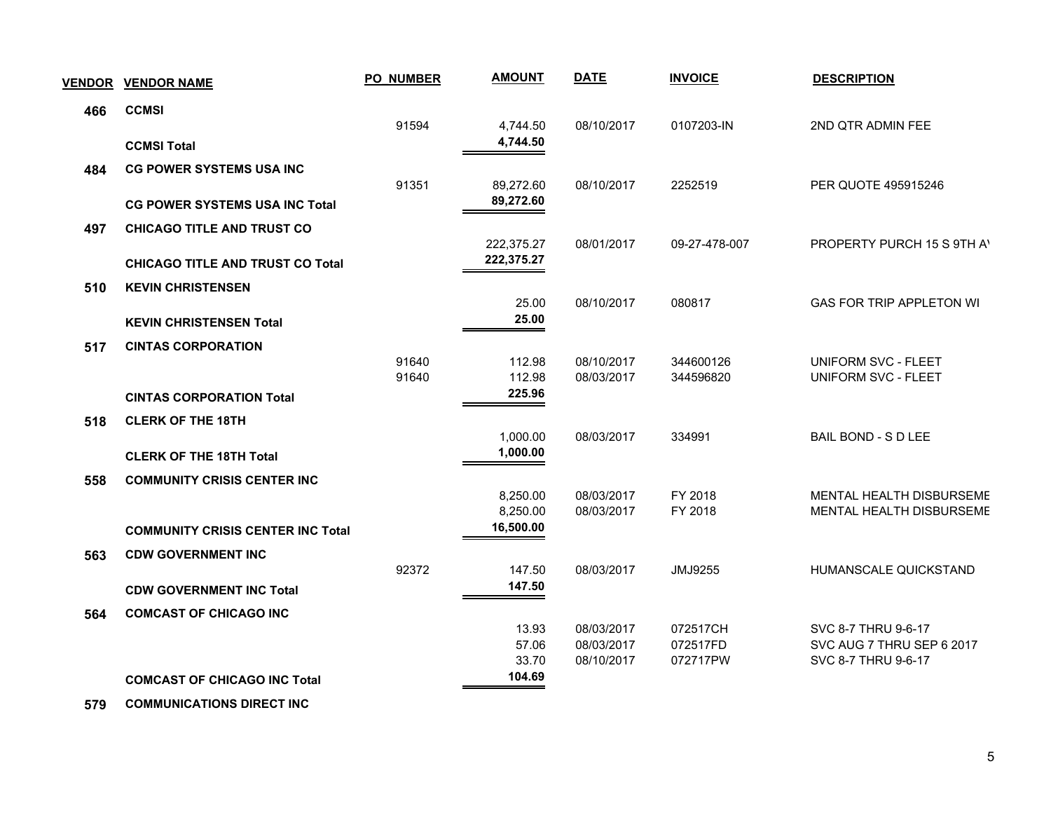| <b>VENDOR</b> | <b>VENDOR NAME</b>                       | <b>PO_NUMBER</b> | <b>AMOUNT</b>            | <b>DATE</b>              | <b>INVOICE</b>     | <b>DESCRIPTION</b>                                   |  |
|---------------|------------------------------------------|------------------|--------------------------|--------------------------|--------------------|------------------------------------------------------|--|
| 466           | <b>CCMSI</b>                             |                  |                          |                          |                    |                                                      |  |
|               |                                          | 91594            | 4,744.50                 | 08/10/2017               | 0107203-IN         | 2ND QTR ADMIN FEE                                    |  |
|               | <b>CCMSI Total</b>                       |                  | 4,744.50                 |                          |                    |                                                      |  |
| 484           | <b>CG POWER SYSTEMS USA INC</b>          |                  |                          |                          |                    |                                                      |  |
|               |                                          | 91351            | 89,272.60<br>89,272.60   | 08/10/2017               | 2252519            | PER QUOTE 495915246                                  |  |
|               | <b>CG POWER SYSTEMS USA INC Total</b>    |                  |                          |                          |                    |                                                      |  |
| 497           | <b>CHICAGO TITLE AND TRUST CO</b>        |                  |                          |                          |                    |                                                      |  |
|               |                                          |                  | 222,375.27<br>222,375.27 | 08/01/2017               | 09-27-478-007      | PROPERTY PURCH 15 S 9TH A                            |  |
|               | <b>CHICAGO TITLE AND TRUST CO Total</b>  |                  |                          |                          |                    |                                                      |  |
| 510           | <b>KEVIN CHRISTENSEN</b>                 |                  | 25.00                    | 08/10/2017               | 080817             | <b>GAS FOR TRIP APPLETON WI</b>                      |  |
|               | <b>KEVIN CHRISTENSEN Total</b>           |                  | 25.00                    |                          |                    |                                                      |  |
|               |                                          |                  |                          |                          |                    |                                                      |  |
| 517           | <b>CINTAS CORPORATION</b>                | 91640            | 112.98                   | 08/10/2017               | 344600126          | <b>UNIFORM SVC - FLEET</b>                           |  |
|               |                                          | 91640            | 112.98                   | 08/03/2017               | 344596820          | <b>UNIFORM SVC - FLEET</b>                           |  |
|               | <b>CINTAS CORPORATION Total</b>          |                  | 225.96                   |                          |                    |                                                      |  |
| 518           | <b>CLERK OF THE 18TH</b>                 |                  |                          |                          |                    |                                                      |  |
|               |                                          |                  | 1,000.00                 | 08/03/2017               | 334991             | <b>BAIL BOND - S D LEE</b>                           |  |
|               | <b>CLERK OF THE 18TH Total</b>           |                  | 1,000.00                 |                          |                    |                                                      |  |
| 558           | <b>COMMUNITY CRISIS CENTER INC</b>       |                  |                          |                          |                    |                                                      |  |
|               |                                          |                  | 8,250.00<br>8,250.00     | 08/03/2017<br>08/03/2017 | FY 2018<br>FY 2018 | MENTAL HEALTH DISBURSEME<br>MENTAL HEALTH DISBURSEME |  |
|               | <b>COMMUNITY CRISIS CENTER INC Total</b> |                  | 16,500.00                |                          |                    |                                                      |  |
|               |                                          |                  |                          |                          |                    |                                                      |  |
| 563           | <b>CDW GOVERNMENT INC</b>                | 92372            | 147.50                   | 08/03/2017               | JMJ9255            | HUMANSCALE QUICKSTAND                                |  |
|               | <b>CDW GOVERNMENT INC Total</b>          |                  | 147.50                   |                          |                    |                                                      |  |
| 564           | <b>COMCAST OF CHICAGO INC</b>            |                  |                          |                          |                    |                                                      |  |
|               |                                          |                  | 13.93                    | 08/03/2017               | 072517CH           | SVC 8-7 THRU 9-6-17                                  |  |
|               |                                          |                  | 57.06                    | 08/03/2017               | 072517FD           | SVC AUG 7 THRU SEP 6 2017                            |  |
|               |                                          |                  | 33.70<br>104.69          | 08/10/2017               | 072717PW           | SVC 8-7 THRU 9-6-17                                  |  |
|               | <b>COMCAST OF CHICAGO INC Total</b>      |                  |                          |                          |                    |                                                      |  |
|               |                                          |                  |                          |                          |                    |                                                      |  |

 **579 COMMUNICATIONS DIRECT INC**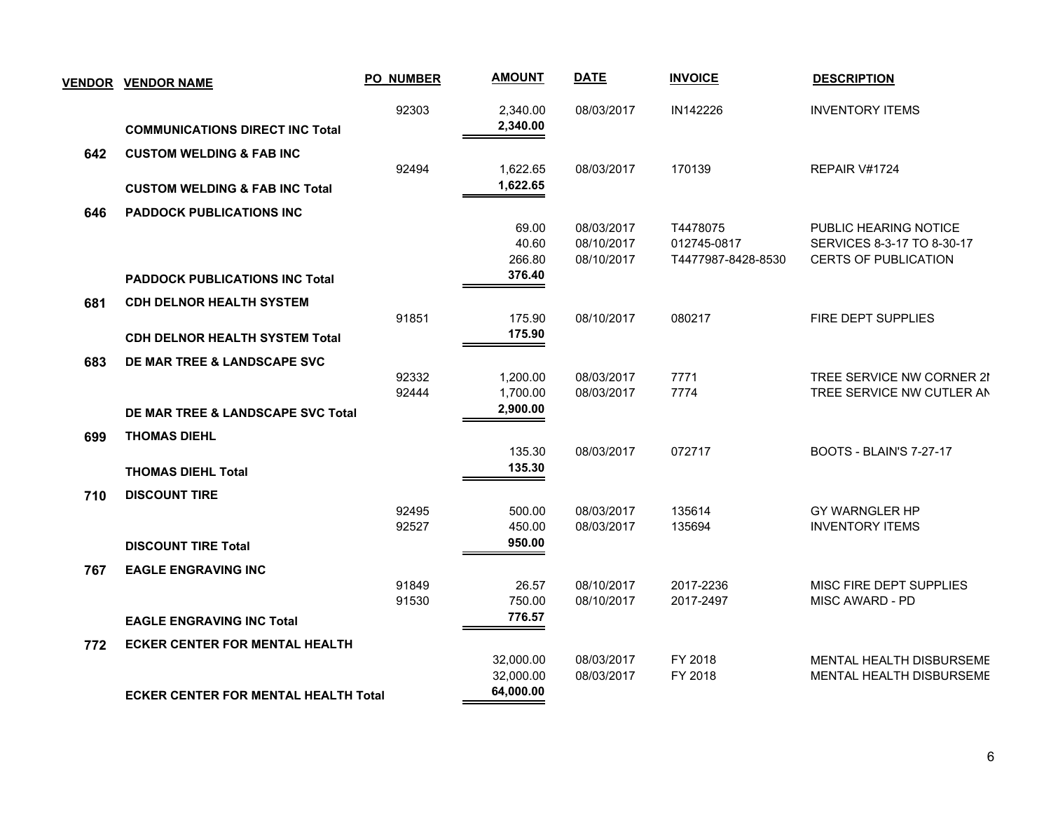|     | <b>VENDOR VENDOR NAME</b>                   | <b>PO_NUMBER</b> | <b>AMOUNT</b>                       | <b>DATE</b>                            | <b>INVOICE</b>                                | <b>DESCRIPTION</b>                                                                 |
|-----|---------------------------------------------|------------------|-------------------------------------|----------------------------------------|-----------------------------------------------|------------------------------------------------------------------------------------|
|     | <b>COMMUNICATIONS DIRECT INC Total</b>      | 92303            | 2,340.00<br>2,340.00                | 08/03/2017                             | IN142226                                      | <b>INVENTORY ITEMS</b>                                                             |
| 642 | <b>CUSTOM WELDING &amp; FAB INC</b>         | 92494            | 1,622.65                            | 08/03/2017                             | 170139                                        | REPAIR V#1724                                                                      |
|     | <b>CUSTOM WELDING &amp; FAB INC Total</b>   |                  | 1,622.65                            |                                        |                                               |                                                                                    |
| 646 | <b>PADDOCK PUBLICATIONS INC</b>             |                  |                                     |                                        |                                               |                                                                                    |
|     |                                             |                  | 69.00<br>40.60<br>266.80            | 08/03/2017<br>08/10/2017<br>08/10/2017 | T4478075<br>012745-0817<br>T4477987-8428-8530 | PUBLIC HEARING NOTICE<br>SERVICES 8-3-17 TO 8-30-17<br><b>CERTS OF PUBLICATION</b> |
|     | <b>PADDOCK PUBLICATIONS INC Total</b>       |                  | 376.40                              |                                        |                                               |                                                                                    |
| 681 | <b>CDH DELNOR HEALTH SYSTEM</b>             |                  |                                     |                                        |                                               |                                                                                    |
|     |                                             | 91851            | 175.90                              | 08/10/2017                             | 080217                                        | FIRE DEPT SUPPLIES                                                                 |
|     | <b>CDH DELNOR HEALTH SYSTEM Total</b>       |                  | 175.90                              |                                        |                                               |                                                                                    |
| 683 | DE MAR TREE & LANDSCAPE SVC                 |                  |                                     |                                        |                                               |                                                                                    |
|     |                                             | 92332            | 1,200.00                            | 08/03/2017                             | 7771                                          | TREE SERVICE NW CORNER 2I                                                          |
|     |                                             | 92444            | 1,700.00                            | 08/03/2017                             | 7774                                          | TREE SERVICE NW CUTLER AN                                                          |
|     | DE MAR TREE & LANDSCAPE SVC Total           |                  | 2,900.00                            |                                        |                                               |                                                                                    |
| 699 | <b>THOMAS DIEHL</b>                         |                  |                                     |                                        |                                               |                                                                                    |
|     |                                             |                  | 135.30                              | 08/03/2017                             | 072717                                        | <b>BOOTS - BLAIN'S 7-27-17</b>                                                     |
|     | <b>THOMAS DIEHL Total</b>                   |                  | 135.30                              |                                        |                                               |                                                                                    |
| 710 | <b>DISCOUNT TIRE</b>                        |                  |                                     |                                        |                                               |                                                                                    |
|     |                                             | 92495<br>92527   | 500.00<br>450.00                    | 08/03/2017<br>08/03/2017               | 135614<br>135694                              | GY WARNGLER HP<br><b>INVENTORY ITEMS</b>                                           |
|     | <b>DISCOUNT TIRE Total</b>                  |                  | 950.00                              |                                        |                                               |                                                                                    |
|     |                                             |                  |                                     |                                        |                                               |                                                                                    |
| 767 | <b>EAGLE ENGRAVING INC</b>                  | 91849            | 26.57                               | 08/10/2017                             | 2017-2236                                     | MISC FIRE DEPT SUPPLIES                                                            |
|     |                                             | 91530            | 750.00                              | 08/10/2017                             | 2017-2497                                     | <b>MISC AWARD - PD</b>                                                             |
|     | <b>EAGLE ENGRAVING INC Total</b>            |                  | 776.57                              |                                        |                                               |                                                                                    |
| 772 | <b>ECKER CENTER FOR MENTAL HEALTH</b>       |                  |                                     |                                        |                                               |                                                                                    |
|     |                                             |                  | 32,000.00<br>32,000.00<br>64,000.00 | 08/03/2017<br>08/03/2017               | FY 2018<br>FY 2018                            | MENTAL HEALTH DISBURSEME<br>MENTAL HEALTH DISBURSEME                               |
|     | <b>ECKER CENTER FOR MENTAL HEALTH Total</b> |                  |                                     |                                        |                                               |                                                                                    |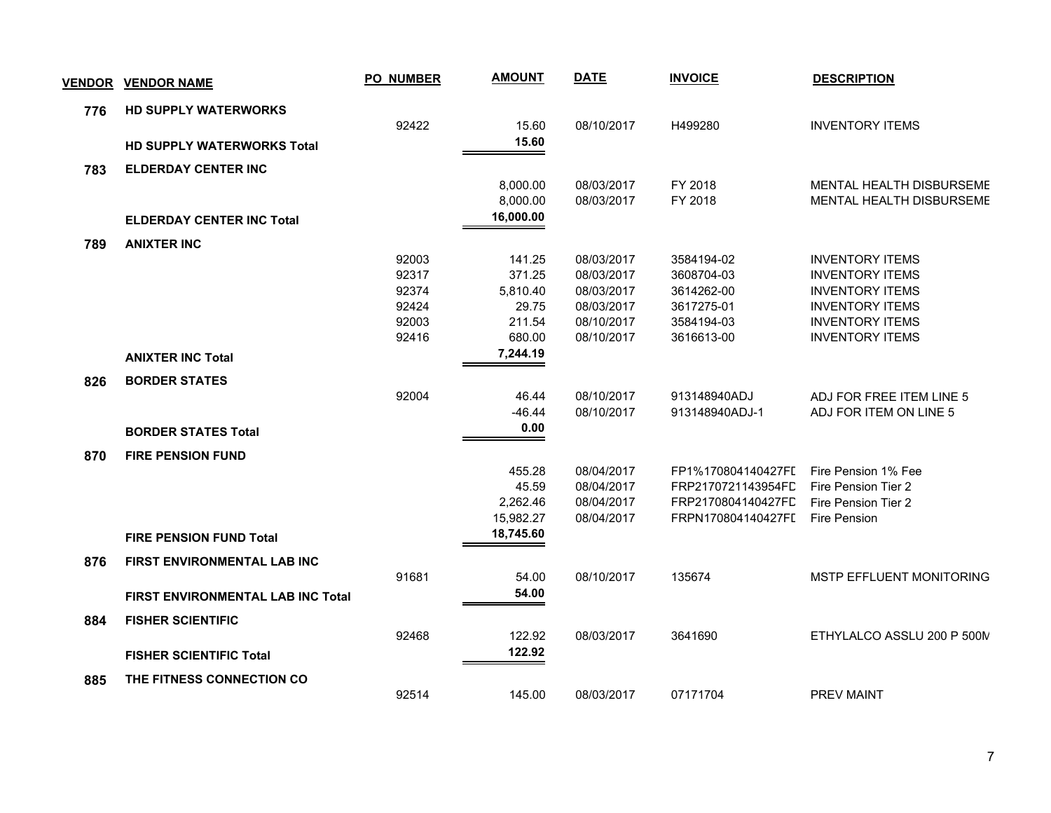| <b>VENDOR</b> | <b>VENDOR NAME</b>                       | <b>PO_NUMBER</b> | <b>AMOUNT</b> | <b>DATE</b> | <b>INVOICE</b>     | <b>DESCRIPTION</b>              |
|---------------|------------------------------------------|------------------|---------------|-------------|--------------------|---------------------------------|
| 776           | <b>HD SUPPLY WATERWORKS</b>              |                  |               |             |                    |                                 |
|               |                                          | 92422            | 15.60         | 08/10/2017  | H499280            | <b>INVENTORY ITEMS</b>          |
|               | <b>HD SUPPLY WATERWORKS Total</b>        |                  | 15.60         |             |                    |                                 |
| 783           | <b>ELDERDAY CENTER INC</b>               |                  |               |             |                    |                                 |
|               |                                          |                  | 8,000.00      | 08/03/2017  | FY 2018            | MENTAL HEALTH DISBURSEME        |
|               |                                          |                  | 8,000.00      | 08/03/2017  | FY 2018            | <b>MENTAL HEALTH DISBURSEME</b> |
|               | <b>ELDERDAY CENTER INC Total</b>         |                  | 16,000.00     |             |                    |                                 |
| 789           | <b>ANIXTER INC</b>                       |                  |               |             |                    |                                 |
|               |                                          | 92003            | 141.25        | 08/03/2017  | 3584194-02         | <b>INVENTORY ITEMS</b>          |
|               |                                          | 92317            | 371.25        | 08/03/2017  | 3608704-03         | <b>INVENTORY ITEMS</b>          |
|               |                                          | 92374            | 5,810.40      | 08/03/2017  | 3614262-00         | <b>INVENTORY ITEMS</b>          |
|               |                                          | 92424            | 29.75         | 08/03/2017  | 3617275-01         | <b>INVENTORY ITEMS</b>          |
|               |                                          | 92003            | 211.54        | 08/10/2017  | 3584194-03         | <b>INVENTORY ITEMS</b>          |
|               |                                          | 92416            | 680.00        | 08/10/2017  | 3616613-00         | <b>INVENTORY ITEMS</b>          |
|               | <b>ANIXTER INC Total</b>                 |                  | 7,244.19      |             |                    |                                 |
| 826           | <b>BORDER STATES</b>                     |                  |               |             |                    |                                 |
|               |                                          | 92004            | 46.44         | 08/10/2017  | 913148940ADJ       | ADJ FOR FREE ITEM LINE 5        |
|               |                                          |                  | $-46.44$      | 08/10/2017  | 913148940ADJ-1     | ADJ FOR ITEM ON LINE 5          |
|               | <b>BORDER STATES Total</b>               |                  | 0.00          |             |                    |                                 |
| 870           | <b>FIRE PENSION FUND</b>                 |                  |               |             |                    |                                 |
|               |                                          |                  | 455.28        | 08/04/2017  | FP1%170804140427FI | Fire Pension 1% Fee             |
|               |                                          |                  | 45.59         | 08/04/2017  | FRP2170721143954FL | Fire Pension Tier 2             |
|               |                                          |                  | 2,262.46      | 08/04/2017  | FRP2170804140427FC | Fire Pension Tier 2             |
|               |                                          |                  | 15,982.27     | 08/04/2017  | FRPN170804140427FI | Fire Pension                    |
|               | <b>FIRE PENSION FUND Total</b>           |                  | 18,745.60     |             |                    |                                 |
| 876           | <b>FIRST ENVIRONMENTAL LAB INC</b>       |                  |               |             |                    |                                 |
|               |                                          | 91681            | 54.00         | 08/10/2017  | 135674             | <b>MSTP EFFLUENT MONITORING</b> |
|               | <b>FIRST ENVIRONMENTAL LAB INC Total</b> |                  | 54.00         |             |                    |                                 |
| 884           | <b>FISHER SCIENTIFIC</b>                 |                  |               |             |                    |                                 |
|               |                                          | 92468            | 122.92        | 08/03/2017  | 3641690            | ETHYLALCO ASSLU 200 P 500N      |
|               | <b>FISHER SCIENTIFIC Total</b>           |                  | 122.92        |             |                    |                                 |
| 885           | <b>THE FITNESS CONNECTION CO</b>         |                  |               |             |                    |                                 |
|               |                                          | 92514            | 145.00        | 08/03/2017  | 07171704           | <b>PREV MAINT</b>               |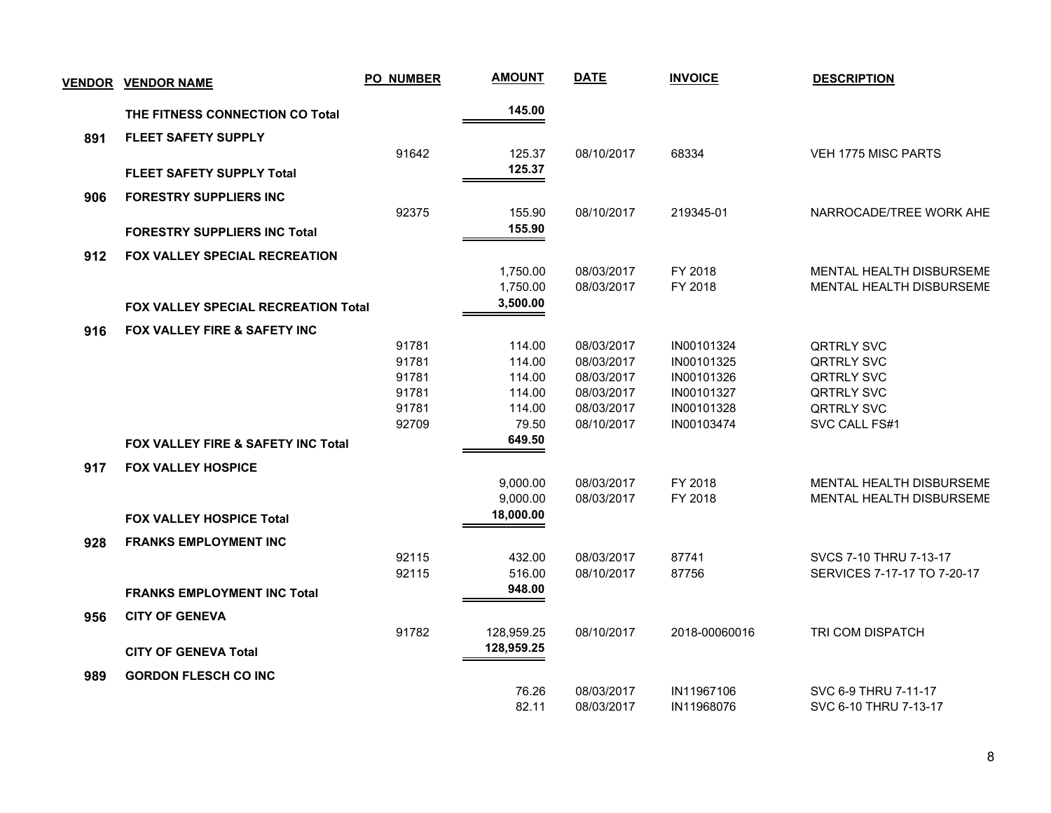| <b>VENDOR</b> | <b>VENDOR NAME</b>                            | <b>PO_NUMBER</b> | <b>AMOUNT</b>         | <b>DATE</b>              | <b>INVOICE</b>           | <b>DESCRIPTION</b>              |
|---------------|-----------------------------------------------|------------------|-----------------------|--------------------------|--------------------------|---------------------------------|
|               | THE FITNESS CONNECTION CO Total               |                  | 145.00                |                          |                          |                                 |
| 891           | <b>FLEET SAFETY SUPPLY</b>                    |                  |                       |                          |                          |                                 |
|               |                                               | 91642            | 125.37                | 08/10/2017               | 68334                    | <b>VEH 1775 MISC PARTS</b>      |
|               | <b>FLEET SAFETY SUPPLY Total</b>              |                  | 125.37                |                          |                          |                                 |
| 906           | <b>FORESTRY SUPPLIERS INC</b>                 |                  |                       |                          |                          |                                 |
|               |                                               | 92375            | 155.90                | 08/10/2017               | 219345-01                | NARROCADE/TREE WORK AHE         |
|               | <b>FORESTRY SUPPLIERS INC Total</b>           |                  | 155.90                |                          |                          |                                 |
| 912           | <b>FOX VALLEY SPECIAL RECREATION</b>          |                  |                       |                          |                          |                                 |
|               |                                               |                  | 1,750.00              | 08/03/2017               | FY 2018                  | MENTAL HEALTH DISBURSEME        |
|               |                                               |                  | 1,750.00              | 08/03/2017               | FY 2018                  | <b>MENTAL HEALTH DISBURSEME</b> |
|               | FOX VALLEY SPECIAL RECREATION Total           |                  | 3,500.00              |                          |                          |                                 |
| 916           | FOX VALLEY FIRE & SAFETY INC                  |                  |                       |                          |                          |                                 |
|               |                                               | 91781            | 114.00                | 08/03/2017               | IN00101324               | QRTRLY SVC                      |
|               |                                               | 91781            | 114.00                | 08/03/2017               | IN00101325               | <b>QRTRLY SVC</b>               |
|               |                                               | 91781            | 114.00                | 08/03/2017               | IN00101326               | <b>QRTRLY SVC</b>               |
|               |                                               | 91781<br>91781   | 114.00                | 08/03/2017               | IN00101327               | QRTRLY SVC<br>QRTRLY SVC        |
|               |                                               | 92709            | 114.00<br>79.50       | 08/03/2017<br>08/10/2017 | IN00101328<br>IN00103474 | SVC CALL FS#1                   |
|               |                                               |                  | 649.50                |                          |                          |                                 |
|               | <b>FOX VALLEY FIRE &amp; SAFETY INC Total</b> |                  |                       |                          |                          |                                 |
| 917           | <b>FOX VALLEY HOSPICE</b>                     |                  |                       |                          |                          |                                 |
|               |                                               |                  | 9,000.00              | 08/03/2017               | FY 2018                  | MENTAL HEALTH DISBURSEME        |
|               |                                               |                  | 9,000.00<br>18,000.00 | 08/03/2017               | FY 2018                  | MENTAL HEALTH DISBURSEME        |
|               | <b>FOX VALLEY HOSPICE Total</b>               |                  |                       |                          |                          |                                 |
| 928           | <b>FRANKS EMPLOYMENT INC</b>                  |                  |                       |                          |                          |                                 |
|               |                                               | 92115            | 432.00                | 08/03/2017               | 87741                    | SVCS 7-10 THRU 7-13-17          |
|               |                                               | 92115            | 516.00<br>948.00      | 08/10/2017               | 87756                    | SERVICES 7-17-17 TO 7-20-17     |
|               | <b>FRANKS EMPLOYMENT INC Total</b>            |                  |                       |                          |                          |                                 |
| 956           | <b>CITY OF GENEVA</b>                         |                  |                       |                          |                          |                                 |
|               |                                               | 91782            | 128,959.25            | 08/10/2017               | 2018-00060016            | TRI COM DISPATCH                |
|               | <b>CITY OF GENEVA Total</b>                   |                  | 128,959.25            |                          |                          |                                 |
| 989           | <b>GORDON FLESCH CO INC</b>                   |                  |                       |                          |                          |                                 |
|               |                                               |                  | 76.26                 | 08/03/2017               | IN11967106               | SVC 6-9 THRU 7-11-17            |
|               |                                               |                  | 82.11                 | 08/03/2017               | IN11968076               | SVC 6-10 THRU 7-13-17           |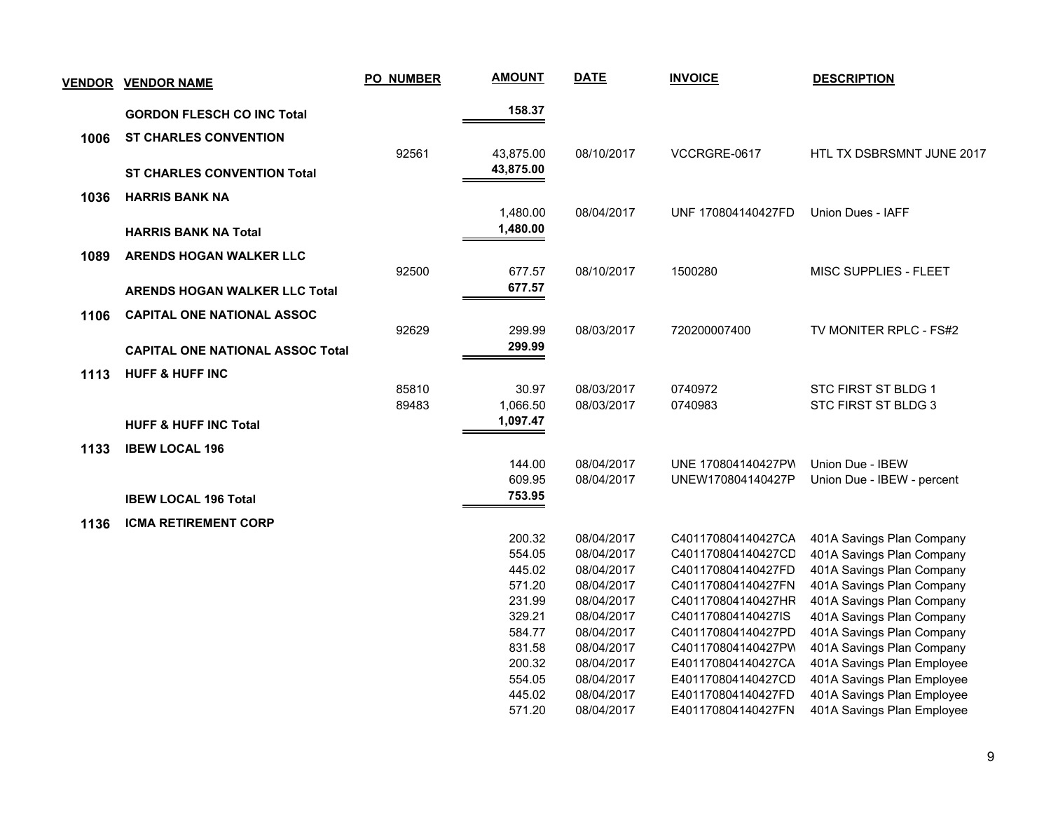|      | <u>VENDOR VENDOR NAME</u>               | <b>PO_NUMBER</b> | <b>AMOUNT</b> | <b>DATE</b> | <b>INVOICE</b>     | <b>DESCRIPTION</b>         |
|------|-----------------------------------------|------------------|---------------|-------------|--------------------|----------------------------|
|      | <b>GORDON FLESCH CO INC Total</b>       |                  | 158.37        |             |                    |                            |
| 1006 | <b>ST CHARLES CONVENTION</b>            |                  |               |             |                    |                            |
|      |                                         | 92561            | 43,875.00     | 08/10/2017  | VCCRGRE-0617       | HTL TX DSBRSMNT JUNE 2017  |
|      | <b>ST CHARLES CONVENTION Total</b>      |                  | 43,875.00     |             |                    |                            |
| 1036 | <b>HARRIS BANK NA</b>                   |                  |               |             |                    |                            |
|      |                                         |                  | 1,480.00      | 08/04/2017  | UNF 170804140427FD | Union Dues - IAFF          |
|      | <b>HARRIS BANK NA Total</b>             |                  | 1,480.00      |             |                    |                            |
|      |                                         |                  |               |             |                    |                            |
| 1089 | <b>ARENDS HOGAN WALKER LLC</b>          | 92500            | 677.57        | 08/10/2017  | 1500280            | MISC SUPPLIES - FLEET      |
|      |                                         |                  | 677.57        |             |                    |                            |
|      | <b>ARENDS HOGAN WALKER LLC Total</b>    |                  |               |             |                    |                            |
| 1106 | <b>CAPITAL ONE NATIONAL ASSOC</b>       |                  |               |             |                    |                            |
|      |                                         | 92629            | 299.99        | 08/03/2017  | 720200007400       | TV MONITER RPLC - FS#2     |
|      | <b>CAPITAL ONE NATIONAL ASSOC Total</b> |                  | 299.99        |             |                    |                            |
| 1113 | <b>HUFF &amp; HUFF INC</b>              |                  |               |             |                    |                            |
|      |                                         | 85810            | 30.97         | 08/03/2017  | 0740972            | STC FIRST ST BLDG 1        |
|      |                                         | 89483            | 1,066.50      | 08/03/2017  | 0740983            | STC FIRST ST BLDG 3        |
|      | <b>HUFF &amp; HUFF INC Total</b>        |                  | 1,097.47      |             |                    |                            |
| 1133 | <b>IBEW LOCAL 196</b>                   |                  |               |             |                    |                            |
|      |                                         |                  | 144.00        | 08/04/2017  | UNE 170804140427PW | Union Due - IBEW           |
|      |                                         |                  | 609.95        | 08/04/2017  | UNEW170804140427P  | Union Due - IBEW - percent |
|      | <b>IBEW LOCAL 196 Total</b>             |                  | 753.95        |             |                    |                            |
|      | <b>ICMA RETIREMENT CORP</b>             |                  |               |             |                    |                            |
| 1136 |                                         |                  | 200.32        | 08/04/2017  | C401170804140427CA | 401A Savings Plan Company  |
|      |                                         |                  | 554.05        | 08/04/2017  | C401170804140427CD | 401A Savings Plan Company  |
|      |                                         |                  | 445.02        | 08/04/2017  | C401170804140427FD | 401A Savings Plan Company  |
|      |                                         |                  | 571.20        | 08/04/2017  | C401170804140427FN | 401A Savings Plan Company  |
|      |                                         |                  | 231.99        | 08/04/2017  | C401170804140427HR | 401A Savings Plan Company  |
|      |                                         |                  | 329.21        | 08/04/2017  | C401170804140427IS | 401A Savings Plan Company  |
|      |                                         |                  | 584.77        | 08/04/2017  | C401170804140427PD | 401A Savings Plan Company  |
|      |                                         |                  | 831.58        | 08/04/2017  | C401170804140427PV | 401A Savings Plan Company  |
|      |                                         |                  | 200.32        | 08/04/2017  | E401170804140427CA | 401A Savings Plan Employee |
|      |                                         |                  | 554.05        | 08/04/2017  | E401170804140427CD | 401A Savings Plan Employee |
|      |                                         |                  | 445.02        | 08/04/2017  | E401170804140427FD | 401A Savings Plan Employee |
|      |                                         |                  | 571.20        | 08/04/2017  | E401170804140427FN | 401A Savings Plan Employee |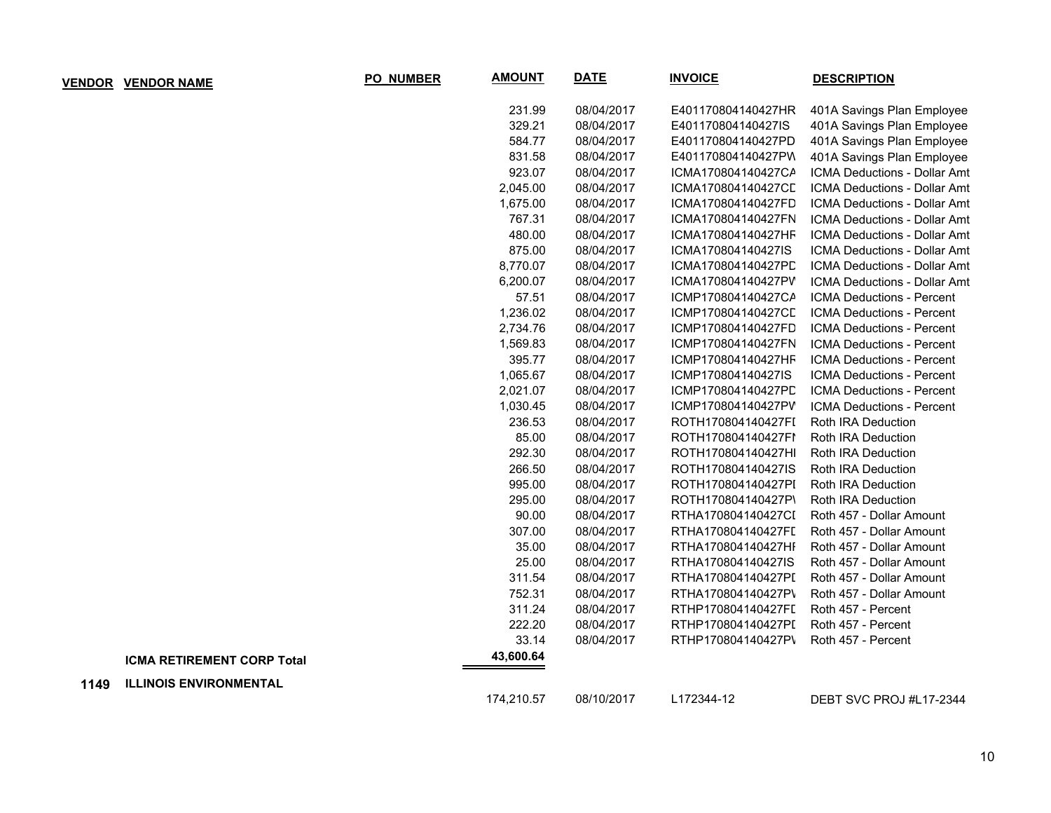|      | <u>VENDOR VENDOR NAME</u>         | PO_NUMBER | <b>AMOUNT</b> | <b>DATE</b> | <b>INVOICE</b>     | <b>DESCRIPTION</b>                  |
|------|-----------------------------------|-----------|---------------|-------------|--------------------|-------------------------------------|
|      |                                   |           | 231.99        | 08/04/2017  | E401170804140427HR | 401A Savings Plan Employee          |
|      |                                   |           | 329.21        | 08/04/2017  | E401170804140427IS | 401A Savings Plan Employee          |
|      |                                   |           | 584.77        | 08/04/2017  | E401170804140427PD | 401A Savings Plan Employee          |
|      |                                   |           | 831.58        | 08/04/2017  | E401170804140427PW | 401A Savings Plan Employee          |
|      |                                   |           | 923.07        | 08/04/2017  | ICMA170804140427CA | ICMA Deductions - Dollar Amt        |
|      |                                   |           | 2,045.00      | 08/04/2017  | ICMA170804140427CL | ICMA Deductions - Dollar Amt        |
|      |                                   |           | 1,675.00      | 08/04/2017  | ICMA170804140427FD | ICMA Deductions - Dollar Amt        |
|      |                                   |           | 767.31        | 08/04/2017  | ICMA170804140427FN | ICMA Deductions - Dollar Amt        |
|      |                                   |           | 480.00        | 08/04/2017  | ICMA170804140427HF | ICMA Deductions - Dollar Amt        |
|      |                                   |           | 875.00        | 08/04/2017  | ICMA170804140427IS | ICMA Deductions - Dollar Amt        |
|      |                                   |           | 8,770.07      | 08/04/2017  | ICMA170804140427PD | ICMA Deductions - Dollar Amt        |
|      |                                   |           | 6,200.07      | 08/04/2017  | ICMA170804140427PV | <b>ICMA Deductions - Dollar Amt</b> |
|      |                                   |           | 57.51         | 08/04/2017  | ICMP170804140427CA | ICMA Deductions - Percent           |
|      |                                   |           | 1,236.02      | 08/04/2017  | ICMP170804140427CL | ICMA Deductions - Percent           |
|      |                                   |           | 2,734.76      | 08/04/2017  | ICMP170804140427FD | ICMA Deductions - Percent           |
|      |                                   |           | 1,569.83      | 08/04/2017  | ICMP170804140427FN | ICMA Deductions - Percent           |
|      |                                   |           | 395.77        | 08/04/2017  | ICMP170804140427HF | ICMA Deductions - Percent           |
|      |                                   |           | 1,065.67      | 08/04/2017  | ICMP170804140427IS | ICMA Deductions - Percent           |
|      |                                   |           | 2,021.07      | 08/04/2017  | ICMP170804140427PD | ICMA Deductions - Percent           |
|      |                                   |           | 1,030.45      | 08/04/2017  | ICMP170804140427PV | ICMA Deductions - Percent           |
|      |                                   |           | 236.53        | 08/04/2017  | ROTH170804140427FI | Roth IRA Deduction                  |
|      |                                   |           | 85.00         | 08/04/2017  | ROTH170804140427FI | Roth IRA Deduction                  |
|      |                                   |           | 292.30        | 08/04/2017  | ROTH170804140427HI | Roth IRA Deduction                  |
|      |                                   |           | 266.50        | 08/04/2017  | ROTH170804140427IS | Roth IRA Deduction                  |
|      |                                   |           | 995.00        | 08/04/2017  | ROTH170804140427PI | Roth IRA Deduction                  |
|      |                                   |           | 295.00        | 08/04/2017  | ROTH170804140427P\ | Roth IRA Deduction                  |
|      |                                   |           | 90.00         | 08/04/2017  | RTHA170804140427CI | Roth 457 - Dollar Amount            |
|      |                                   |           | 307.00        | 08/04/2017  | RTHA170804140427FI | Roth 457 - Dollar Amount            |
|      |                                   |           | 35.00         | 08/04/2017  | RTHA170804140427HI | Roth 457 - Dollar Amount            |
|      |                                   |           | 25.00         | 08/04/2017  | RTHA170804140427IS | Roth 457 - Dollar Amount            |
|      |                                   |           | 311.54        | 08/04/2017  | RTHA170804140427PI | Roth 457 - Dollar Amount            |
|      |                                   |           | 752.31        | 08/04/2017  | RTHA170804140427P\ | Roth 457 - Dollar Amount            |
|      |                                   |           | 311.24        | 08/04/2017  | RTHP170804140427FI | Roth 457 - Percent                  |
|      |                                   |           | 222.20        | 08/04/2017  | RTHP170804140427PI | Roth 457 - Percent                  |
|      |                                   |           | 33.14         | 08/04/2017  | RTHP170804140427P\ | Roth 457 - Percent                  |
|      | <b>ICMA RETIREMENT CORP Total</b> |           | 43,600.64     |             |                    |                                     |
| 1149 | <b>ILLINOIS ENVIRONMENTAL</b>     |           |               |             |                    |                                     |
|      |                                   |           | 174,210.57    | 08/10/2017  | L172344-12         | DEBT SVC PROJ #L17-2344             |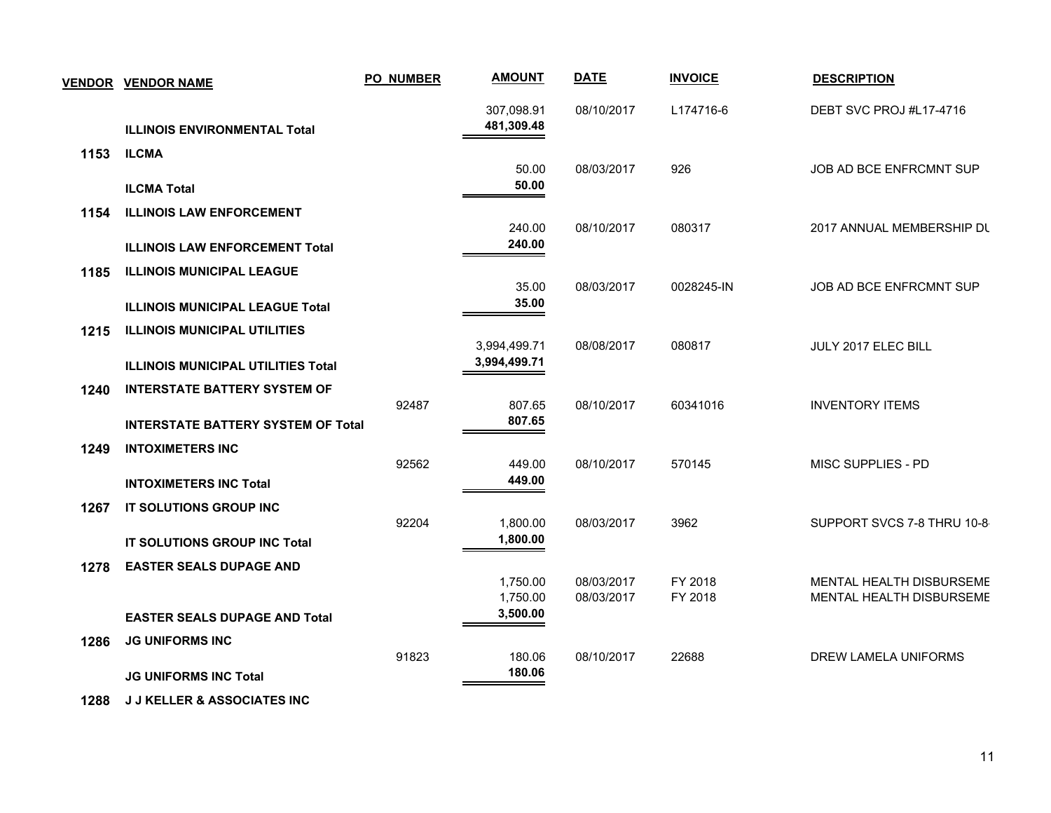|      | <b>VENDOR VENDOR NAME</b>                                                        | <b>PO_NUMBER</b> | <b>AMOUNT</b>            | <b>DATE</b> | <b>INVOICE</b> | <b>DESCRIPTION</b>              |
|------|----------------------------------------------------------------------------------|------------------|--------------------------|-------------|----------------|---------------------------------|
|      | <b>ILLINOIS ENVIRONMENTAL Total</b>                                              |                  | 307,098.91<br>481,309.48 | 08/10/2017  | L174716-6      | DEBT SVC PROJ #L17-4716         |
| 1153 | <b>ILCMA</b><br><b>ILCMA Total</b>                                               |                  | 50.00<br>50.00           | 08/03/2017  | 926            | JOB AD BCE ENFRCMNT SUP         |
| 1154 | <b>ILLINOIS LAW ENFORCEMENT</b>                                                  |                  | 240.00                   | 08/10/2017  | 080317         | 2017 ANNUAL MEMBERSHIP DL       |
|      | <b>ILLINOIS LAW ENFORCEMENT Total</b>                                            |                  | 240.00                   |             |                |                                 |
| 1185 | <b>ILLINOIS MUNICIPAL LEAGUE</b><br><b>ILLINOIS MUNICIPAL LEAGUE Total</b>       |                  | 35.00<br>35.00           | 08/03/2017  | 0028245-IN     | JOB AD BCE ENFRCMNT SUP         |
| 1215 | <b>ILLINOIS MUNICIPAL UTILITIES</b>                                              |                  | 3,994,499.71             | 08/08/2017  | 080817         | JULY 2017 ELEC BILL             |
|      | <b>ILLINOIS MUNICIPAL UTILITIES Total</b>                                        |                  | 3,994,499.71             |             |                |                                 |
| 1240 | <b>INTERSTATE BATTERY SYSTEM OF</b><br><b>INTERSTATE BATTERY SYSTEM OF Total</b> | 92487            | 807.65<br>807.65         | 08/10/2017  | 60341016       | <b>INVENTORY ITEMS</b>          |
| 1249 | <b>INTOXIMETERS INC</b>                                                          | 92562            | 449.00                   | 08/10/2017  | 570145         | MISC SUPPLIES - PD              |
|      | <b>INTOXIMETERS INC Total</b>                                                    |                  | 449.00                   |             |                |                                 |
| 1267 | IT SOLUTIONS GROUP INC<br><b>IT SOLUTIONS GROUP INC Total</b>                    | 92204            | 1,800.00<br>1,800.00     | 08/03/2017  | 3962           | SUPPORT SVCS 7-8 THRU 10-8      |
| 1278 | <b>EASTER SEALS DUPAGE AND</b>                                                   |                  | 1,750.00                 | 08/03/2017  | FY 2018        | MENTAL HEALTH DISBURSEME        |
|      | <b>EASTER SEALS DUPAGE AND Total</b>                                             |                  | 1,750.00<br>3,500.00     | 08/03/2017  | FY 2018        | <b>MENTAL HEALTH DISBURSEME</b> |
| 1286 | <b>JG UNIFORMS INC</b>                                                           | 91823            | 180.06                   | 08/10/2017  | 22688          | DREW LAMELA UNIFORMS            |
|      | <b>JG UNIFORMS INC Total</b>                                                     |                  | 180.06                   |             |                |                                 |

 **1288 J J KELLER & ASSOCIATES INC**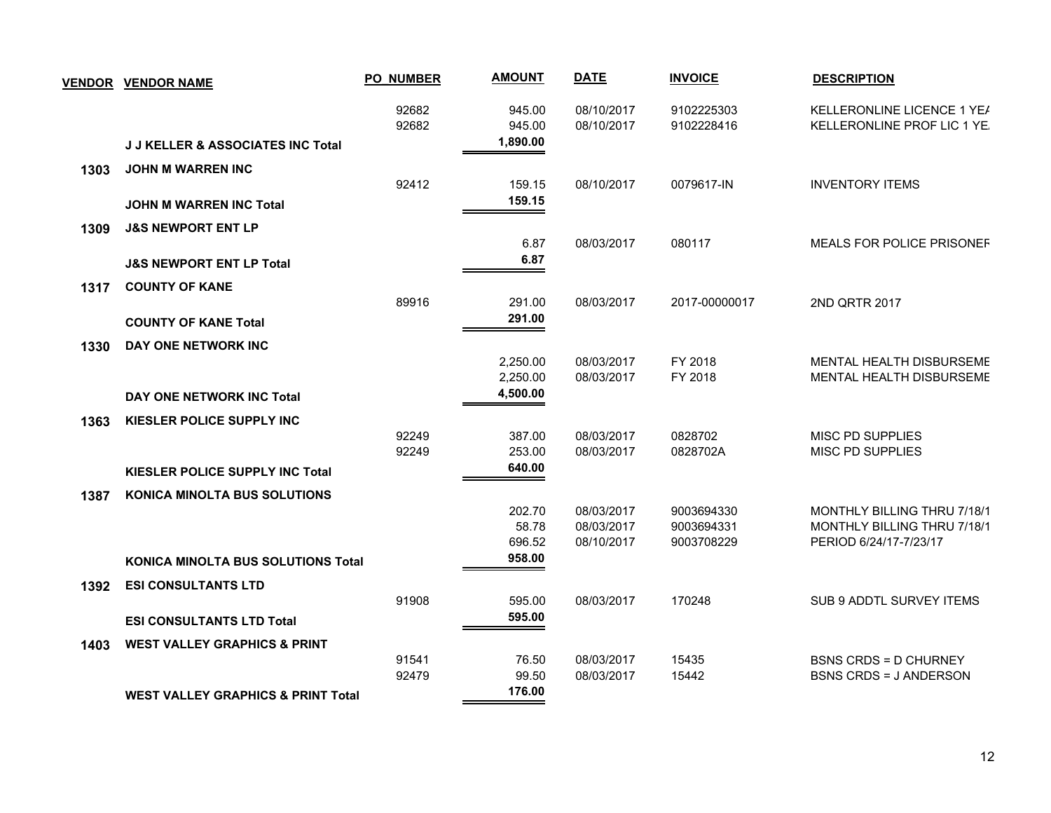| <b>VENDOR</b> | <b>VENDOR NAME</b>                            | <b>PO NUMBER</b> | <b>AMOUNT</b>    | <b>DATE</b>              | <b>INVOICE</b>           | <b>DESCRIPTION</b>                                        |
|---------------|-----------------------------------------------|------------------|------------------|--------------------------|--------------------------|-----------------------------------------------------------|
|               |                                               | 92682<br>92682   | 945.00<br>945.00 | 08/10/2017<br>08/10/2017 | 9102225303<br>9102228416 | KELLERONLINE LICENCE 1 YEA<br>KELLERONLINE PROF LIC 1 YE. |
|               | <b>J J KELLER &amp; ASSOCIATES INC Total</b>  |                  | 1,890.00         |                          |                          |                                                           |
| 1303          | <b>JOHN M WARREN INC</b>                      |                  |                  |                          |                          |                                                           |
|               |                                               | 92412            | 159.15           | 08/10/2017               | 0079617-IN               | <b>INVENTORY ITEMS</b>                                    |
|               | <b>JOHN M WARREN INC Total</b>                |                  | 159.15           |                          |                          |                                                           |
| 1309          | <b>J&amp;S NEWPORT ENT LP</b>                 |                  |                  |                          |                          |                                                           |
|               |                                               |                  | 6.87             | 08/03/2017               | 080117                   | <b>MEALS FOR POLICE PRISONEF</b>                          |
|               | <b>J&amp;S NEWPORT ENT LP Total</b>           |                  | 6.87             |                          |                          |                                                           |
| 1317          | <b>COUNTY OF KANE</b>                         |                  |                  |                          |                          |                                                           |
|               |                                               | 89916            | 291.00           | 08/03/2017               | 2017-00000017            | 2ND QRTR 2017                                             |
|               | <b>COUNTY OF KANE Total</b>                   |                  | 291.00           |                          |                          |                                                           |
| 1330          | DAY ONE NETWORK INC                           |                  |                  |                          |                          |                                                           |
|               |                                               |                  | 2,250.00         | 08/03/2017               | FY 2018                  | <b>MENTAL HEALTH DISBURSEME</b>                           |
|               |                                               |                  | 2,250.00         | 08/03/2017               | FY 2018                  | <b>MENTAL HEALTH DISBURSEME</b>                           |
|               | DAY ONE NETWORK INC Total                     |                  | 4,500.00         |                          |                          |                                                           |
| 1363          | KIESLER POLICE SUPPLY INC                     |                  |                  |                          |                          |                                                           |
|               |                                               | 92249            | 387.00           | 08/03/2017               | 0828702                  | <b>MISC PD SUPPLIES</b>                                   |
|               |                                               | 92249            | 253.00           | 08/03/2017               | 0828702A                 | <b>MISC PD SUPPLIES</b>                                   |
|               | <b>KIESLER POLICE SUPPLY INC Total</b>        |                  | 640.00           |                          |                          |                                                           |
| 1387          | <b>KONICA MINOLTA BUS SOLUTIONS</b>           |                  |                  |                          |                          |                                                           |
|               |                                               |                  | 202.70           | 08/03/2017               | 9003694330               | <b>MONTHLY BILLING THRU 7/18/1</b>                        |
|               |                                               |                  | 58.78            | 08/03/2017               | 9003694331               | MONTHLY BILLING THRU 7/18/1                               |
|               |                                               |                  | 696.52<br>958.00 | 08/10/2017               | 9003708229               | PERIOD 6/24/17-7/23/17                                    |
|               | <b>KONICA MINOLTA BUS SOLUTIONS Total</b>     |                  |                  |                          |                          |                                                           |
| 1392          | <b>ESI CONSULTANTS LTD</b>                    |                  |                  |                          |                          |                                                           |
|               |                                               | 91908            | 595.00           | 08/03/2017               | 170248                   | <b>SUB 9 ADDTL SURVEY ITEMS</b>                           |
|               | <b>ESI CONSULTANTS LTD Total</b>              |                  | 595.00           |                          |                          |                                                           |
| 1403          | <b>WEST VALLEY GRAPHICS &amp; PRINT</b>       |                  |                  |                          |                          |                                                           |
|               |                                               | 91541            | 76.50            | 08/03/2017               | 15435                    | <b>BSNS CRDS = D CHURNEY</b>                              |
|               |                                               | 92479            | 99.50<br>176.00  | 08/03/2017               | 15442                    | <b>BSNS CRDS = J ANDERSON</b>                             |
|               | <b>WEST VALLEY GRAPHICS &amp; PRINT Total</b> |                  |                  |                          |                          |                                                           |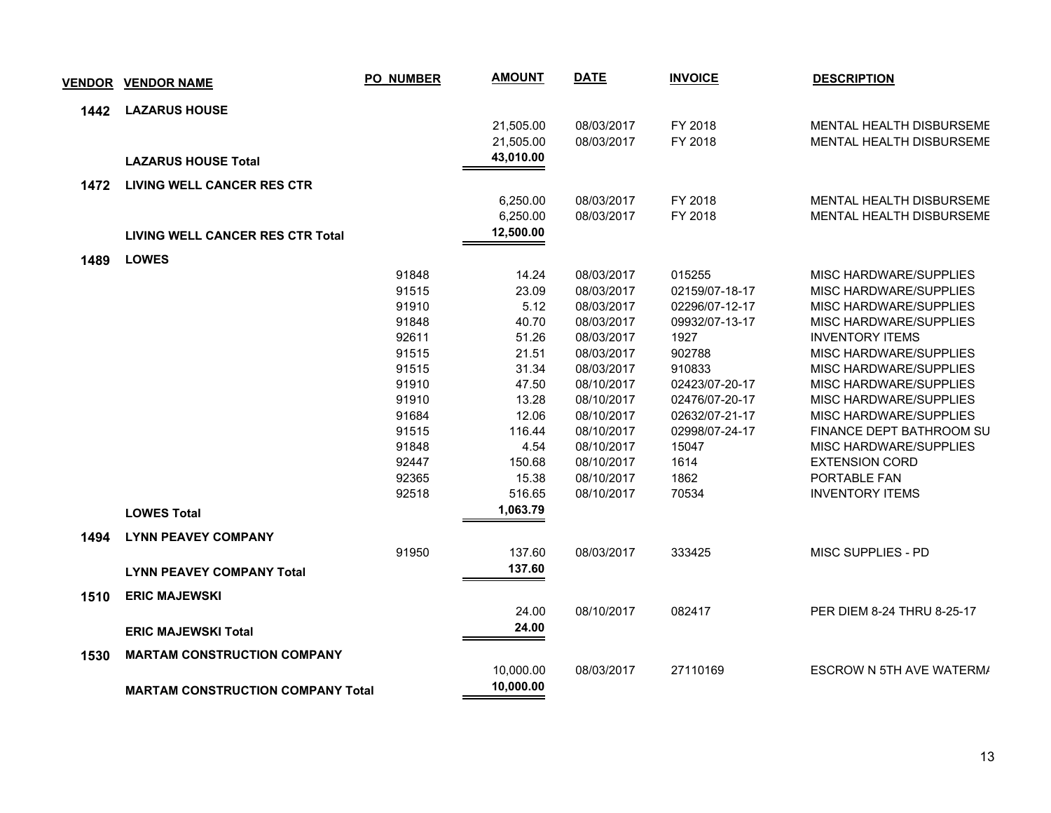| <b>VENDOR</b> | <b>VENDOR NAME</b>                       | <b>PO_NUMBER</b> | <b>AMOUNT</b> | <b>DATE</b> | <b>INVOICE</b> | <b>DESCRIPTION</b>         |
|---------------|------------------------------------------|------------------|---------------|-------------|----------------|----------------------------|
| 1442          | <b>LAZARUS HOUSE</b>                     |                  |               |             |                |                            |
|               |                                          |                  | 21,505.00     | 08/03/2017  | FY 2018        | MENTAL HEALTH DISBURSEME   |
|               |                                          |                  | 21,505.00     | 08/03/2017  | FY 2018        | MENTAL HEALTH DISBURSEME   |
|               | <b>LAZARUS HOUSE Total</b>               |                  | 43,010.00     |             |                |                            |
| 1472          | <b>LIVING WELL CANCER RES CTR</b>        |                  |               |             |                |                            |
|               |                                          |                  | 6,250.00      | 08/03/2017  | FY 2018        | MENTAL HEALTH DISBURSEME   |
|               |                                          |                  | 6,250.00      | 08/03/2017  | FY 2018        | MENTAL HEALTH DISBURSEME   |
|               | <b>LIVING WELL CANCER RES CTR Total</b>  |                  | 12,500.00     |             |                |                            |
| 1489          | <b>LOWES</b>                             |                  |               |             |                |                            |
|               |                                          | 91848            | 14.24         | 08/03/2017  | 015255         | MISC HARDWARE/SUPPLIES     |
|               |                                          | 91515            | 23.09         | 08/03/2017  | 02159/07-18-17 | MISC HARDWARE/SUPPLIES     |
|               |                                          | 91910            | 5.12          | 08/03/2017  | 02296/07-12-17 | MISC HARDWARE/SUPPLIES     |
|               |                                          | 91848            | 40.70         | 08/03/2017  | 09932/07-13-17 | MISC HARDWARE/SUPPLIES     |
|               |                                          | 92611            | 51.26         | 08/03/2017  | 1927           | <b>INVENTORY ITEMS</b>     |
|               |                                          | 91515            | 21.51         | 08/03/2017  | 902788         | MISC HARDWARE/SUPPLIES     |
|               |                                          | 91515            | 31.34         | 08/03/2017  | 910833         | MISC HARDWARE/SUPPLIES     |
|               |                                          | 91910            | 47.50         | 08/10/2017  | 02423/07-20-17 | MISC HARDWARE/SUPPLIES     |
|               |                                          | 91910            | 13.28         | 08/10/2017  | 02476/07-20-17 | MISC HARDWARE/SUPPLIES     |
|               |                                          | 91684            | 12.06         | 08/10/2017  | 02632/07-21-17 | MISC HARDWARE/SUPPLIES     |
|               |                                          | 91515            | 116.44        | 08/10/2017  | 02998/07-24-17 | FINANCE DEPT BATHROOM SU   |
|               |                                          | 91848            | 4.54          | 08/10/2017  | 15047          | MISC HARDWARE/SUPPLIES     |
|               |                                          | 92447            | 150.68        | 08/10/2017  | 1614           | <b>EXTENSION CORD</b>      |
|               |                                          | 92365            | 15.38         | 08/10/2017  | 1862           | PORTABLE FAN               |
|               |                                          | 92518            | 516.65        | 08/10/2017  | 70534          | <b>INVENTORY ITEMS</b>     |
|               | <b>LOWES Total</b>                       |                  | 1,063.79      |             |                |                            |
| 1494          | <b>LYNN PEAVEY COMPANY</b>               |                  |               |             |                |                            |
|               |                                          | 91950            | 137.60        | 08/03/2017  | 333425         | MISC SUPPLIES - PD         |
|               | <b>LYNN PEAVEY COMPANY Total</b>         |                  | 137.60        |             |                |                            |
| 1510          | <b>ERIC MAJEWSKI</b>                     |                  |               |             |                |                            |
|               |                                          |                  | 24.00         | 08/10/2017  | 082417         | PER DIEM 8-24 THRU 8-25-17 |
|               | <b>ERIC MAJEWSKI Total</b>               |                  | 24.00         |             |                |                            |
| 1530          | <b>MARTAM CONSTRUCTION COMPANY</b>       |                  |               |             |                |                            |
|               |                                          |                  | 10,000.00     | 08/03/2017  | 27110169       | ESCROW N 5TH AVE WATERM/   |
|               | <b>MARTAM CONSTRUCTION COMPANY Total</b> |                  | 10,000.00     |             |                |                            |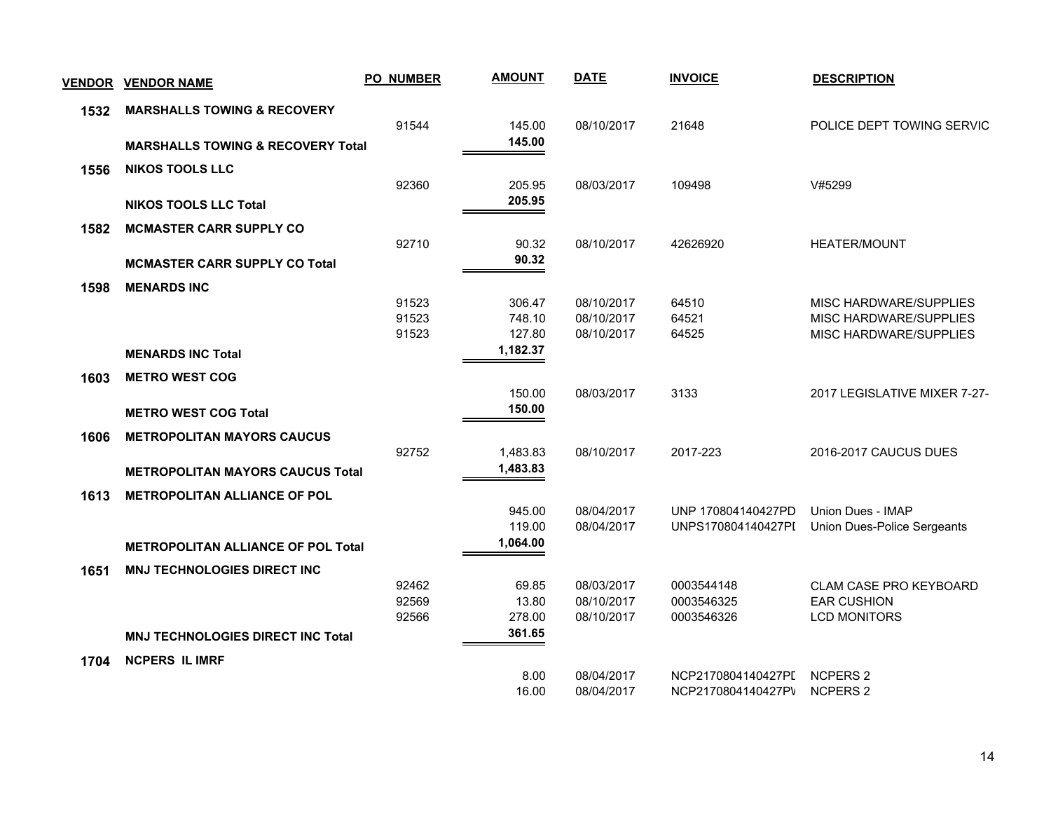| <b>VENDOR</b> | <b>VENDOR NAME</b>                           | <b>PO NUMBER</b> | <b>AMOUNT</b> | <b>DATE</b> | <b>INVOICE</b>     | <b>DESCRIPTION</b>            |
|---------------|----------------------------------------------|------------------|---------------|-------------|--------------------|-------------------------------|
| 1532          | <b>MARSHALLS TOWING &amp; RECOVERY</b>       |                  |               |             |                    |                               |
|               |                                              | 91544            | 145.00        | 08/10/2017  | 21648              | POLICE DEPT TOWING SERVIC     |
|               | <b>MARSHALLS TOWING &amp; RECOVERY Total</b> |                  | 145.00        |             |                    |                               |
| 1556          | <b>NIKOS TOOLS LLC</b>                       |                  |               |             |                    |                               |
|               |                                              | 92360            | 205.95        | 08/03/2017  | 109498             | V#5299                        |
|               | <b>NIKOS TOOLS LLC Total</b>                 |                  | 205.95        |             |                    |                               |
| 1582          | <b>MCMASTER CARR SUPPLY CO</b>               |                  |               |             |                    |                               |
|               |                                              | 92710            | 90.32         | 08/10/2017  | 42626920           | <b>HEATER/MOUNT</b>           |
|               | <b>MCMASTER CARR SUPPLY CO Total</b>         |                  | 90.32         |             |                    |                               |
| 1598          | <b>MENARDS INC</b>                           |                  |               |             |                    |                               |
|               |                                              | 91523            | 306.47        | 08/10/2017  | 64510              | MISC HARDWARE/SUPPLIES        |
|               |                                              | 91523            | 748.10        | 08/10/2017  | 64521              | MISC HARDWARE/SUPPLIES        |
|               |                                              | 91523            | 127.80        | 08/10/2017  | 64525              | MISC HARDWARE/SUPPLIES        |
|               | <b>MENARDS INC Total</b>                     |                  | 1,182.37      |             |                    |                               |
| 1603          | <b>METRO WEST COG</b>                        |                  |               |             |                    |                               |
|               |                                              |                  | 150.00        | 08/03/2017  | 3133               | 2017 LEGISLATIVE MIXER 7-27-  |
|               | <b>METRO WEST COG Total</b>                  |                  | 150.00        |             |                    |                               |
| 1606          | <b>METROPOLITAN MAYORS CAUCUS</b>            |                  |               |             |                    |                               |
|               |                                              | 92752            | 1,483.83      | 08/10/2017  | 2017-223           | 2016-2017 CAUCUS DUES         |
|               | <b>METROPOLITAN MAYORS CAUCUS Total</b>      |                  | 1,483.83      |             |                    |                               |
| 1613          | <b>METROPOLITAN ALLIANCE OF POL</b>          |                  |               |             |                    |                               |
|               |                                              |                  | 945.00        | 08/04/2017  | UNP 170804140427PD | <b>Union Dues - IMAP</b>      |
|               |                                              |                  | 119.00        | 08/04/2017  | UNPS170804140427PI | Union Dues-Police Sergeants   |
|               | <b>METROPOLITAN ALLIANCE OF POL Total</b>    |                  | 1,064.00      |             |                    |                               |
| 1651          | <b>MNJ TECHNOLOGIES DIRECT INC</b>           |                  |               |             |                    |                               |
|               |                                              | 92462            | 69.85         | 08/03/2017  | 0003544148         | <b>CLAM CASE PRO KEYBOARD</b> |
|               |                                              | 92569            | 13.80         | 08/10/2017  | 0003546325         | <b>EAR CUSHION</b>            |
|               |                                              | 92566            | 278.00        | 08/10/2017  | 0003546326         | <b>LCD MONITORS</b>           |
|               | <b>MNJ TECHNOLOGIES DIRECT INC Total</b>     |                  | 361.65        |             |                    |                               |
| 1704          | <b>NCPERS IL IMRF</b>                        |                  |               |             |                    |                               |
|               |                                              |                  | 8.00          | 08/04/2017  | NCP2170804140427PI | <b>NCPERS 2</b>               |
|               |                                              |                  | 16.00         | 08/04/2017  | NCP2170804140427PV | <b>NCPERS 2</b>               |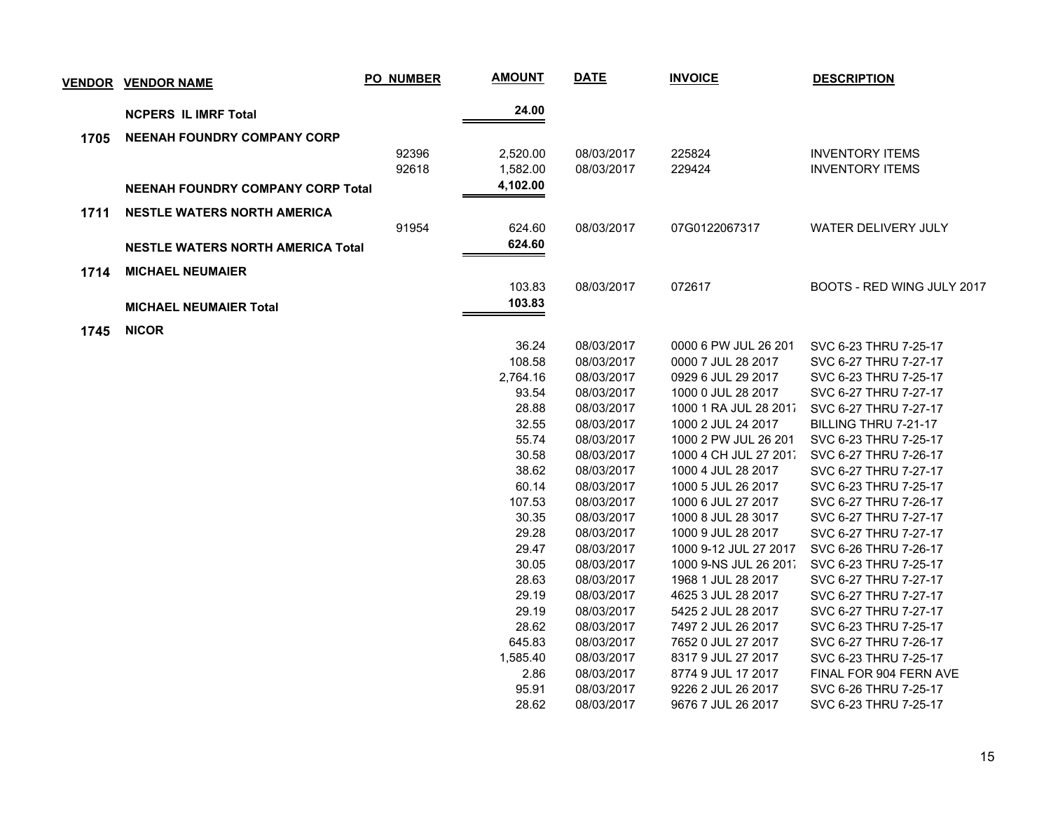| <b>VENDOR</b> | <b>VENDOR NAME</b>                       | <b>PO_NUMBER</b> | <b>AMOUNT</b> | <b>DATE</b> | <b>INVOICE</b>        | <b>DESCRIPTION</b>         |
|---------------|------------------------------------------|------------------|---------------|-------------|-----------------------|----------------------------|
|               | <b>NCPERS IL IMRF Total</b>              |                  | 24.00         |             |                       |                            |
| 1705          | <b>NEENAH FOUNDRY COMPANY CORP</b>       |                  |               |             |                       |                            |
|               |                                          | 92396            | 2,520.00      | 08/03/2017  | 225824                | <b>INVENTORY ITEMS</b>     |
|               |                                          | 92618            | 1,582.00      | 08/03/2017  | 229424                | <b>INVENTORY ITEMS</b>     |
|               | <b>NEENAH FOUNDRY COMPANY CORP Total</b> |                  | 4,102.00      |             |                       |                            |
| 1711          | <b>NESTLE WATERS NORTH AMERICA</b>       |                  |               |             |                       |                            |
|               |                                          | 91954            | 624.60        | 08/03/2017  | 07G0122067317         | <b>WATER DELIVERY JULY</b> |
|               | <b>NESTLE WATERS NORTH AMERICA Total</b> |                  | 624.60        |             |                       |                            |
| 1714          | <b>MICHAEL NEUMAIER</b>                  |                  |               |             |                       |                            |
|               |                                          |                  | 103.83        | 08/03/2017  | 072617                | BOOTS - RED WING JULY 2017 |
|               | <b>MICHAEL NEUMAIER Total</b>            |                  | 103.83        |             |                       |                            |
|               |                                          |                  |               |             |                       |                            |
| 1745          | <b>NICOR</b>                             |                  |               |             |                       |                            |
|               |                                          |                  | 36.24         | 08/03/2017  | 0000 6 PW JUL 26 201  | SVC 6-23 THRU 7-25-17      |
|               |                                          |                  | 108.58        | 08/03/2017  | 0000 7 JUL 28 2017    | SVC 6-27 THRU 7-27-17      |
|               |                                          |                  | 2,764.16      | 08/03/2017  | 0929 6 JUL 29 2017    | SVC 6-23 THRU 7-25-17      |
|               |                                          |                  | 93.54         | 08/03/2017  | 1000 0 JUL 28 2017    | SVC 6-27 THRU 7-27-17      |
|               |                                          |                  | 28.88         | 08/03/2017  | 1000 1 RA JUL 28 2011 | SVC 6-27 THRU 7-27-17      |
|               |                                          |                  | 32.55         | 08/03/2017  | 1000 2 JUL 24 2017    | BILLING THRU 7-21-17       |
|               |                                          |                  | 55.74         | 08/03/2017  | 1000 2 PW JUL 26 201  | SVC 6-23 THRU 7-25-17      |
|               |                                          |                  | 30.58         | 08/03/2017  | 1000 4 CH JUL 27 201  | SVC 6-27 THRU 7-26-17      |
|               |                                          |                  | 38.62         | 08/03/2017  | 1000 4 JUL 28 2017    | SVC 6-27 THRU 7-27-17      |
|               |                                          |                  | 60.14         | 08/03/2017  | 1000 5 JUL 26 2017    | SVC 6-23 THRU 7-25-17      |
|               |                                          |                  | 107.53        | 08/03/2017  | 1000 6 JUL 27 2017    | SVC 6-27 THRU 7-26-17      |
|               |                                          |                  | 30.35         | 08/03/2017  | 1000 8 JUL 28 3017    | SVC 6-27 THRU 7-27-17      |
|               |                                          |                  | 29.28         | 08/03/2017  | 1000 9 JUL 28 2017    | SVC 6-27 THRU 7-27-17      |
|               |                                          |                  | 29.47         | 08/03/2017  | 1000 9-12 JUL 27 2017 | SVC 6-26 THRU 7-26-17      |
|               |                                          |                  | 30.05         | 08/03/2017  | 1000 9-NS JUL 26 201. | SVC 6-23 THRU 7-25-17      |
|               |                                          |                  | 28.63         | 08/03/2017  | 1968 1 JUL 28 2017    | SVC 6-27 THRU 7-27-17      |
|               |                                          |                  | 29.19         | 08/03/2017  | 4625 3 JUL 28 2017    | SVC 6-27 THRU 7-27-17      |
|               |                                          |                  | 29.19         | 08/03/2017  | 5425 2 JUL 28 2017    | SVC 6-27 THRU 7-27-17      |
|               |                                          |                  | 28.62         | 08/03/2017  | 7497 2 JUL 26 2017    | SVC 6-23 THRU 7-25-17      |
|               |                                          |                  | 645.83        | 08/03/2017  | 7652 0 JUL 27 2017    | SVC 6-27 THRU 7-26-17      |
|               |                                          |                  | 1,585.40      | 08/03/2017  | 8317 9 JUL 27 2017    | SVC 6-23 THRU 7-25-17      |
|               |                                          |                  | 2.86          | 08/03/2017  | 8774 9 JUL 17 2017    | FINAL FOR 904 FERN AVE     |
|               |                                          |                  | 95.91         | 08/03/2017  | 9226 2 JUL 26 2017    | SVC 6-26 THRU 7-25-17      |
|               |                                          |                  | 28.62         | 08/03/2017  | 9676 7 JUL 26 2017    | SVC 6-23 THRU 7-25-17      |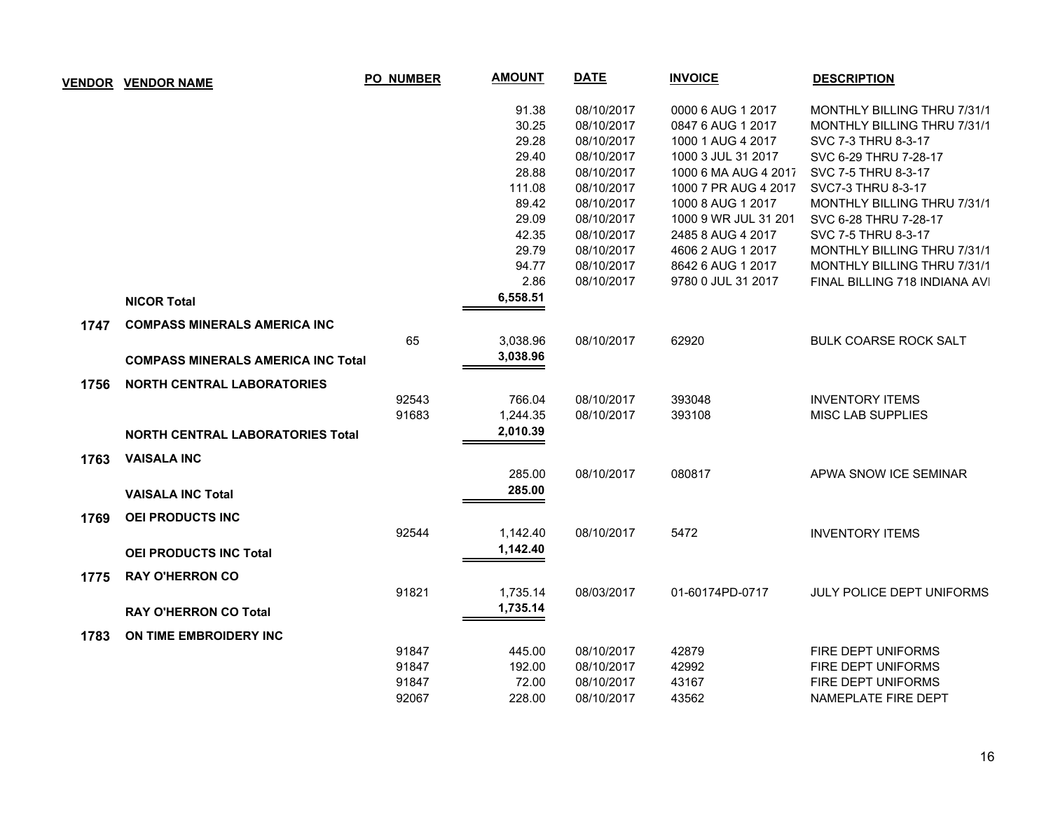| <b>VENDOR</b> | <b>VENDOR NAME</b>                        | <b>PO_NUMBER</b> | <b>AMOUNT</b> | <b>DATE</b> | <b>INVOICE</b>       | <b>DESCRIPTION</b>                 |
|---------------|-------------------------------------------|------------------|---------------|-------------|----------------------|------------------------------------|
|               |                                           |                  | 91.38         | 08/10/2017  | 0000 6 AUG 1 2017    | <b>MONTHLY BILLING THRU 7/31/1</b> |
|               |                                           |                  | 30.25         | 08/10/2017  | 0847 6 AUG 1 2017    | MONTHLY BILLING THRU 7/31/1        |
|               |                                           |                  | 29.28         | 08/10/2017  | 1000 1 AUG 4 2017    | SVC 7-3 THRU 8-3-17                |
|               |                                           |                  | 29.40         | 08/10/2017  | 1000 3 JUL 31 2017   | SVC 6-29 THRU 7-28-17              |
|               |                                           |                  | 28.88         | 08/10/2017  | 1000 6 MA AUG 4 2017 | SVC 7-5 THRU 8-3-17                |
|               |                                           |                  | 111.08        | 08/10/2017  | 1000 7 PR AUG 4 2017 | SVC7-3 THRU 8-3-17                 |
|               |                                           |                  | 89.42         | 08/10/2017  | 1000 8 AUG 1 2017    | MONTHLY BILLING THRU 7/31/1        |
|               |                                           |                  | 29.09         | 08/10/2017  | 1000 9 WR JUL 31 201 | SVC 6-28 THRU 7-28-17              |
|               |                                           |                  | 42.35         | 08/10/2017  | 2485 8 AUG 4 2017    | SVC 7-5 THRU 8-3-17                |
|               |                                           |                  | 29.79         | 08/10/2017  | 4606 2 AUG 1 2017    | MONTHLY BILLING THRU 7/31/1        |
|               |                                           |                  | 94.77         | 08/10/2017  | 8642 6 AUG 1 2017    | MONTHLY BILLING THRU 7/31/1        |
|               |                                           |                  | 2.86          | 08/10/2017  | 9780 0 JUL 31 2017   | FINAL BILLING 718 INDIANA AVI      |
|               | <b>NICOR Total</b>                        |                  | 6,558.51      |             |                      |                                    |
| 1747          | <b>COMPASS MINERALS AMERICA INC</b>       |                  |               |             |                      |                                    |
|               |                                           | 65               | 3,038.96      | 08/10/2017  | 62920                | <b>BULK COARSE ROCK SALT</b>       |
|               | <b>COMPASS MINERALS AMERICA INC Total</b> |                  | 3,038.96      |             |                      |                                    |
| 1756          | <b>NORTH CENTRAL LABORATORIES</b>         |                  |               |             |                      |                                    |
|               |                                           | 92543            | 766.04        | 08/10/2017  | 393048               | <b>INVENTORY ITEMS</b>             |
|               |                                           | 91683            | 1,244.35      | 08/10/2017  | 393108               | <b>MISC LAB SUPPLIES</b>           |
|               | <b>NORTH CENTRAL LABORATORIES Total</b>   |                  | 2,010.39      |             |                      |                                    |
| 1763          | <b>VAISALA INC</b>                        |                  |               |             |                      |                                    |
|               |                                           |                  | 285.00        | 08/10/2017  | 080817               | APWA SNOW ICE SEMINAR              |
|               | <b>VAISALA INC Total</b>                  |                  | 285.00        |             |                      |                                    |
| 1769          | <b>OEI PRODUCTS INC</b>                   |                  |               |             |                      |                                    |
|               |                                           | 92544            | 1,142.40      | 08/10/2017  | 5472                 | <b>INVENTORY ITEMS</b>             |
|               | <b>OEI PRODUCTS INC Total</b>             |                  | 1,142.40      |             |                      |                                    |
| 1775          | <b>RAY O'HERRON CO</b>                    |                  |               |             |                      |                                    |
|               |                                           | 91821            | 1,735.14      | 08/03/2017  | 01-60174PD-0717      | <b>JULY POLICE DEPT UNIFORMS</b>   |
|               | <b>RAY O'HERRON CO Total</b>              |                  | 1,735.14      |             |                      |                                    |
| 1783          | ON TIME EMBROIDERY INC                    |                  |               |             |                      |                                    |
|               |                                           | 91847            | 445.00        | 08/10/2017  | 42879                | FIRE DEPT UNIFORMS                 |
|               |                                           | 91847            | 192.00        | 08/10/2017  | 42992                | FIRE DEPT UNIFORMS                 |
|               |                                           | 91847            | 72.00         | 08/10/2017  | 43167                | FIRE DEPT UNIFORMS                 |
|               |                                           | 92067            | 228.00        | 08/10/2017  | 43562                | NAMEPLATE FIRE DEPT                |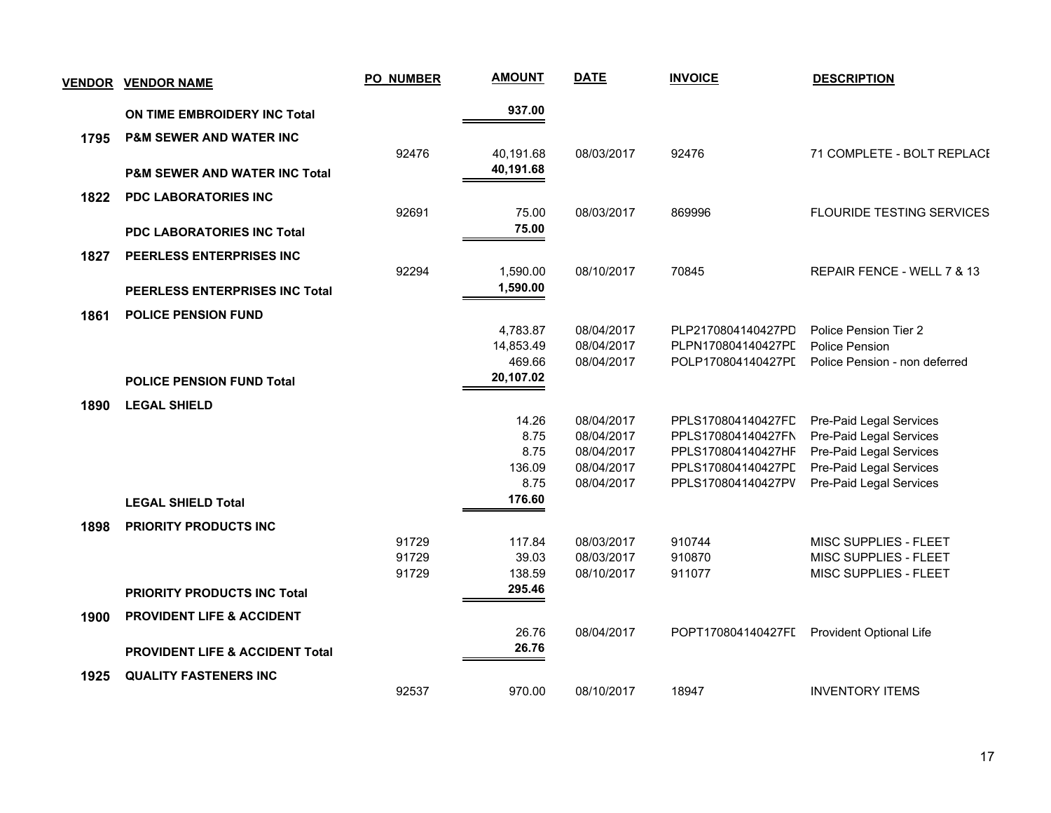|      | <b>VENDOR VENDOR NAME</b>                  | PO_NUMBER | <b>AMOUNT</b> | <b>DATE</b> | <b>INVOICE</b>     | <b>DESCRIPTION</b>               |
|------|--------------------------------------------|-----------|---------------|-------------|--------------------|----------------------------------|
|      | ON TIME EMBROIDERY INC Total               |           | 937.00        |             |                    |                                  |
| 1795 | <b>P&amp;M SEWER AND WATER INC</b>         |           |               |             |                    |                                  |
|      |                                            | 92476     | 40,191.68     | 08/03/2017  | 92476              | 71 COMPLETE - BOLT REPLACE       |
|      | <b>P&amp;M SEWER AND WATER INC Total</b>   |           | 40,191.68     |             |                    |                                  |
| 1822 | <b>PDC LABORATORIES INC</b>                |           |               |             |                    |                                  |
|      |                                            | 92691     | 75.00         | 08/03/2017  | 869996             | <b>FLOURIDE TESTING SERVICES</b> |
|      | <b>PDC LABORATORIES INC Total</b>          |           | 75.00         |             |                    |                                  |
| 1827 | PEERLESS ENTERPRISES INC                   |           |               |             |                    |                                  |
|      |                                            | 92294     | 1,590.00      | 08/10/2017  | 70845              | REPAIR FENCE - WELL 7 & 13       |
|      | <b>PEERLESS ENTERPRISES INC Total</b>      |           | 1,590.00      |             |                    |                                  |
| 1861 | <b>POLICE PENSION FUND</b>                 |           |               |             |                    |                                  |
|      |                                            |           | 4,783.87      | 08/04/2017  | PLP2170804140427PD | Police Pension Tier 2            |
|      |                                            |           | 14,853.49     | 08/04/2017  | PLPN170804140427PL | Police Pension                   |
|      |                                            |           | 469.66        | 08/04/2017  | POLP170804140427PL | Police Pension - non deferred    |
|      | <b>POLICE PENSION FUND Total</b>           |           | 20,107.02     |             |                    |                                  |
| 1890 | <b>LEGAL SHIELD</b>                        |           |               |             |                    |                                  |
|      |                                            |           | 14.26         | 08/04/2017  | PPLS170804140427FC | Pre-Paid Legal Services          |
|      |                                            |           | 8.75          | 08/04/2017  | PPLS170804140427FN | Pre-Paid Legal Services          |
|      |                                            |           | 8.75          | 08/04/2017  | PPLS170804140427HF | Pre-Paid Legal Services          |
|      |                                            |           | 136.09        | 08/04/2017  | PPLS170804140427PD | Pre-Paid Legal Services          |
|      |                                            |           | 8.75          | 08/04/2017  | PPLS170804140427PV | Pre-Paid Legal Services          |
|      | <b>LEGAL SHIELD Total</b>                  |           | 176.60        |             |                    |                                  |
| 1898 | PRIORITY PRODUCTS INC                      |           |               |             |                    |                                  |
|      |                                            | 91729     | 117.84        | 08/03/2017  | 910744             | MISC SUPPLIES - FLEET            |
|      |                                            | 91729     | 39.03         | 08/03/2017  | 910870             | MISC SUPPLIES - FLEET            |
|      |                                            | 91729     | 138.59        | 08/10/2017  | 911077             | MISC SUPPLIES - FLEET            |
|      | <b>PRIORITY PRODUCTS INC Total</b>         |           | 295.46        |             |                    |                                  |
| 1900 | <b>PROVIDENT LIFE &amp; ACCIDENT</b>       |           |               |             |                    |                                  |
|      |                                            |           | 26.76         | 08/04/2017  | POPT170804140427FI | Provident Optional Life          |
|      | <b>PROVIDENT LIFE &amp; ACCIDENT Total</b> |           | 26.76         |             |                    |                                  |
| 1925 | <b>QUALITY FASTENERS INC</b>               |           |               |             |                    |                                  |
|      |                                            | 92537     | 970.00        | 08/10/2017  | 18947              | <b>INVENTORY ITEMS</b>           |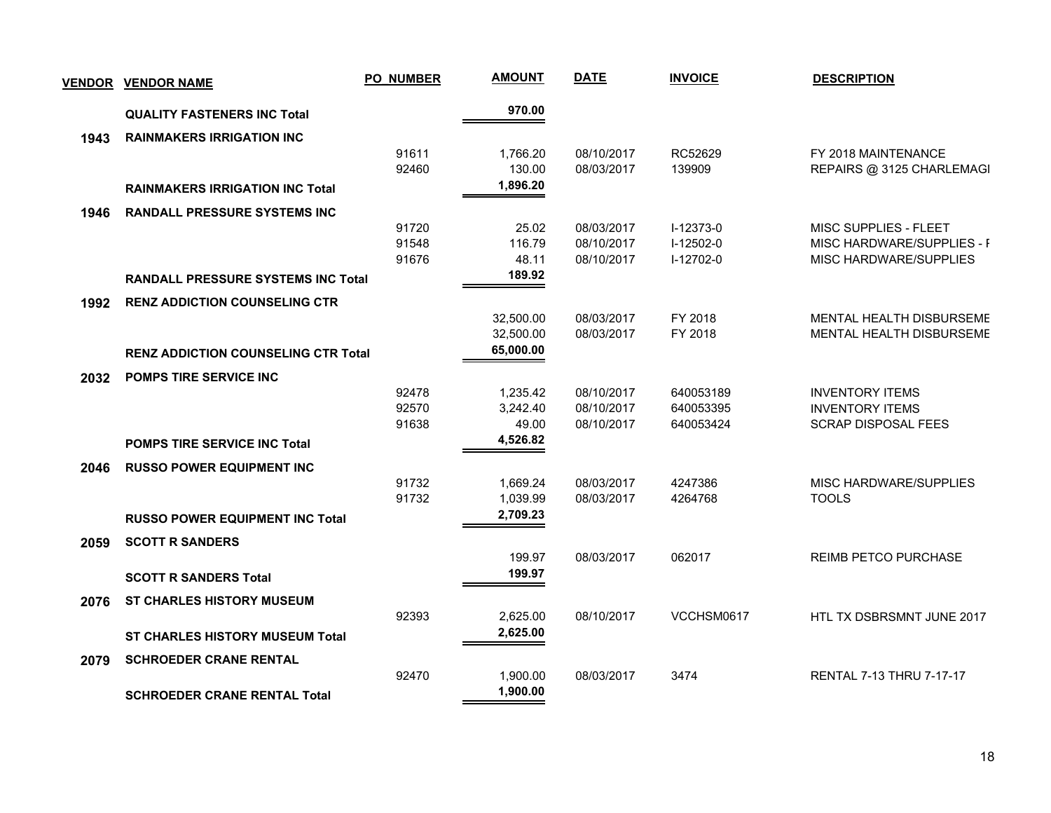| <b>VENDOR</b> | <b>VENDOR NAME</b>                         | <b>PO_NUMBER</b> | <b>AMOUNT</b>        | <b>DATE</b>              | <b>INVOICE</b>         | <b>DESCRIPTION</b>                                   |
|---------------|--------------------------------------------|------------------|----------------------|--------------------------|------------------------|------------------------------------------------------|
|               | <b>QUALITY FASTENERS INC Total</b>         |                  | 970.00               |                          |                        |                                                      |
| 1943          | <b>RAINMAKERS IRRIGATION INC</b>           |                  |                      |                          |                        |                                                      |
|               |                                            | 91611            | 1,766.20             | 08/10/2017               | RC52629                | FY 2018 MAINTENANCE                                  |
|               |                                            | 92460            | 130.00               | 08/03/2017               | 139909                 | REPAIRS @ 3125 CHARLEMAGI                            |
|               | <b>RAINMAKERS IRRIGATION INC Total</b>     |                  | 1,896.20             |                          |                        |                                                      |
| 1946          | <b>RANDALL PRESSURE SYSTEMS INC</b>        |                  |                      |                          |                        |                                                      |
|               |                                            | 91720            | 25.02                | 08/03/2017               | I-12373-0              | MISC SUPPLIES - FLEET                                |
|               |                                            | 91548            | 116.79               | 08/10/2017               | $I-12502-0$            | MISC HARDWARE/SUPPLIES - F                           |
|               |                                            | 91676            | 48.11<br>189.92      | 08/10/2017               | $I-12702-0$            | MISC HARDWARE/SUPPLIES                               |
|               | <b>RANDALL PRESSURE SYSTEMS INC Total</b>  |                  |                      |                          |                        |                                                      |
| 1992          | <b>RENZ ADDICTION COUNSELING CTR</b>       |                  |                      |                          |                        |                                                      |
|               |                                            |                  | 32,500.00            | 08/03/2017               | FY 2018                | MENTAL HEALTH DISBURSEME                             |
|               |                                            |                  | 32,500.00            | 08/03/2017               | FY 2018                | MENTAL HEALTH DISBURSEME                             |
|               | <b>RENZ ADDICTION COUNSELING CTR Total</b> |                  | 65,000.00            |                          |                        |                                                      |
| 2032          | <b>POMPS TIRE SERVICE INC</b>              |                  |                      |                          |                        |                                                      |
|               |                                            | 92478            | 1,235.42             | 08/10/2017               | 640053189              | <b>INVENTORY ITEMS</b>                               |
|               |                                            | 92570<br>91638   | 3,242.40<br>49.00    | 08/10/2017<br>08/10/2017 | 640053395<br>640053424 | <b>INVENTORY ITEMS</b><br><b>SCRAP DISPOSAL FEES</b> |
|               | <b>POMPS TIRE SERVICE INC Total</b>        |                  | 4,526.82             |                          |                        |                                                      |
|               |                                            |                  |                      |                          |                        |                                                      |
| 2046          | <b>RUSSO POWER EQUIPMENT INC</b>           |                  |                      |                          |                        |                                                      |
|               |                                            | 91732<br>91732   | 1,669.24<br>1,039.99 | 08/03/2017<br>08/03/2017 | 4247386<br>4264768     | MISC HARDWARE/SUPPLIES<br><b>TOOLS</b>               |
|               | <b>RUSSO POWER EQUIPMENT INC Total</b>     |                  | 2,709.23             |                          |                        |                                                      |
|               |                                            |                  |                      |                          |                        |                                                      |
| 2059          | <b>SCOTT R SANDERS</b>                     |                  | 199.97               | 08/03/2017               | 062017                 | REIMB PETCO PURCHASE                                 |
|               |                                            |                  | 199.97               |                          |                        |                                                      |
|               | <b>SCOTT R SANDERS Total</b>               |                  |                      |                          |                        |                                                      |
| 2076          | <b>ST CHARLES HISTORY MUSEUM</b>           |                  |                      |                          |                        |                                                      |
|               |                                            | 92393            | 2,625.00<br>2,625.00 | 08/10/2017               | VCCHSM0617             | HTL TX DSBRSMNT JUNE 2017                            |
|               | <b>ST CHARLES HISTORY MUSEUM Total</b>     |                  |                      |                          |                        |                                                      |
| 2079          | <b>SCHROEDER CRANE RENTAL</b>              |                  |                      |                          |                        |                                                      |
|               |                                            | 92470            | 1,900.00             | 08/03/2017               | 3474                   | <b>RENTAL 7-13 THRU 7-17-17</b>                      |
|               | <b>SCHROEDER CRANE RENTAL Total</b>        |                  | 1,900.00             |                          |                        |                                                      |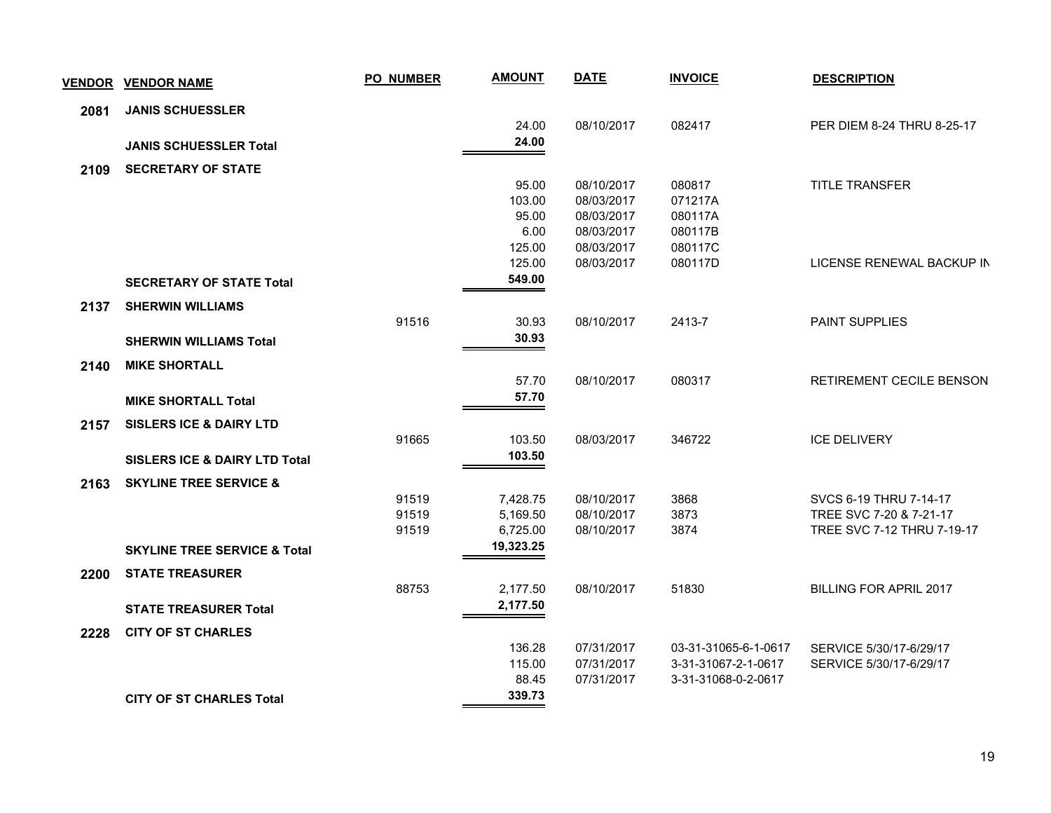| <b>VENDOR</b> | <b>VENDOR NAME</b>                       | <b>PO_NUMBER</b> | <b>AMOUNT</b> | <b>DATE</b> | <b>INVOICE</b>       | <b>DESCRIPTION</b>            |
|---------------|------------------------------------------|------------------|---------------|-------------|----------------------|-------------------------------|
| 2081          | <b>JANIS SCHUESSLER</b>                  |                  |               |             |                      |                               |
|               |                                          |                  | 24.00         | 08/10/2017  | 082417               | PER DIEM 8-24 THRU 8-25-17    |
|               | <b>JANIS SCHUESSLER Total</b>            |                  | 24.00         |             |                      |                               |
| 2109          | <b>SECRETARY OF STATE</b>                |                  |               |             |                      |                               |
|               |                                          |                  | 95.00         | 08/10/2017  | 080817               | TITLE TRANSFER                |
|               |                                          |                  | 103.00        | 08/03/2017  | 071217A              |                               |
|               |                                          |                  | 95.00         | 08/03/2017  | 080117A              |                               |
|               |                                          |                  | 6.00          | 08/03/2017  | 080117B              |                               |
|               |                                          |                  | 125.00        | 08/03/2017  | 080117C              |                               |
|               |                                          |                  | 125.00        | 08/03/2017  | 080117D              | LICENSE RENEWAL BACKUP IN     |
|               | <b>SECRETARY OF STATE Total</b>          |                  | 549.00        |             |                      |                               |
| 2137          | <b>SHERWIN WILLIAMS</b>                  |                  |               |             |                      |                               |
|               |                                          | 91516            | 30.93         | 08/10/2017  | 2413-7               | <b>PAINT SUPPLIES</b>         |
|               | <b>SHERWIN WILLIAMS Total</b>            |                  | 30.93         |             |                      |                               |
| 2140          | <b>MIKE SHORTALL</b>                     |                  |               |             |                      |                               |
|               |                                          |                  | 57.70         | 08/10/2017  | 080317               | RETIREMENT CECILE BENSON      |
|               | <b>MIKE SHORTALL Total</b>               |                  | 57.70         |             |                      |                               |
| 2157          | <b>SISLERS ICE &amp; DAIRY LTD</b>       |                  |               |             |                      |                               |
|               |                                          | 91665            | 103.50        | 08/03/2017  | 346722               | <b>ICE DELIVERY</b>           |
|               | <b>SISLERS ICE &amp; DAIRY LTD Total</b> |                  | 103.50        |             |                      |                               |
| 2163          | <b>SKYLINE TREE SERVICE &amp;</b>        |                  |               |             |                      |                               |
|               |                                          | 91519            | 7,428.75      | 08/10/2017  | 3868                 | SVCS 6-19 THRU 7-14-17        |
|               |                                          | 91519            | 5,169.50      | 08/10/2017  | 3873                 | TREE SVC 7-20 & 7-21-17       |
|               |                                          | 91519            | 6,725.00      | 08/10/2017  | 3874                 | TREE SVC 7-12 THRU 7-19-17    |
|               | <b>SKYLINE TREE SERVICE &amp; Total</b>  |                  | 19,323.25     |             |                      |                               |
| 2200          | <b>STATE TREASURER</b>                   |                  |               |             |                      |                               |
|               |                                          | 88753            | 2,177.50      | 08/10/2017  | 51830                | <b>BILLING FOR APRIL 2017</b> |
|               | <b>STATE TREASURER Total</b>             |                  | 2,177.50      |             |                      |                               |
| 2228          | <b>CITY OF ST CHARLES</b>                |                  |               |             |                      |                               |
|               |                                          |                  | 136.28        | 07/31/2017  | 03-31-31065-6-1-0617 | SERVICE 5/30/17-6/29/17       |
|               |                                          |                  | 115.00        | 07/31/2017  | 3-31-31067-2-1-0617  | SERVICE 5/30/17-6/29/17       |
|               |                                          |                  | 88.45         | 07/31/2017  | 3-31-31068-0-2-0617  |                               |
|               | <b>CITY OF ST CHARLES Total</b>          |                  | 339.73        |             |                      |                               |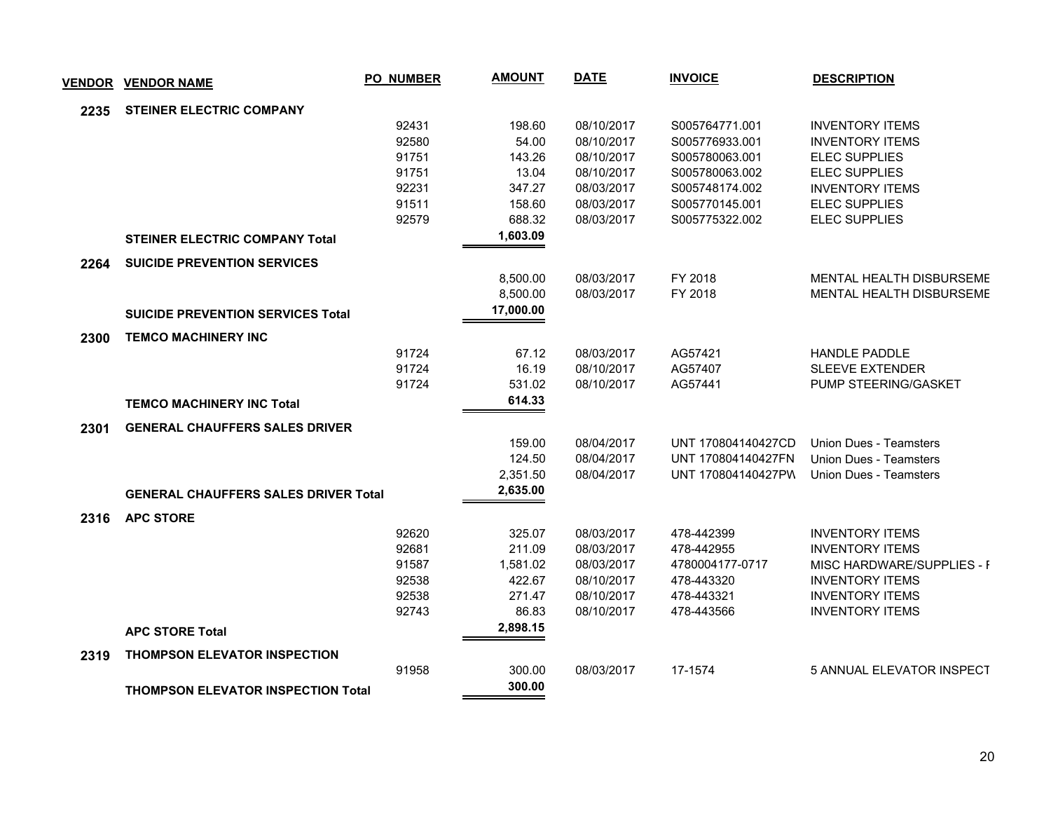| <b>VENDOR</b> | <b>VENDOR NAME</b>                          | <b>PO_NUMBER</b> | <b>AMOUNT</b> | <b>DATE</b> | <b>INVOICE</b>     | <b>DESCRIPTION</b>               |
|---------------|---------------------------------------------|------------------|---------------|-------------|--------------------|----------------------------------|
| 2235          | <b>STEINER ELECTRIC COMPANY</b>             |                  |               |             |                    |                                  |
|               |                                             | 92431            | 198.60        | 08/10/2017  | S005764771.001     | <b>INVENTORY ITEMS</b>           |
|               |                                             | 92580            | 54.00         | 08/10/2017  | S005776933.001     | <b>INVENTORY ITEMS</b>           |
|               |                                             | 91751            | 143.26        | 08/10/2017  | S005780063.001     | <b>ELEC SUPPLIES</b>             |
|               |                                             | 91751            | 13.04         | 08/10/2017  | S005780063.002     | <b>ELEC SUPPLIES</b>             |
|               |                                             | 92231            | 347.27        | 08/03/2017  | S005748174.002     | <b>INVENTORY ITEMS</b>           |
|               |                                             | 91511            | 158.60        | 08/03/2017  | S005770145.001     | <b>ELEC SUPPLIES</b>             |
|               |                                             | 92579            | 688.32        | 08/03/2017  | S005775322.002     | <b>ELEC SUPPLIES</b>             |
|               | <b>STEINER ELECTRIC COMPANY Total</b>       |                  | 1,603.09      |             |                    |                                  |
| 2264          | <b>SUICIDE PREVENTION SERVICES</b>          |                  |               |             |                    |                                  |
|               |                                             |                  | 8,500.00      | 08/03/2017  | FY 2018            | MENTAL HEALTH DISBURSEME         |
|               |                                             |                  | 8,500.00      | 08/03/2017  | FY 2018            | <b>MENTAL HEALTH DISBURSEME</b>  |
|               | <b>SUICIDE PREVENTION SERVICES Total</b>    |                  | 17,000.00     |             |                    |                                  |
| 2300          | <b>TEMCO MACHINERY INC</b>                  |                  |               |             |                    |                                  |
|               |                                             | 91724            | 67.12         | 08/03/2017  | AG57421            | <b>HANDLE PADDLE</b>             |
|               |                                             | 91724            | 16.19         | 08/10/2017  | AG57407            | <b>SLEEVE EXTENDER</b>           |
|               |                                             | 91724            | 531.02        | 08/10/2017  | AG57441            | PUMP STEERING/GASKET             |
|               | <b>TEMCO MACHINERY INC Total</b>            |                  | 614.33        |             |                    |                                  |
| 2301          | <b>GENERAL CHAUFFERS SALES DRIVER</b>       |                  |               |             |                    |                                  |
|               |                                             |                  | 159.00        | 08/04/2017  | UNT 170804140427CD | Union Dues - Teamsters           |
|               |                                             |                  | 124.50        | 08/04/2017  | UNT 170804140427FN | Union Dues - Teamsters           |
|               |                                             |                  | 2,351.50      | 08/04/2017  | UNT 170804140427PW | Union Dues - Teamsters           |
|               | <b>GENERAL CHAUFFERS SALES DRIVER Total</b> |                  | 2,635.00      |             |                    |                                  |
| 2316          | <b>APC STORE</b>                            |                  |               |             |                    |                                  |
|               |                                             | 92620            | 325.07        | 08/03/2017  | 478-442399         | <b>INVENTORY ITEMS</b>           |
|               |                                             | 92681            | 211.09        | 08/03/2017  | 478-442955         | <b>INVENTORY ITEMS</b>           |
|               |                                             | 91587            | 1,581.02      | 08/03/2017  | 4780004177-0717    | MISC HARDWARE/SUPPLIES - F       |
|               |                                             | 92538            | 422.67        | 08/10/2017  | 478-443320         | <b>INVENTORY ITEMS</b>           |
|               |                                             | 92538            | 271.47        | 08/10/2017  | 478-443321         | <b>INVENTORY ITEMS</b>           |
|               |                                             | 92743            | 86.83         | 08/10/2017  | 478-443566         | <b>INVENTORY ITEMS</b>           |
|               | <b>APC STORE Total</b>                      |                  | 2,898.15      |             |                    |                                  |
| 2319          | <b>THOMPSON ELEVATOR INSPECTION</b>         |                  |               |             |                    |                                  |
|               |                                             | 91958            | 300.00        | 08/03/2017  | 17-1574            | <b>5 ANNUAL ELEVATOR INSPECT</b> |
|               | <b>THOMPSON ELEVATOR INSPECTION Total</b>   |                  | 300.00        |             |                    |                                  |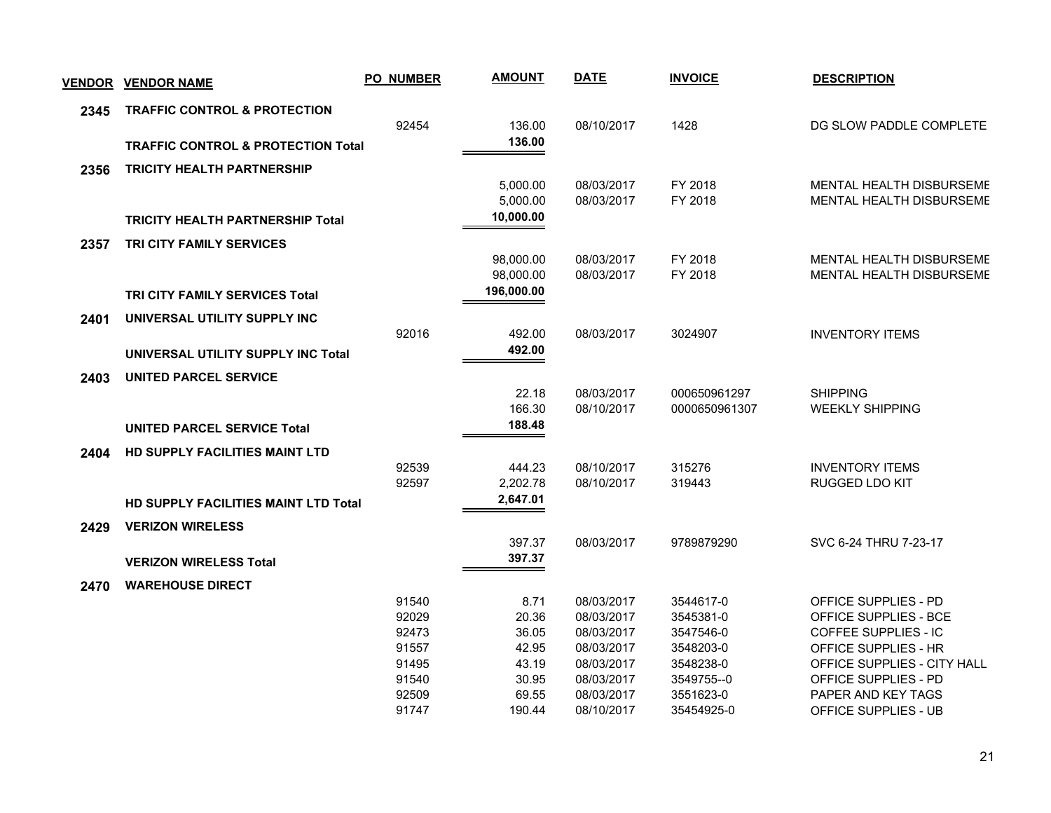| <b>VENDOR</b> | <b>VENDOR NAME</b>                            | <b>PO_NUMBER</b> | <b>AMOUNT</b>           | <b>DATE</b>              | <b>INVOICE</b>                | <b>DESCRIPTION</b>                        |
|---------------|-----------------------------------------------|------------------|-------------------------|--------------------------|-------------------------------|-------------------------------------------|
| 2345          | <b>TRAFFIC CONTROL &amp; PROTECTION</b>       |                  |                         |                          |                               |                                           |
|               |                                               | 92454            | 136.00                  | 08/10/2017               | 1428                          | DG SLOW PADDLE COMPLETE                   |
|               | <b>TRAFFIC CONTROL &amp; PROTECTION Total</b> |                  | 136.00                  |                          |                               |                                           |
| 2356          | <b>TRICITY HEALTH PARTNERSHIP</b>             |                  |                         |                          |                               |                                           |
|               |                                               |                  | 5.000.00                | 08/03/2017               | FY 2018                       | MENTAL HEALTH DISBURSEME                  |
|               |                                               |                  | 5,000.00<br>10,000.00   | 08/03/2017               | FY 2018                       | MENTAL HEALTH DISBURSEME                  |
|               | <b>TRICITY HEALTH PARTNERSHIP Total</b>       |                  |                         |                          |                               |                                           |
| 2357          | <b>TRI CITY FAMILY SERVICES</b>               |                  |                         |                          |                               |                                           |
|               |                                               |                  | 98.000.00               | 08/03/2017               | FY 2018                       | MENTAL HEALTH DISBURSEME                  |
|               |                                               |                  | 98,000.00<br>196,000.00 | 08/03/2017               | FY 2018                       | <b>MENTAL HEALTH DISBURSEME</b>           |
|               | <b>TRI CITY FAMILY SERVICES Total</b>         |                  |                         |                          |                               |                                           |
| 2401          | UNIVERSAL UTILITY SUPPLY INC                  |                  |                         |                          |                               |                                           |
|               |                                               | 92016            | 492.00<br>492.00        | 08/03/2017               | 3024907                       | <b>INVENTORY ITEMS</b>                    |
|               | UNIVERSAL UTILITY SUPPLY INC Total            |                  |                         |                          |                               |                                           |
| 2403          | <b>UNITED PARCEL SERVICE</b>                  |                  |                         |                          |                               |                                           |
|               |                                               |                  | 22.18<br>166.30         | 08/03/2017<br>08/10/2017 | 000650961297<br>0000650961307 | <b>SHIPPING</b><br><b>WEEKLY SHIPPING</b> |
|               | <b>UNITED PARCEL SERVICE Total</b>            |                  | 188.48                  |                          |                               |                                           |
|               |                                               |                  |                         |                          |                               |                                           |
| 2404          | <b>HD SUPPLY FACILITIES MAINT LTD</b>         | 92539            | 444.23                  | 08/10/2017               | 315276                        | <b>INVENTORY ITEMS</b>                    |
|               |                                               | 92597            | 2,202.78                | 08/10/2017               | 319443                        | RUGGED LDO KIT                            |
|               | <b>HD SUPPLY FACILITIES MAINT LTD Total</b>   |                  | 2,647.01                |                          |                               |                                           |
| 2429          | <b>VERIZON WIRELESS</b>                       |                  |                         |                          |                               |                                           |
|               |                                               |                  | 397.37                  | 08/03/2017               | 9789879290                    | SVC 6-24 THRU 7-23-17                     |
|               | <b>VERIZON WIRELESS Total</b>                 |                  | 397.37                  |                          |                               |                                           |
| 2470          | <b>WAREHOUSE DIRECT</b>                       |                  |                         |                          |                               |                                           |
|               |                                               | 91540            | 8.71                    | 08/03/2017               | 3544617-0                     | OFFICE SUPPLIES - PD                      |
|               |                                               | 92029            | 20.36                   | 08/03/2017               | 3545381-0                     | OFFICE SUPPLIES - BCE                     |
|               |                                               | 92473            | 36.05                   | 08/03/2017               | 3547546-0                     | <b>COFFEE SUPPLIES - IC</b>               |
|               |                                               | 91557            | 42.95                   | 08/03/2017               | 3548203-0                     | OFFICE SUPPLIES - HR                      |
|               |                                               | 91495            | 43.19                   | 08/03/2017               | 3548238-0                     | OFFICE SUPPLIES - CITY HALL               |
|               |                                               | 91540            | 30.95                   | 08/03/2017               | 3549755--0                    | OFFICE SUPPLIES - PD                      |
|               |                                               | 92509            | 69.55                   | 08/03/2017               | 3551623-0                     | PAPER AND KEY TAGS                        |
|               |                                               | 91747            | 190.44                  | 08/10/2017               | 35454925-0                    | OFFICE SUPPLIES - UB                      |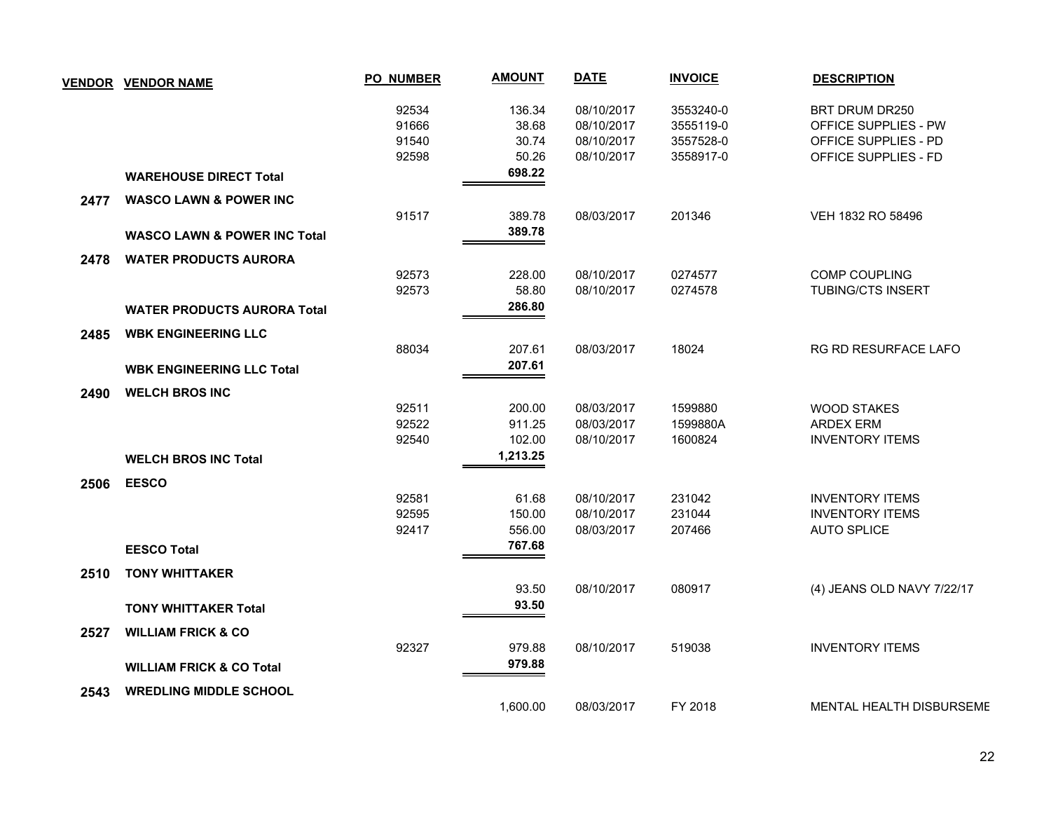| <b>VENDOR</b> | <b>VENDOR NAME</b>                      | <b>PO_NUMBER</b> | <b>AMOUNT</b> | <b>DATE</b> | <b>INVOICE</b> | <b>DESCRIPTION</b>         |
|---------------|-----------------------------------------|------------------|---------------|-------------|----------------|----------------------------|
|               |                                         | 92534            | 136.34        | 08/10/2017  | 3553240-0      | BRT DRUM DR250             |
|               |                                         | 91666            | 38.68         | 08/10/2017  | 3555119-0      | OFFICE SUPPLIES - PW       |
|               |                                         | 91540            | 30.74         | 08/10/2017  | 3557528-0      | OFFICE SUPPLIES - PD       |
|               |                                         | 92598            | 50.26         | 08/10/2017  | 3558917-0      | OFFICE SUPPLIES - FD       |
|               | <b>WAREHOUSE DIRECT Total</b>           |                  | 698.22        |             |                |                            |
| 2477          | <b>WASCO LAWN &amp; POWER INC</b>       |                  |               |             |                |                            |
|               |                                         | 91517            | 389.78        | 08/03/2017  | 201346         | VEH 1832 RO 58496          |
|               | <b>WASCO LAWN &amp; POWER INC Total</b> |                  | 389.78        |             |                |                            |
| 2478          | <b>WATER PRODUCTS AURORA</b>            |                  |               |             |                |                            |
|               |                                         | 92573            | 228.00        | 08/10/2017  | 0274577        | <b>COMP COUPLING</b>       |
|               |                                         | 92573            | 58.80         | 08/10/2017  | 0274578        | <b>TUBING/CTS INSERT</b>   |
|               | <b>WATER PRODUCTS AURORA Total</b>      |                  | 286.80        |             |                |                            |
| 2485          | <b>WBK ENGINEERING LLC</b>              |                  |               |             |                |                            |
|               |                                         | 88034            | 207.61        | 08/03/2017  | 18024          | RG RD RESURFACE LAFO       |
|               |                                         |                  | 207.61        |             |                |                            |
|               | <b>WBK ENGINEERING LLC Total</b>        |                  |               |             |                |                            |
| 2490          | <b>WELCH BROS INC</b>                   |                  |               |             |                |                            |
|               |                                         | 92511            | 200.00        | 08/03/2017  | 1599880        | <b>WOOD STAKES</b>         |
|               |                                         | 92522            | 911.25        | 08/03/2017  | 1599880A       | <b>ARDEX ERM</b>           |
|               |                                         | 92540            | 102.00        | 08/10/2017  | 1600824        | <b>INVENTORY ITEMS</b>     |
|               | <b>WELCH BROS INC Total</b>             |                  | 1,213.25      |             |                |                            |
| 2506          | <b>EESCO</b>                            |                  |               |             |                |                            |
|               |                                         | 92581            | 61.68         | 08/10/2017  | 231042         | <b>INVENTORY ITEMS</b>     |
|               |                                         | 92595            | 150.00        | 08/10/2017  | 231044         | <b>INVENTORY ITEMS</b>     |
|               |                                         | 92417            | 556.00        | 08/03/2017  | 207466         | <b>AUTO SPLICE</b>         |
|               | <b>EESCO Total</b>                      |                  | 767.68        |             |                |                            |
| 2510          | <b>TONY WHITTAKER</b>                   |                  |               |             |                |                            |
|               |                                         |                  | 93.50         | 08/10/2017  | 080917         | (4) JEANS OLD NAVY 7/22/17 |
|               | <b>TONY WHITTAKER Total</b>             |                  | 93.50         |             |                |                            |
| 2527          | <b>WILLIAM FRICK &amp; CO</b>           |                  |               |             |                |                            |
|               |                                         | 92327            | 979.88        | 08/10/2017  | 519038         | <b>INVENTORY ITEMS</b>     |
|               |                                         |                  | 979.88        |             |                |                            |
|               | <b>WILLIAM FRICK &amp; CO Total</b>     |                  |               |             |                |                            |
| 2543          | <b>WREDLING MIDDLE SCHOOL</b>           |                  |               |             |                |                            |
|               |                                         |                  | 1,600.00      | 08/03/2017  | FY 2018        | MENTAL HEALTH DISBURSEME   |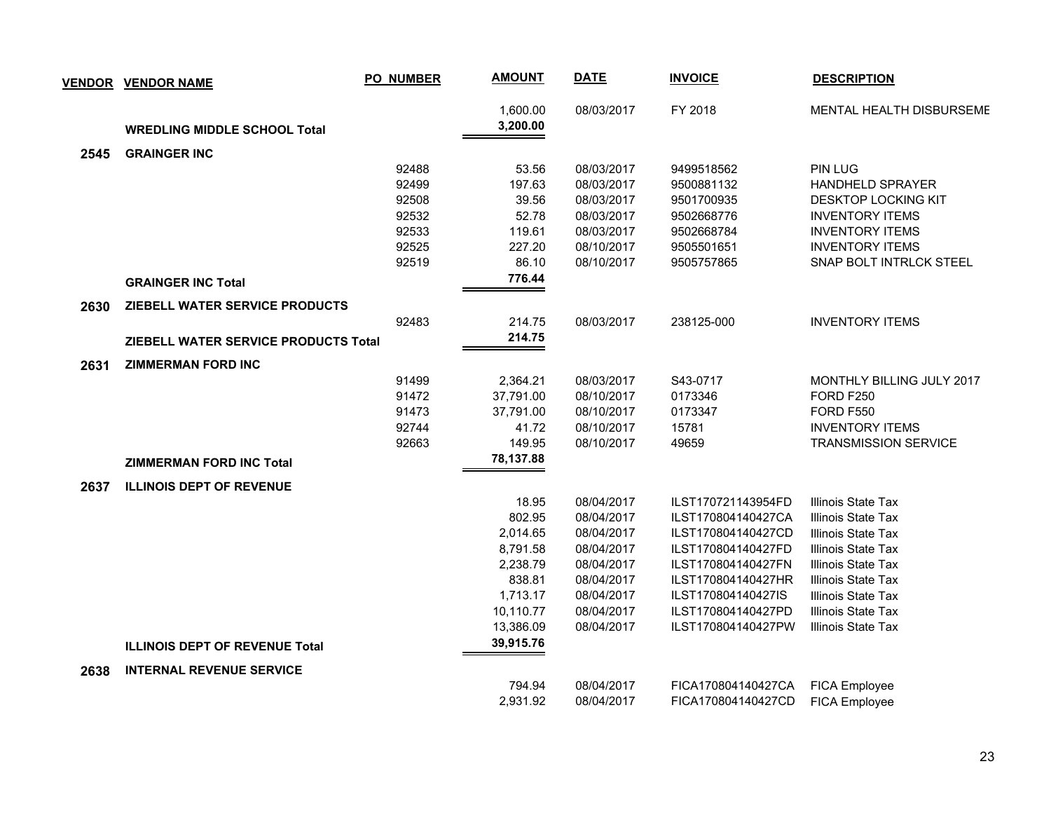| <b>VENDOR</b> | <b>VENDOR NAME</b>                          | <b>PO_NUMBER</b> | <b>AMOUNT</b>        | <b>DATE</b> | <b>INVOICE</b>     | <b>DESCRIPTION</b>               |
|---------------|---------------------------------------------|------------------|----------------------|-------------|--------------------|----------------------------------|
|               | <b>WREDLING MIDDLE SCHOOL Total</b>         |                  | 1,600.00<br>3,200.00 | 08/03/2017  | FY 2018            | MENTAL HEALTH DISBURSEME         |
| 2545          | <b>GRAINGER INC</b>                         |                  |                      |             |                    |                                  |
|               |                                             | 92488            | 53.56                | 08/03/2017  | 9499518562         | <b>PIN LUG</b>                   |
|               |                                             | 92499            | 197.63               | 08/03/2017  | 9500881132         | <b>HANDHELD SPRAYER</b>          |
|               |                                             | 92508            | 39.56                | 08/03/2017  | 9501700935         | <b>DESKTOP LOCKING KIT</b>       |
|               |                                             | 92532            | 52.78                | 08/03/2017  | 9502668776         | <b>INVENTORY ITEMS</b>           |
|               |                                             | 92533            | 119.61               | 08/03/2017  | 9502668784         | <b>INVENTORY ITEMS</b>           |
|               |                                             | 92525            | 227.20               | 08/10/2017  | 9505501651         | <b>INVENTORY ITEMS</b>           |
|               |                                             | 92519            | 86.10                | 08/10/2017  | 9505757865         | SNAP BOLT INTRLCK STEEL          |
|               | <b>GRAINGER INC Total</b>                   |                  | 776.44               |             |                    |                                  |
| 2630          | ZIEBELL WATER SERVICE PRODUCTS              |                  |                      |             |                    |                                  |
|               |                                             | 92483            | 214.75               | 08/03/2017  | 238125-000         | <b>INVENTORY ITEMS</b>           |
|               | <b>ZIEBELL WATER SERVICE PRODUCTS Total</b> |                  | 214.75               |             |                    |                                  |
|               |                                             |                  |                      |             |                    |                                  |
| 2631          | <b>ZIMMERMAN FORD INC</b>                   | 91499            | 2,364.21             | 08/03/2017  | S43-0717           | <b>MONTHLY BILLING JULY 2017</b> |
|               |                                             | 91472            | 37,791.00            | 08/10/2017  | 0173346            | <b>FORD F250</b>                 |
|               |                                             | 91473            | 37,791.00            | 08/10/2017  | 0173347            | <b>FORD F550</b>                 |
|               |                                             | 92744            | 41.72                | 08/10/2017  | 15781              | <b>INVENTORY ITEMS</b>           |
|               |                                             | 92663            | 149.95               | 08/10/2017  | 49659              | <b>TRANSMISSION SERVICE</b>      |
|               | <b>ZIMMERMAN FORD INC Total</b>             |                  | 78,137.88            |             |                    |                                  |
| 2637          | <b>ILLINOIS DEPT OF REVENUE</b>             |                  |                      |             |                    |                                  |
|               |                                             |                  | 18.95                | 08/04/2017  | ILST170721143954FD | Illinois State Tax               |
|               |                                             |                  | 802.95               | 08/04/2017  | ILST170804140427CA | <b>Illinois State Tax</b>        |
|               |                                             |                  | 2,014.65             | 08/04/2017  | ILST170804140427CD | Illinois State Tax               |
|               |                                             |                  | 8,791.58             | 08/04/2017  | ILST170804140427FD | Illinois State Tax               |
|               |                                             |                  | 2,238.79             | 08/04/2017  | ILST170804140427FN | Illinois State Tax               |
|               |                                             |                  | 838.81               | 08/04/2017  | ILST170804140427HR | Illinois State Tax               |
|               |                                             |                  | 1,713.17             | 08/04/2017  | ILST170804140427IS | Illinois State Tax               |
|               |                                             |                  | 10,110.77            | 08/04/2017  | ILST170804140427PD | Illinois State Tax               |
|               |                                             |                  | 13,386.09            | 08/04/2017  | ILST170804140427PW | Illinois State Tax               |
|               | <b>ILLINOIS DEPT OF REVENUE Total</b>       |                  | 39,915.76            |             |                    |                                  |
| 2638          | <b>INTERNAL REVENUE SERVICE</b>             |                  |                      |             |                    |                                  |
|               |                                             |                  | 794.94               | 08/04/2017  | FICA170804140427CA | <b>FICA Employee</b>             |
|               |                                             |                  | 2,931.92             | 08/04/2017  | FICA170804140427CD | <b>FICA Employee</b>             |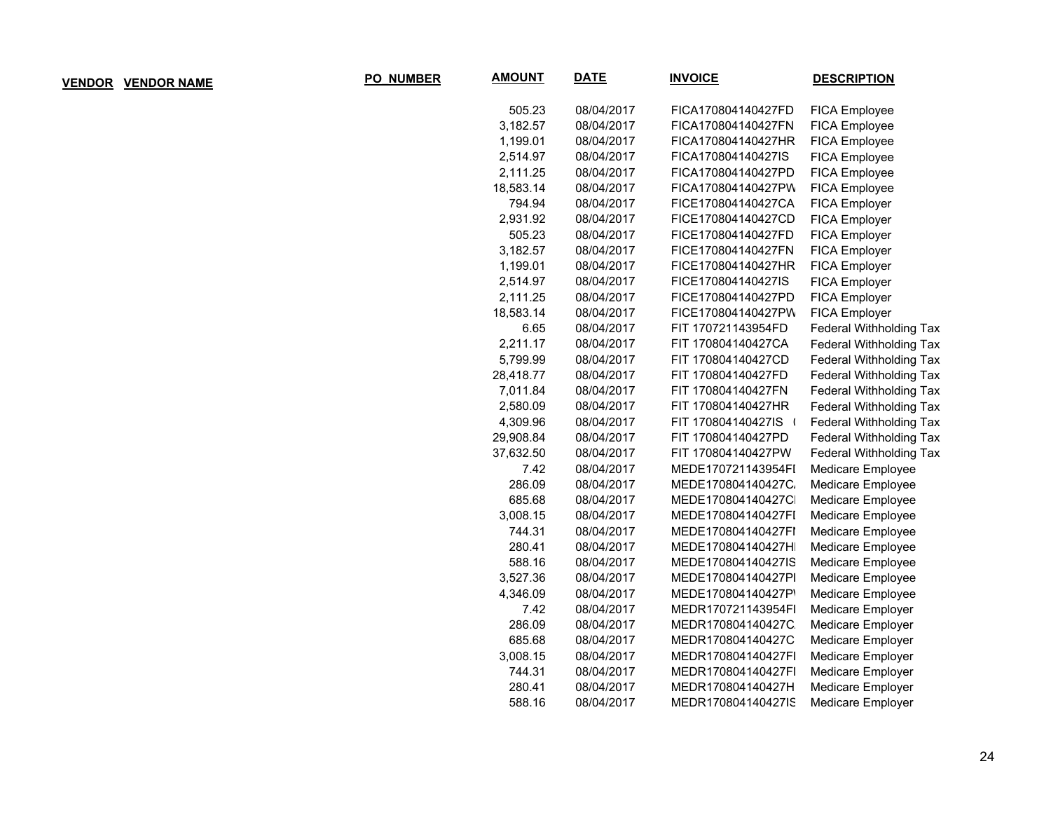| <b>D_NUMBER</b> | <b>AMOUNT</b> | DATE       | <b>INVOICE</b>     | <b>DESCRIPTION</b>             |
|-----------------|---------------|------------|--------------------|--------------------------------|
|                 | 505.23        | 08/04/2017 | FICA170804140427FD | FICA Employee                  |
|                 | 3,182.57      | 08/04/2017 | FICA170804140427FN | FICA Employee                  |
|                 | 1,199.01      | 08/04/2017 | FICA170804140427HR | <b>FICA Employee</b>           |
|                 | 2,514.97      | 08/04/2017 | FICA170804140427IS | <b>FICA Employee</b>           |
|                 | 2,111.25      | 08/04/2017 | FICA170804140427PD | <b>FICA Employee</b>           |
|                 | 18,583.14     | 08/04/2017 | FICA170804140427PW | FICA Employee                  |
|                 | 794.94        | 08/04/2017 | FICE170804140427CA | FICA Employer                  |
|                 | 2,931.92      | 08/04/2017 | FICE170804140427CD | FICA Employer                  |
|                 | 505.23        | 08/04/2017 | FICE170804140427FD | FICA Employer                  |
|                 | 3,182.57      | 08/04/2017 | FICE170804140427FN | FICA Employer                  |
|                 | 1,199.01      | 08/04/2017 | FICE170804140427HR | FICA Employer                  |
|                 | 2,514.97      | 08/04/2017 | FICE170804140427IS | FICA Employer                  |
|                 | 2,111.25      | 08/04/2017 | FICE170804140427PD | FICA Employer                  |
|                 | 18,583.14     | 08/04/2017 | FICE170804140427PW | FICA Employer                  |
|                 | 6.65          | 08/04/2017 | FIT 170721143954FD | <b>Federal Withholding Tax</b> |
|                 | 2,211.17      | 08/04/2017 | FIT 170804140427CA | Federal Withholding Tax        |
|                 | 5,799.99      | 08/04/2017 | FIT 170804140427CD | <b>Federal Withholding Tax</b> |
|                 | 28,418.77     | 08/04/2017 | FIT 170804140427FD | Federal Withholding Tax        |
|                 | 7,011.84      | 08/04/2017 | FIT 170804140427FN | Federal Withholding Tax        |
|                 | 2,580.09      | 08/04/2017 | FIT 170804140427HR | Federal Withholding Tax        |
|                 | 4,309.96      | 08/04/2017 | FIT 170804140427IS | Federal Withholding Tax        |
|                 | 29,908.84     | 08/04/2017 | FIT 170804140427PD | <b>Federal Withholding Tax</b> |
|                 | 37,632.50     | 08/04/2017 | FIT 170804140427PW | <b>Federal Withholding Tax</b> |
|                 | 7.42          | 08/04/2017 | MEDE170721143954FI | Medicare Employee              |
|                 | 286.09        | 08/04/2017 | MEDE170804140427C. | Medicare Employee              |
|                 | 685.68        | 08/04/2017 | MEDE170804140427C  | Medicare Employee              |
|                 | 3,008.15      | 08/04/2017 | MEDE170804140427FI | Medicare Employee              |
|                 | 744.31        | 08/04/2017 | MEDE170804140427FI | Medicare Employee              |
|                 | 280.41        | 08/04/2017 | MEDE170804140427H  | Medicare Employee              |
|                 | 588.16        | 08/04/2017 | MEDE170804140427IS | Medicare Employee              |
|                 | 3,527.36      | 08/04/2017 | MEDE170804140427PI | Medicare Employee              |
|                 | 4,346.09      | 08/04/2017 | MEDE170804140427P' | Medicare Employee              |
|                 | 7.42          | 08/04/2017 | MEDR170721143954FI | Medicare Employer              |
|                 | 286.09        | 08/04/2017 | MEDR170804140427C  | Medicare Employer              |
|                 | 685.68        | 08/04/2017 | MEDR170804140427C  | Medicare Employer              |
|                 | 3,008.15      | 08/04/2017 | MEDR170804140427FI | Medicare Employer              |
|                 | 744.31        | 08/04/2017 | MEDR170804140427FI | Medicare Employer              |
|                 | 280.41        | 08/04/2017 | MEDR170804140427H  | Medicare Employer              |
|                 | 588.16        | 08/04/2017 | MEDR170804140427IS | Medicare Employer              |

**VENDOR VENDOR NAME**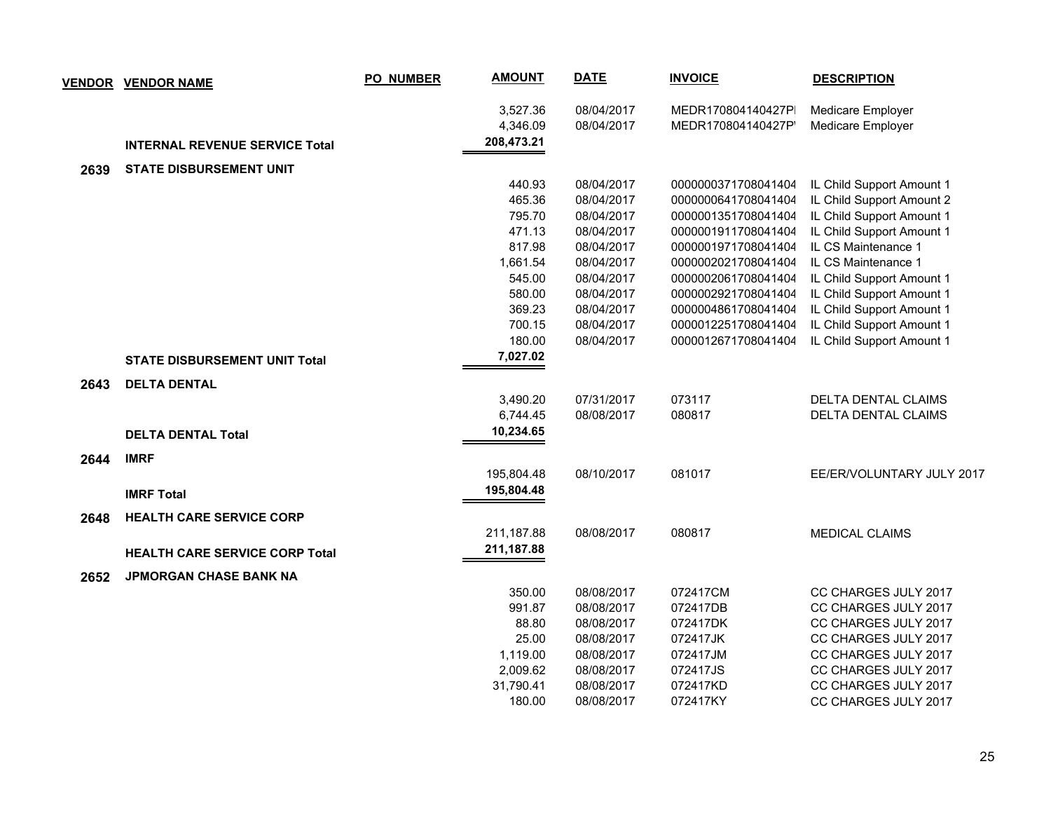|      | <u>VENDOR VENDOR NAME</u>             | <b>PO_NUMBER</b> | <b>AMOUNT</b> | <b>DATE</b> | <b>INVOICE</b>      | <b>DESCRIPTION</b>         |
|------|---------------------------------------|------------------|---------------|-------------|---------------------|----------------------------|
|      |                                       |                  | 3,527.36      | 08/04/2017  | MEDR170804140427P   | Medicare Employer          |
|      |                                       |                  | 4,346.09      | 08/04/2017  | MEDR170804140427P   | Medicare Employer          |
|      | <b>INTERNAL REVENUE SERVICE Total</b> |                  | 208,473.21    |             |                     |                            |
| 2639 | <b>STATE DISBURSEMENT UNIT</b>        |                  |               |             |                     |                            |
|      |                                       |                  | 440.93        | 08/04/2017  | 0000000371708041404 | IL Child Support Amount 1  |
|      |                                       |                  | 465.36        | 08/04/2017  | 0000000641708041404 | IL Child Support Amount 2  |
|      |                                       |                  | 795.70        | 08/04/2017  | 0000001351708041404 | IL Child Support Amount 1  |
|      |                                       |                  | 471.13        | 08/04/2017  | 0000001911708041404 | IL Child Support Amount 1  |
|      |                                       |                  | 817.98        | 08/04/2017  | 0000001971708041404 | IL CS Maintenance 1        |
|      |                                       |                  | 1,661.54      | 08/04/2017  | 0000002021708041404 | IL CS Maintenance 1        |
|      |                                       |                  | 545.00        | 08/04/2017  | 0000002061708041404 | IL Child Support Amount 1  |
|      |                                       |                  | 580.00        | 08/04/2017  | 0000002921708041404 | IL Child Support Amount 1  |
|      |                                       |                  | 369.23        | 08/04/2017  | 0000004861708041404 | IL Child Support Amount 1  |
|      |                                       |                  | 700.15        | 08/04/2017  | 0000012251708041404 | IL Child Support Amount 1  |
|      |                                       |                  | 180.00        | 08/04/2017  | 0000012671708041404 | IL Child Support Amount 1  |
|      | <b>STATE DISBURSEMENT UNIT Total</b>  |                  | 7,027.02      |             |                     |                            |
| 2643 | <b>DELTA DENTAL</b>                   |                  |               |             |                     |                            |
|      |                                       |                  | 3,490.20      | 07/31/2017  | 073117              | <b>DELTA DENTAL CLAIMS</b> |
|      |                                       |                  | 6,744.45      | 08/08/2017  | 080817              | DELTA DENTAL CLAIMS        |
|      | <b>DELTA DENTAL Total</b>             |                  | 10,234.65     |             |                     |                            |
| 2644 | <b>IMRF</b>                           |                  |               |             |                     |                            |
|      |                                       |                  | 195,804.48    | 08/10/2017  | 081017              | EE/ER/VOLUNTARY JULY 2017  |
|      | <b>IMRF Total</b>                     |                  | 195,804.48    |             |                     |                            |
| 2648 | <b>HEALTH CARE SERVICE CORP</b>       |                  |               |             |                     |                            |
|      |                                       |                  | 211,187.88    | 08/08/2017  | 080817              | <b>MEDICAL CLAIMS</b>      |
|      | <b>HEALTH CARE SERVICE CORP Total</b> |                  | 211, 187.88   |             |                     |                            |
| 2652 | <b>JPMORGAN CHASE BANK NA</b>         |                  |               |             |                     |                            |
|      |                                       |                  | 350.00        | 08/08/2017  | 072417CM            | CC CHARGES JULY 2017       |
|      |                                       |                  | 991.87        | 08/08/2017  | 072417DB            | CC CHARGES JULY 2017       |
|      |                                       |                  | 88.80         | 08/08/2017  | 072417DK            | CC CHARGES JULY 2017       |
|      |                                       |                  | 25.00         | 08/08/2017  | 072417JK            | CC CHARGES JULY 2017       |
|      |                                       |                  | 1,119.00      | 08/08/2017  | 072417JM            | CC CHARGES JULY 2017       |
|      |                                       |                  | 2,009.62      | 08/08/2017  | 072417JS            | CC CHARGES JULY 2017       |
|      |                                       |                  | 31,790.41     | 08/08/2017  | 072417KD            | CC CHARGES JULY 2017       |
|      |                                       |                  | 180.00        | 08/08/2017  | 072417KY            | CC CHARGES JULY 2017       |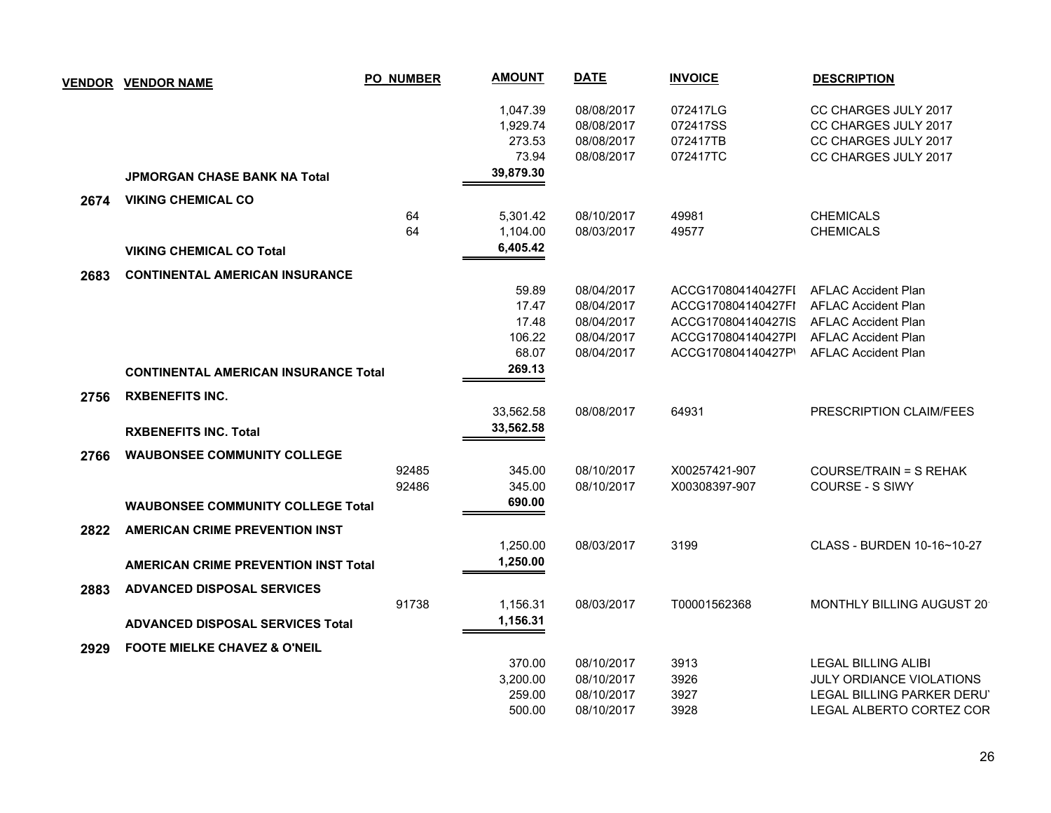|      | <b>VENDOR VENDOR NAME</b>                   | <b>PO_NUMBER</b> | <b>AMOUNT</b> | <b>DATE</b> | <b>INVOICE</b>     | <b>DESCRIPTION</b>         |
|------|---------------------------------------------|------------------|---------------|-------------|--------------------|----------------------------|
|      |                                             |                  | 1,047.39      | 08/08/2017  | 072417LG           | CC CHARGES JULY 2017       |
|      |                                             |                  | 1,929.74      | 08/08/2017  | 072417SS           | CC CHARGES JULY 2017       |
|      |                                             |                  | 273.53        | 08/08/2017  | 072417TB           | CC CHARGES JULY 2017       |
|      |                                             |                  | 73.94         | 08/08/2017  | 072417TC           | CC CHARGES JULY 2017       |
|      | <b>JPMORGAN CHASE BANK NA Total</b>         |                  | 39,879.30     |             |                    |                            |
| 2674 | <b>VIKING CHEMICAL CO</b>                   |                  |               |             |                    |                            |
|      |                                             | 64               | 5,301.42      | 08/10/2017  | 49981              | <b>CHEMICALS</b>           |
|      |                                             | 64               | 1,104.00      | 08/03/2017  | 49577              | <b>CHEMICALS</b>           |
|      | <b>VIKING CHEMICAL CO Total</b>             |                  | 6,405.42      |             |                    |                            |
| 2683 | <b>CONTINENTAL AMERICAN INSURANCE</b>       |                  |               |             |                    |                            |
|      |                                             |                  | 59.89         | 08/04/2017  | ACCG170804140427FI | <b>AFLAC Accident Plan</b> |
|      |                                             |                  | 17.47         | 08/04/2017  | ACCG170804140427FI | <b>AFLAC Accident Plan</b> |
|      |                                             |                  | 17.48         | 08/04/2017  | ACCG170804140427IS | <b>AFLAC Accident Plan</b> |
|      |                                             |                  | 106.22        | 08/04/2017  | ACCG170804140427PI | <b>AFLAC Accident Plan</b> |
|      |                                             |                  | 68.07         | 08/04/2017  | ACCG170804140427P' | <b>AFLAC Accident Plan</b> |
|      | <b>CONTINENTAL AMERICAN INSURANCE Total</b> |                  | 269.13        |             |                    |                            |
| 2756 | <b>RXBENEFITS INC.</b>                      |                  |               |             |                    |                            |
|      |                                             |                  | 33,562.58     | 08/08/2017  | 64931              | PRESCRIPTION CLAIM/FEES    |
|      | <b>RXBENEFITS INC. Total</b>                |                  | 33,562.58     |             |                    |                            |
| 2766 | <b>WAUBONSEE COMMUNITY COLLEGE</b>          |                  |               |             |                    |                            |
|      |                                             | 92485            | 345.00        | 08/10/2017  | X00257421-907      | COURSE/TRAIN = S REHAK     |
|      |                                             | 92486            | 345.00        | 08/10/2017  | X00308397-907      | <b>COURSE - S SIWY</b>     |
|      | <b>WAUBONSEE COMMUNITY COLLEGE Total</b>    |                  | 690.00        |             |                    |                            |
| 2822 | <b>AMERICAN CRIME PREVENTION INST</b>       |                  |               |             |                    |                            |
|      |                                             |                  | 1,250.00      | 08/03/2017  | 3199               | CLASS - BURDEN 10-16~10-27 |
|      | <b>AMERICAN CRIME PREVENTION INST Total</b> |                  | 1,250.00      |             |                    |                            |
| 2883 | <b>ADVANCED DISPOSAL SERVICES</b>           |                  |               |             |                    |                            |
|      |                                             | 91738            | 1,156.31      | 08/03/2017  | T00001562368       | MONTHLY BILLING AUGUST 20  |
|      | <b>ADVANCED DISPOSAL SERVICES Total</b>     |                  | 1,156.31      |             |                    |                            |
| 2929 | <b>FOOTE MIELKE CHAVEZ &amp; O'NEIL</b>     |                  |               |             |                    |                            |
|      |                                             |                  | 370.00        | 08/10/2017  | 3913               | <b>LEGAL BILLING ALIBI</b> |
|      |                                             |                  | 3,200.00      | 08/10/2017  | 3926               | JULY ORDIANCE VIOLATIONS   |
|      |                                             |                  | 259.00        | 08/10/2017  | 3927               | LEGAL BILLING PARKER DERU' |
|      |                                             |                  | 500.00        | 08/10/2017  | 3928               | LEGAL ALBERTO CORTEZ COR   |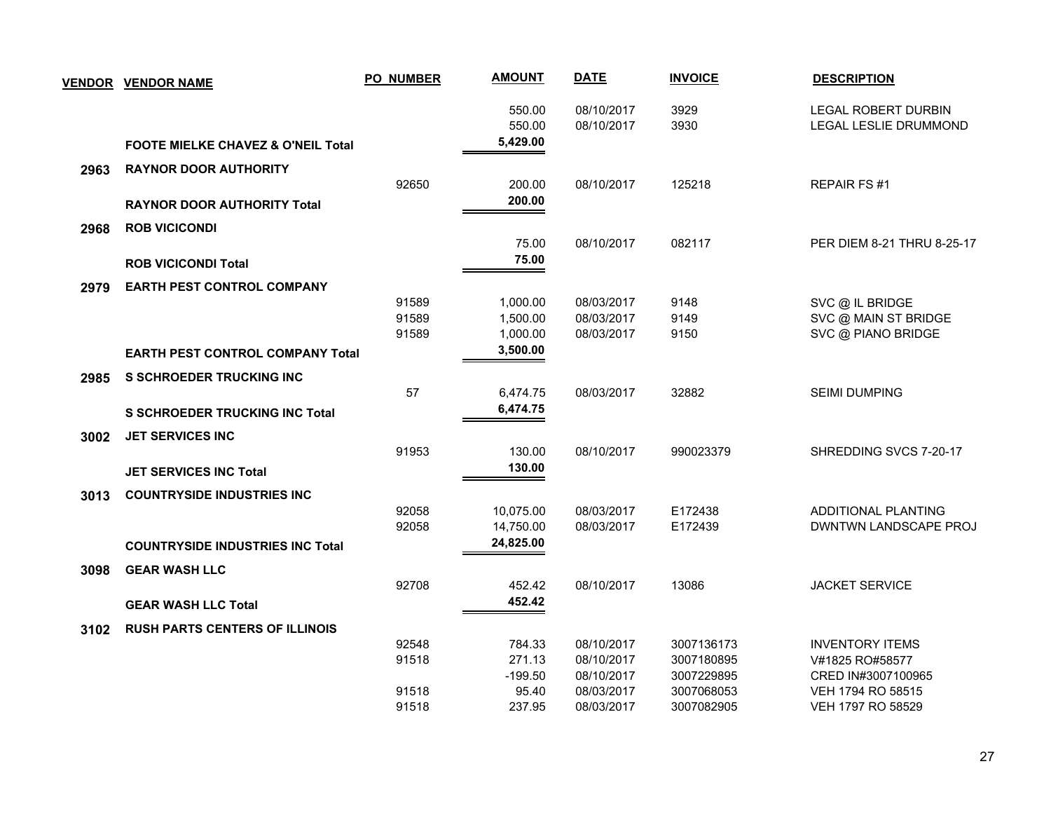| <b>VENDOR</b> | <b>VENDOR NAME</b>                            | <b>PO_NUMBER</b> | <b>AMOUNT</b>    | <b>DATE</b>              | <b>INVOICE</b> | <b>DESCRIPTION</b>                                  |
|---------------|-----------------------------------------------|------------------|------------------|--------------------------|----------------|-----------------------------------------------------|
|               |                                               |                  | 550.00<br>550.00 | 08/10/2017<br>08/10/2017 | 3929<br>3930   | <b>LEGAL ROBERT DURBIN</b><br>LEGAL LESLIE DRUMMOND |
|               | <b>FOOTE MIELKE CHAVEZ &amp; O'NEIL Total</b> |                  | 5,429.00         |                          |                |                                                     |
| 2963          | <b>RAYNOR DOOR AUTHORITY</b>                  |                  |                  |                          |                |                                                     |
|               |                                               | 92650            | 200.00           | 08/10/2017               | 125218         | <b>REPAIR FS#1</b>                                  |
|               | <b>RAYNOR DOOR AUTHORITY Total</b>            |                  | 200.00           |                          |                |                                                     |
| 2968          | <b>ROB VICICONDI</b>                          |                  |                  |                          |                |                                                     |
|               |                                               |                  | 75.00            | 08/10/2017               | 082117         | PER DIEM 8-21 THRU 8-25-17                          |
|               | <b>ROB VICICONDI Total</b>                    |                  | 75.00            |                          |                |                                                     |
| 2979          | <b>EARTH PEST CONTROL COMPANY</b>             |                  |                  |                          |                |                                                     |
|               |                                               | 91589            | 1,000.00         | 08/03/2017               | 9148           | SVC @ IL BRIDGE                                     |
|               |                                               | 91589            | 1,500.00         | 08/03/2017               | 9149           | SVC @ MAIN ST BRIDGE                                |
|               |                                               | 91589            | 1,000.00         | 08/03/2017               | 9150           | SVC @ PIANO BRIDGE                                  |
|               | <b>EARTH PEST CONTROL COMPANY Total</b>       |                  | 3,500.00         |                          |                |                                                     |
| 2985          | <b>S SCHROEDER TRUCKING INC</b>               |                  |                  |                          |                |                                                     |
|               |                                               | 57               | 6,474.75         | 08/03/2017               | 32882          | <b>SEIMI DUMPING</b>                                |
|               | <b>S SCHROEDER TRUCKING INC Total</b>         |                  | 6,474.75         |                          |                |                                                     |
| 3002          | <b>JET SERVICES INC</b>                       |                  |                  |                          |                |                                                     |
|               |                                               | 91953            | 130.00           | 08/10/2017               | 990023379      | SHREDDING SVCS 7-20-17                              |
|               | <b>JET SERVICES INC Total</b>                 |                  | 130.00           |                          |                |                                                     |
| 3013          | <b>COUNTRYSIDE INDUSTRIES INC</b>             |                  |                  |                          |                |                                                     |
|               |                                               | 92058            | 10,075.00        | 08/03/2017               | E172438        | ADDITIONAL PLANTING                                 |
|               |                                               | 92058            | 14,750.00        | 08/03/2017               | E172439        | DWNTWN LANDSCAPE PROJ                               |
|               | <b>COUNTRYSIDE INDUSTRIES INC Total</b>       |                  | 24,825.00        |                          |                |                                                     |
| 3098          | <b>GEAR WASH LLC</b>                          |                  |                  |                          |                |                                                     |
|               |                                               | 92708            | 452.42           | 08/10/2017               | 13086          | <b>JACKET SERVICE</b>                               |
|               | <b>GEAR WASH LLC Total</b>                    |                  | 452.42           |                          |                |                                                     |
| 3102          | <b>RUSH PARTS CENTERS OF ILLINOIS</b>         |                  |                  |                          |                |                                                     |
|               |                                               | 92548            | 784.33           | 08/10/2017               | 3007136173     | <b>INVENTORY ITEMS</b>                              |
|               |                                               | 91518            | 271.13           | 08/10/2017               | 3007180895     | V#1825 RO#58577                                     |
|               |                                               |                  | $-199.50$        | 08/10/2017               | 3007229895     | CRED IN#3007100965                                  |
|               |                                               | 91518            | 95.40            | 08/03/2017               | 3007068053     | VEH 1794 RO 58515                                   |
|               |                                               | 91518            | 237.95           | 08/03/2017               | 3007082905     | VEH 1797 RO 58529                                   |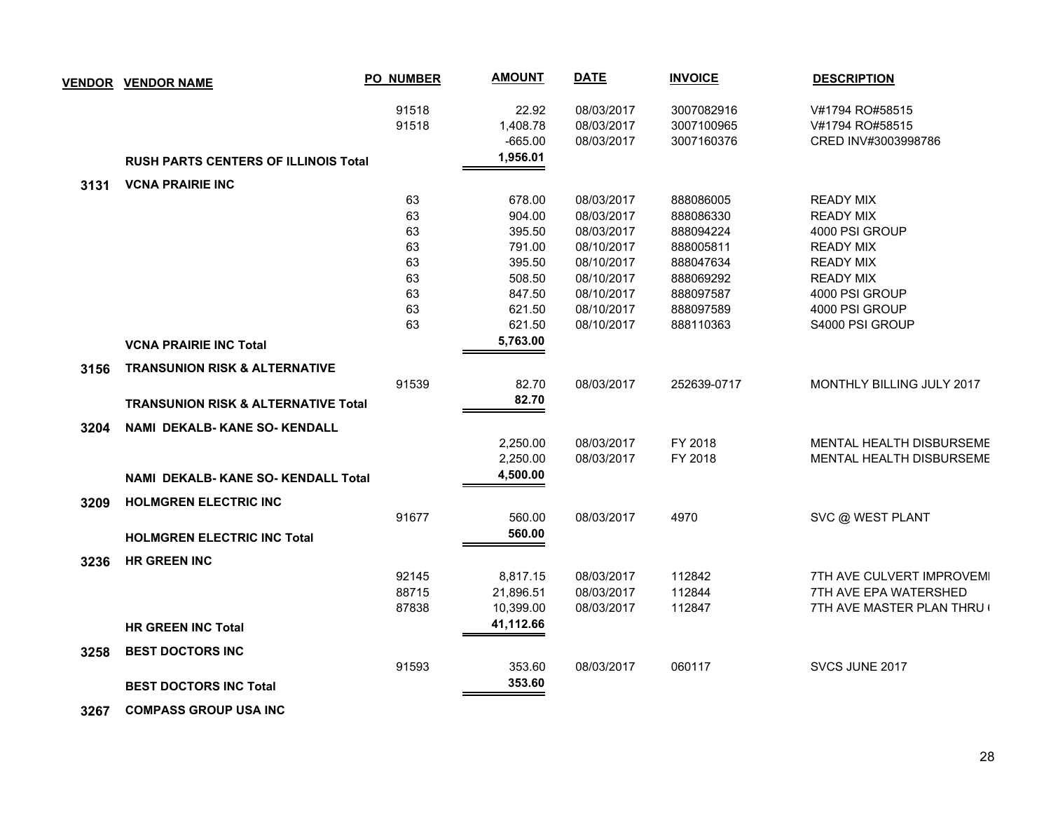|      | <b>VENDOR VENDOR NAME</b>                      | <b>PO_NUMBER</b> | <b>AMOUNT</b> | <b>DATE</b> | <b>INVOICE</b> | <b>DESCRIPTION</b>         |
|------|------------------------------------------------|------------------|---------------|-------------|----------------|----------------------------|
|      |                                                | 91518            | 22.92         | 08/03/2017  | 3007082916     | V#1794 RO#58515            |
|      |                                                | 91518            | 1,408.78      | 08/03/2017  | 3007100965     | V#1794 RO#58515            |
|      |                                                |                  | $-665.00$     | 08/03/2017  | 3007160376     | CRED INV#3003998786        |
|      | <b>RUSH PARTS CENTERS OF ILLINOIS Total</b>    |                  | 1,956.01      |             |                |                            |
| 3131 | <b>VCNA PRAIRIE INC</b>                        |                  |               |             |                |                            |
|      |                                                | 63               | 678.00        | 08/03/2017  | 888086005      | <b>READY MIX</b>           |
|      |                                                | 63               | 904.00        | 08/03/2017  | 888086330      | <b>READY MIX</b>           |
|      |                                                | 63               | 395.50        | 08/03/2017  | 888094224      | 4000 PSI GROUP             |
|      |                                                | 63               | 791.00        | 08/10/2017  | 888005811      | <b>READY MIX</b>           |
|      |                                                | 63               | 395.50        | 08/10/2017  | 888047634      | <b>READY MIX</b>           |
|      |                                                | 63               | 508.50        | 08/10/2017  | 888069292      | <b>READY MIX</b>           |
|      |                                                | 63               | 847.50        | 08/10/2017  | 888097587      | 4000 PSI GROUP             |
|      |                                                | 63               | 621.50        | 08/10/2017  | 888097589      | 4000 PSI GROUP             |
|      |                                                | 63               | 621.50        | 08/10/2017  | 888110363      | S4000 PSI GROUP            |
|      | <b>VCNA PRAIRIE INC Total</b>                  |                  | 5,763.00      |             |                |                            |
| 3156 | <b>TRANSUNION RISK &amp; ALTERNATIVE</b>       |                  |               |             |                |                            |
|      |                                                | 91539            | 82.70         | 08/03/2017  | 252639-0717    | MONTHLY BILLING JULY 2017  |
|      | <b>TRANSUNION RISK &amp; ALTERNATIVE Total</b> |                  | 82.70         |             |                |                            |
| 3204 | <b>NAMI DEKALB-KANE SO-KENDALL</b>             |                  |               |             |                |                            |
|      |                                                |                  | 2,250.00      | 08/03/2017  | FY 2018        | MENTAL HEALTH DISBURSEME   |
|      |                                                |                  | 2,250.00      | 08/03/2017  | FY 2018        | MENTAL HEALTH DISBURSEME   |
|      | <b>NAMI DEKALB-KANE SO-KENDALL Total</b>       |                  | 4,500.00      |             |                |                            |
| 3209 | <b>HOLMGREN ELECTRIC INC</b>                   |                  |               |             |                |                            |
|      |                                                | 91677            | 560.00        | 08/03/2017  | 4970           | SVC @ WEST PLANT           |
|      | <b>HOLMGREN ELECTRIC INC Total</b>             |                  | 560.00        |             |                |                            |
| 3236 | <b>HR GREEN INC</b>                            |                  |               |             |                |                            |
|      |                                                | 92145            | 8,817.15      | 08/03/2017  | 112842         | 7TH AVE CULVERT IMPROVEMI  |
|      |                                                | 88715            | 21,896.51     | 08/03/2017  | 112844         | 7TH AVE EPA WATERSHED      |
|      |                                                | 87838            | 10,399.00     | 08/03/2017  | 112847         | 7TH AVE MASTER PLAN THRU ( |
|      | <b>HR GREEN INC Total</b>                      |                  | 41,112.66     |             |                |                            |
| 3258 | <b>BEST DOCTORS INC</b>                        |                  |               |             |                |                            |
|      |                                                | 91593            | 353.60        | 08/03/2017  | 060117         | SVCS JUNE 2017             |
|      | <b>BEST DOCTORS INC Total</b>                  |                  | 353.60        |             |                |                            |
|      |                                                |                  |               |             |                |                            |

 **3267 COMPASS GROUP USA INC**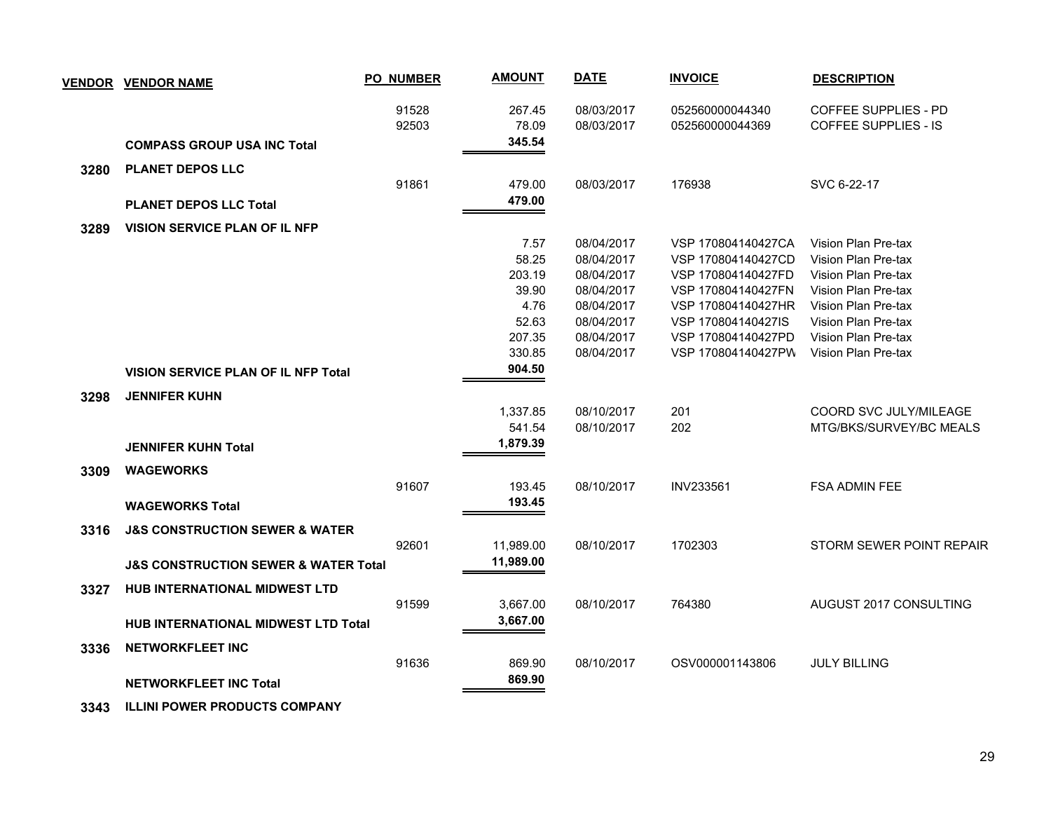|      | <u>VENDOR VENDOR NAME</u>                           | <b>PO_NUMBER</b> | <b>AMOUNT</b>             | <b>DATE</b>              | <b>INVOICE</b>                     | <b>DESCRIPTION</b>                                         |
|------|-----------------------------------------------------|------------------|---------------------------|--------------------------|------------------------------------|------------------------------------------------------------|
|      |                                                     | 91528<br>92503   | 267.45<br>78.09<br>345.54 | 08/03/2017<br>08/03/2017 | 052560000044340<br>052560000044369 | <b>COFFEE SUPPLIES - PD</b><br><b>COFFEE SUPPLIES - IS</b> |
|      | <b>COMPASS GROUP USA INC Total</b>                  |                  |                           |                          |                                    |                                                            |
| 3280 | <b>PLANET DEPOS LLC</b>                             |                  |                           |                          |                                    |                                                            |
|      |                                                     | 91861            | 479.00                    | 08/03/2017               | 176938                             | SVC 6-22-17                                                |
|      | <b>PLANET DEPOS LLC Total</b>                       |                  | 479.00                    |                          |                                    |                                                            |
| 3289 | <b>VISION SERVICE PLAN OF IL NFP</b>                |                  |                           |                          |                                    |                                                            |
|      |                                                     |                  | 7.57                      | 08/04/2017               | VSP 170804140427CA                 | Vision Plan Pre-tax                                        |
|      |                                                     |                  | 58.25                     | 08/04/2017               | VSP 170804140427CD                 | Vision Plan Pre-tax                                        |
|      |                                                     |                  | 203.19                    | 08/04/2017               | VSP 170804140427FD                 | Vision Plan Pre-tax                                        |
|      |                                                     |                  | 39.90                     | 08/04/2017               | VSP 170804140427FN                 | Vision Plan Pre-tax                                        |
|      |                                                     |                  | 4.76                      | 08/04/2017               | VSP 170804140427HR                 | Vision Plan Pre-tax                                        |
|      |                                                     |                  | 52.63                     | 08/04/2017               | VSP 170804140427IS                 | Vision Plan Pre-tax                                        |
|      |                                                     |                  | 207.35                    | 08/04/2017               | VSP 170804140427PD                 | Vision Plan Pre-tax                                        |
|      |                                                     |                  | 330.85                    | 08/04/2017               | VSP 170804140427PW                 | Vision Plan Pre-tax                                        |
|      | <b>VISION SERVICE PLAN OF IL NFP Total</b>          |                  | 904.50                    |                          |                                    |                                                            |
| 3298 | <b>JENNIFER KUHN</b>                                |                  |                           |                          |                                    |                                                            |
|      |                                                     |                  | 1,337.85                  | 08/10/2017               | 201                                | COORD SVC JULY/MILEAGE                                     |
|      |                                                     |                  | 541.54                    | 08/10/2017               | 202                                | MTG/BKS/SURVEY/BC MEALS                                    |
|      | <b>JENNIFER KUHN Total</b>                          |                  | 1,879.39                  |                          |                                    |                                                            |
| 3309 | <b>WAGEWORKS</b>                                    |                  |                           |                          |                                    |                                                            |
|      |                                                     | 91607            | 193.45                    | 08/10/2017               | INV233561                          | FSA ADMIN FEE                                              |
|      | <b>WAGEWORKS Total</b>                              |                  | 193.45                    |                          |                                    |                                                            |
|      |                                                     |                  |                           |                          |                                    |                                                            |
| 3316 | <b>J&amp;S CONSTRUCTION SEWER &amp; WATER</b>       |                  |                           |                          |                                    |                                                            |
|      |                                                     | 92601            | 11,989.00                 | 08/10/2017               | 1702303                            | STORM SEWER POINT REPAIR                                   |
|      | <b>J&amp;S CONSTRUCTION SEWER &amp; WATER Total</b> |                  | 11,989.00                 |                          |                                    |                                                            |
| 3327 | <b>HUB INTERNATIONAL MIDWEST LTD</b>                |                  |                           |                          |                                    |                                                            |
|      |                                                     | 91599            | 3,667.00                  | 08/10/2017               | 764380                             | AUGUST 2017 CONSULTING                                     |
|      | HUB INTERNATIONAL MIDWEST LTD Total                 |                  | 3,667.00                  |                          |                                    |                                                            |
| 3336 | <b>NETWORKFLEET INC</b>                             |                  |                           |                          |                                    |                                                            |
|      |                                                     | 91636            | 869.90                    | 08/10/2017               | OSV000001143806                    | <b>JULY BILLING</b>                                        |
|      |                                                     |                  | 869.90                    |                          |                                    |                                                            |
|      | <b>NETWORKFLEET INC Total</b>                       |                  |                           |                          |                                    |                                                            |
|      |                                                     |                  |                           |                          |                                    |                                                            |

 **3343 ILLINI POWER PRODUCTS COMPANY**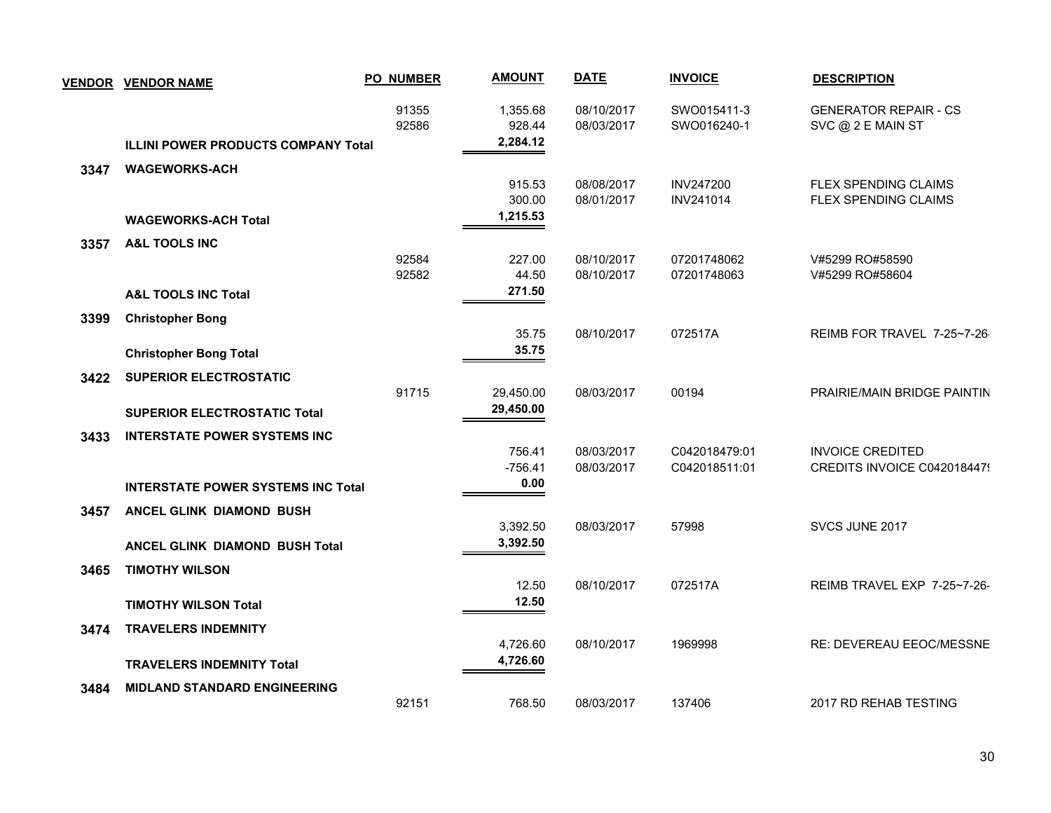|      | <b>VENDOR VENDOR NAME</b>                  | <b>PO_NUMBER</b> | <b>AMOUNT</b>                  | <b>DATE</b>              | <b>INVOICE</b>                | <b>DESCRIPTION</b>                                  |
|------|--------------------------------------------|------------------|--------------------------------|--------------------------|-------------------------------|-----------------------------------------------------|
|      | <b>ILLINI POWER PRODUCTS COMPANY Total</b> | 91355<br>92586   | 1,355.68<br>928.44<br>2,284.12 | 08/10/2017<br>08/03/2017 | SWO015411-3<br>SWO016240-1    | <b>GENERATOR REPAIR - CS</b><br>SVC @ 2 E MAIN ST   |
| 3347 | <b>WAGEWORKS-ACH</b>                       |                  |                                |                          |                               |                                                     |
|      |                                            |                  | 915.53<br>300.00               | 08/08/2017<br>08/01/2017 | <b>INV247200</b><br>INV241014 | FLEX SPENDING CLAIMS<br><b>FLEX SPENDING CLAIMS</b> |
|      | <b>WAGEWORKS-ACH Total</b>                 |                  | 1,215.53                       |                          |                               |                                                     |
| 3357 | <b>A&amp;L TOOLS INC</b>                   |                  |                                |                          |                               |                                                     |
|      |                                            | 92584<br>92582   | 227.00<br>44.50                | 08/10/2017<br>08/10/2017 | 07201748062<br>07201748063    | V#5299 RO#58590<br>V#5299 RO#58604                  |
|      | <b>A&amp;L TOOLS INC Total</b>             |                  | 271.50                         |                          |                               |                                                     |
| 3399 | <b>Christopher Bong</b>                    |                  | 35.75                          | 08/10/2017               | 072517A                       | REIMB FOR TRAVEL 7-25~7-26                          |
|      | <b>Christopher Bong Total</b>              |                  | 35.75                          |                          |                               |                                                     |
| 3422 | <b>SUPERIOR ELECTROSTATIC</b>              |                  |                                |                          |                               |                                                     |
|      |                                            | 91715            | 29,450.00                      | 08/03/2017               | 00194                         | PRAIRIE/MAIN BRIDGE PAINTIN                         |
|      | <b>SUPERIOR ELECTROSTATIC Total</b>        |                  | 29,450.00                      |                          |                               |                                                     |
| 3433 | <b>INTERSTATE POWER SYSTEMS INC</b>        |                  |                                |                          |                               |                                                     |
|      |                                            |                  | 756.41                         | 08/03/2017               | C042018479:01                 | <b>INVOICE CREDITED</b>                             |
|      |                                            |                  | $-756.41$<br>0.00              | 08/03/2017               | C042018511:01                 | CREDITS INVOICE C0420184479                         |
|      | <b>INTERSTATE POWER SYSTEMS INC Total</b>  |                  |                                |                          |                               |                                                     |
| 3457 | ANCEL GLINK DIAMOND BUSH                   |                  |                                |                          |                               |                                                     |
|      |                                            |                  | 3,392.50<br>3,392.50           | 08/03/2017               | 57998                         | SVCS JUNE 2017                                      |
|      | <b>ANCEL GLINK DIAMOND BUSH Total</b>      |                  |                                |                          |                               |                                                     |
| 3465 | <b>TIMOTHY WILSON</b>                      |                  | 12.50                          | 08/10/2017               | 072517A                       | REIMB TRAVEL EXP 7-25~7-26-                         |
|      | <b>TIMOTHY WILSON Total</b>                |                  | 12.50                          |                          |                               |                                                     |
| 3474 | <b>TRAVELERS INDEMNITY</b>                 |                  |                                |                          |                               |                                                     |
|      | <b>TRAVELERS INDEMNITY Total</b>           |                  | 4,726.60<br>4,726.60           | 08/10/2017               | 1969998                       | RE: DEVEREAU EEOC/MESSNE                            |
| 3484 | <b>MIDLAND STANDARD ENGINEERING</b>        |                  |                                |                          |                               |                                                     |
|      |                                            | 92151            | 768.50                         | 08/03/2017               | 137406                        | 2017 RD REHAB TESTING                               |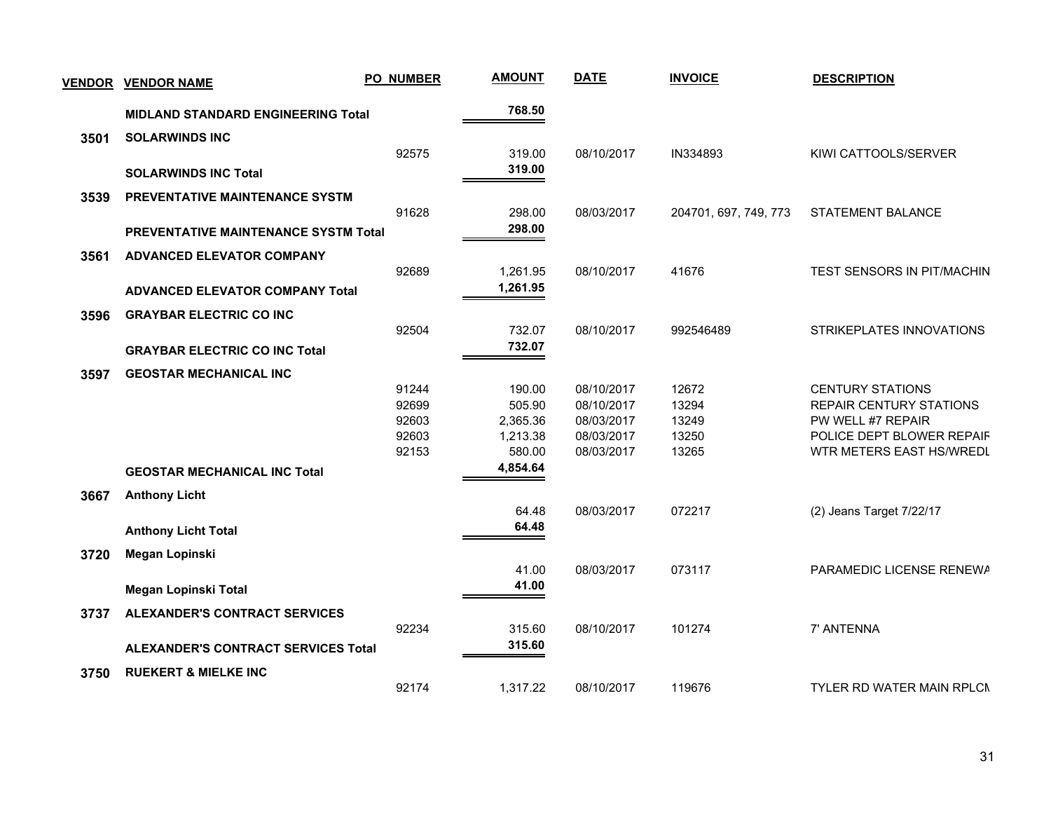| <b>VENDOR</b> | <b>VENDOR NAME</b>                          | <b>PO_NUMBER</b> | <b>AMOUNT</b> | <b>DATE</b> | <b>INVOICE</b>        | <b>DESCRIPTION</b>               |
|---------------|---------------------------------------------|------------------|---------------|-------------|-----------------------|----------------------------------|
|               | <b>MIDLAND STANDARD ENGINEERING Total</b>   |                  | 768.50        |             |                       |                                  |
| 3501          | <b>SOLARWINDS INC</b>                       |                  |               |             |                       |                                  |
|               |                                             | 92575            | 319.00        | 08/10/2017  | IN334893              | KIWI CATTOOLS/SERVER             |
|               | <b>SOLARWINDS INC Total</b>                 |                  | 319.00        |             |                       |                                  |
| 3539          | <b>PREVENTATIVE MAINTENANCE SYSTM</b>       |                  |               |             |                       |                                  |
|               |                                             | 91628            | 298.00        | 08/03/2017  | 204701, 697, 749, 773 | STATEMENT BALANCE                |
|               | <b>PREVENTATIVE MAINTENANCE SYSTM Total</b> |                  | 298.00        |             |                       |                                  |
| 3561          | <b>ADVANCED ELEVATOR COMPANY</b>            |                  |               |             |                       |                                  |
|               |                                             | 92689            | 1,261.95      | 08/10/2017  | 41676                 | TEST SENSORS IN PIT/MACHIN       |
|               | <b>ADVANCED ELEVATOR COMPANY Total</b>      |                  | 1,261.95      |             |                       |                                  |
| 3596          | <b>GRAYBAR ELECTRIC CO INC</b>              |                  |               |             |                       |                                  |
|               |                                             | 92504            | 732.07        | 08/10/2017  | 992546489             | STRIKEPLATES INNOVATIONS         |
|               | <b>GRAYBAR ELECTRIC CO INC Total</b>        |                  | 732.07        |             |                       |                                  |
| 3597          | <b>GEOSTAR MECHANICAL INC</b>               |                  |               |             |                       |                                  |
|               |                                             | 91244            | 190.00        | 08/10/2017  | 12672                 | <b>CENTURY STATIONS</b>          |
|               |                                             | 92699            | 505.90        | 08/10/2017  | 13294                 | <b>REPAIR CENTURY STATIONS</b>   |
|               |                                             | 92603            | 2,365.36      | 08/03/2017  | 13249                 | PW WELL #7 REPAIR                |
|               |                                             | 92603            | 1,213.38      | 08/03/2017  | 13250                 | POLICE DEPT BLOWER REPAIF        |
|               |                                             | 92153            | 580.00        | 08/03/2017  | 13265                 | WTR METERS EAST HS/WREDL         |
|               | <b>GEOSTAR MECHANICAL INC Total</b>         |                  | 4,854.64      |             |                       |                                  |
| 3667          | <b>Anthony Licht</b>                        |                  |               |             |                       |                                  |
|               |                                             |                  | 64.48         | 08/03/2017  | 072217                | (2) Jeans Target 7/22/17         |
|               | <b>Anthony Licht Total</b>                  |                  | 64.48         |             |                       |                                  |
| 3720          | Megan Lopinski                              |                  |               |             |                       |                                  |
|               |                                             |                  | 41.00         | 08/03/2017  | 073117                | PARAMEDIC LICENSE RENEWA         |
|               | Megan Lopinski Total                        |                  | 41.00         |             |                       |                                  |
| 3737          | <b>ALEXANDER'S CONTRACT SERVICES</b>        |                  |               |             |                       |                                  |
|               |                                             | 92234            | 315.60        | 08/10/2017  | 101274                | 7' ANTENNA                       |
|               | <b>ALEXANDER'S CONTRACT SERVICES Total</b>  |                  | 315.60        |             |                       |                                  |
| 3750          | <b>RUEKERT &amp; MIELKE INC</b>             |                  |               |             |                       |                                  |
|               |                                             | 92174            | 1,317.22      | 08/10/2017  | 119676                | <b>TYLER RD WATER MAIN RPLCN</b> |
|               |                                             |                  |               |             |                       |                                  |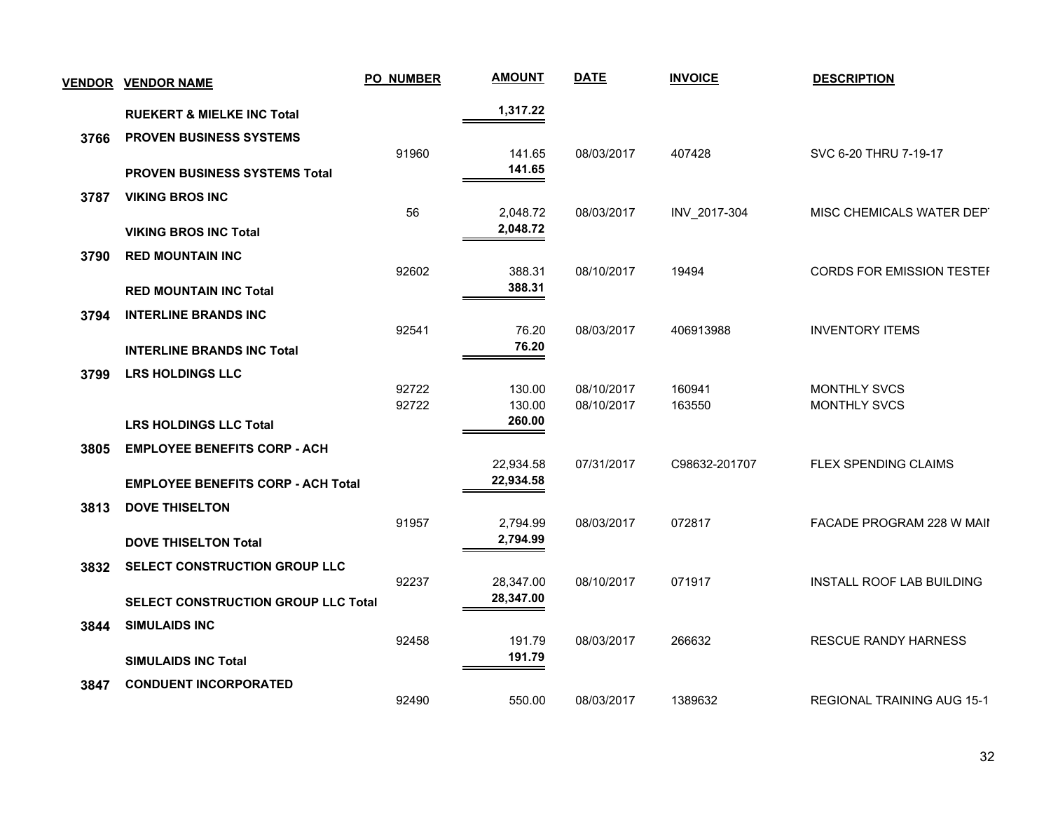| <b>VENDOR</b> | <b>VENDOR NAME</b>                         | <b>PO_NUMBER</b> | <b>AMOUNT</b>        | <b>DATE</b>              | <b>INVOICE</b>   | <b>DESCRIPTION</b>                         |
|---------------|--------------------------------------------|------------------|----------------------|--------------------------|------------------|--------------------------------------------|
|               | <b>RUEKERT &amp; MIELKE INC Total</b>      |                  | 1,317.22             |                          |                  |                                            |
| 3766          | <b>PROVEN BUSINESS SYSTEMS</b>             |                  |                      |                          |                  |                                            |
|               | <b>PROVEN BUSINESS SYSTEMS Total</b>       | 91960            | 141.65<br>141.65     | 08/03/2017               | 407428           | SVC 6-20 THRU 7-19-17                      |
| 3787          | <b>VIKING BROS INC</b>                     |                  |                      |                          |                  |                                            |
|               | <b>VIKING BROS INC Total</b>               | 56               | 2,048.72<br>2,048.72 | 08/03/2017               | INV_2017-304     | MISC CHEMICALS WATER DEPT                  |
| 3790          | <b>RED MOUNTAIN INC</b>                    |                  |                      |                          |                  |                                            |
|               |                                            | 92602            | 388.31<br>388.31     | 08/10/2017               | 19494            | <b>CORDS FOR EMISSION TESTEF</b>           |
|               | <b>RED MOUNTAIN INC Total</b>              |                  |                      |                          |                  |                                            |
| 3794          | <b>INTERLINE BRANDS INC</b>                | 92541            | 76.20                | 08/03/2017               | 406913988        | <b>INVENTORY ITEMS</b>                     |
|               | <b>INTERLINE BRANDS INC Total</b>          |                  | 76.20                |                          |                  |                                            |
| 3799          | <b>LRS HOLDINGS LLC</b>                    |                  |                      |                          |                  |                                            |
|               |                                            | 92722<br>92722   | 130.00<br>130.00     | 08/10/2017<br>08/10/2017 | 160941<br>163550 | <b>MONTHLY SVCS</b><br><b>MONTHLY SVCS</b> |
|               | <b>LRS HOLDINGS LLC Total</b>              |                  | 260.00               |                          |                  |                                            |
| 3805          | <b>EMPLOYEE BENEFITS CORP - ACH</b>        |                  |                      |                          |                  |                                            |
|               |                                            |                  | 22,934.58            | 07/31/2017               | C98632-201707    | FLEX SPENDING CLAIMS                       |
|               | <b>EMPLOYEE BENEFITS CORP - ACH Total</b>  |                  | 22,934.58            |                          |                  |                                            |
| 3813          | <b>DOVE THISELTON</b>                      | 91957            | 2,794.99             | 08/03/2017               | 072817           | <b>FACADE PROGRAM 228 W MAIL</b>           |
|               | <b>DOVE THISELTON Total</b>                |                  | 2,794.99             |                          |                  |                                            |
| 3832          | SELECT CONSTRUCTION GROUP LLC              |                  |                      |                          |                  |                                            |
|               |                                            | 92237            | 28,347.00            | 08/10/2017               | 071917           | INSTALL ROOF LAB BUILDING                  |
|               | <b>SELECT CONSTRUCTION GROUP LLC Total</b> |                  | 28,347.00            |                          |                  |                                            |
| 3844          | <b>SIMULAIDS INC</b>                       |                  |                      |                          |                  |                                            |
|               | <b>SIMULAIDS INC Total</b>                 | 92458            | 191.79<br>191.79     | 08/03/2017               | 266632           | <b>RESCUE RANDY HARNESS</b>                |
| 3847          | <b>CONDUENT INCORPORATED</b>               |                  |                      |                          |                  |                                            |
|               |                                            | 92490            | 550.00               | 08/03/2017               | 1389632          | REGIONAL TRAINING AUG 15-1                 |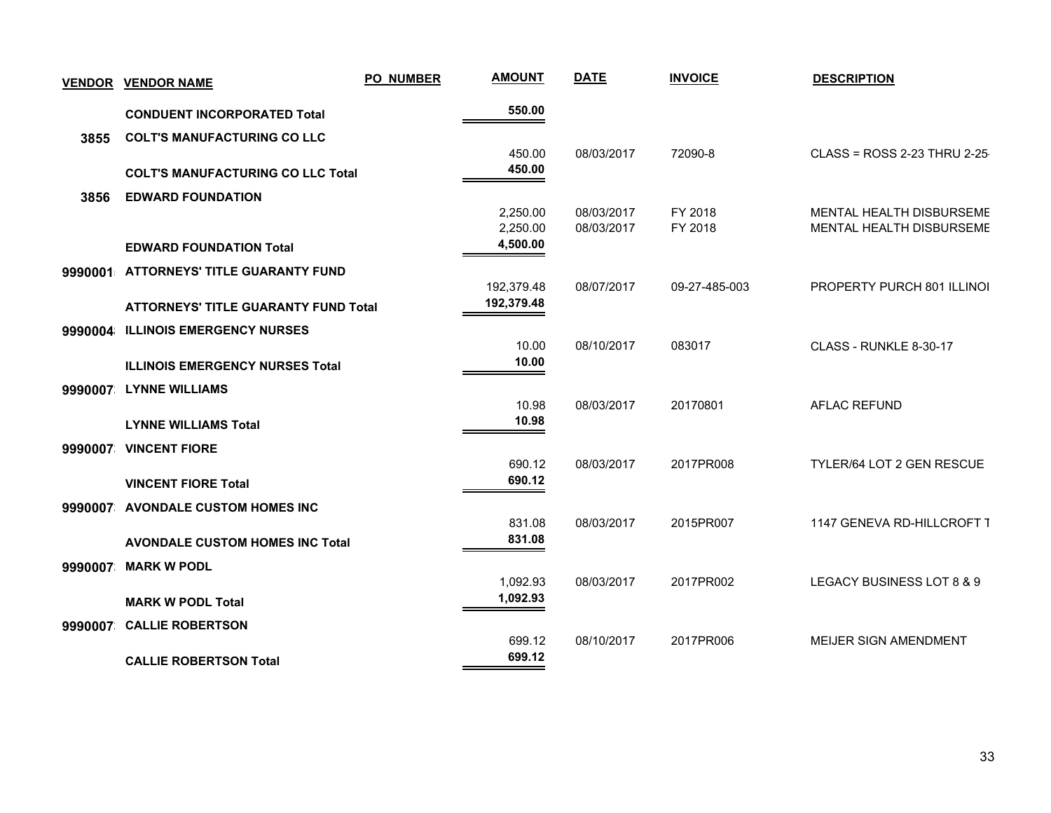| <b>VENDOR</b> | <b>VENDOR NAME</b>                          | PO_NUMBER | <b>AMOUNT</b>        | <b>DATE</b> | <b>INVOICE</b> | <b>DESCRIPTION</b>           |
|---------------|---------------------------------------------|-----------|----------------------|-------------|----------------|------------------------------|
|               | <b>CONDUENT INCORPORATED Total</b>          |           | 550.00               |             |                |                              |
| 3855          | <b>COLT'S MANUFACTURING CO LLC</b>          |           |                      |             |                |                              |
|               | <b>COLT'S MANUFACTURING CO LLC Total</b>    |           | 450.00<br>450.00     | 08/03/2017  | 72090-8        | CLASS = ROSS 2-23 THRU 2-25  |
| 3856          | <b>EDWARD FOUNDATION</b>                    |           |                      |             |                |                              |
|               |                                             |           | 2,250.00             | 08/03/2017  | FY 2018        | MENTAL HEALTH DISBURSEME     |
|               | <b>EDWARD FOUNDATION Total</b>              |           | 2,250.00<br>4,500.00 | 08/03/2017  | FY 2018        | MENTAL HEALTH DISBURSEME     |
|               | 9990001 ATTORNEYS' TITLE GUARANTY FUND      |           |                      |             |                |                              |
|               |                                             |           | 192,379.48           | 08/07/2017  | 09-27-485-003  | PROPERTY PURCH 801 ILLINOI   |
|               | <b>ATTORNEYS' TITLE GUARANTY FUND Total</b> |           | 192,379.48           |             |                |                              |
| 9990004       | <b>ILLINOIS EMERGENCY NURSES</b>            |           |                      |             |                |                              |
|               | <b>ILLINOIS EMERGENCY NURSES Total</b>      |           | 10.00<br>10.00       | 08/10/2017  | 083017         | CLASS - RUNKLE 8-30-17       |
|               | 9990007 LYNNE WILLIAMS                      |           |                      |             |                |                              |
|               |                                             |           | 10.98                | 08/03/2017  | 20170801       | <b>AFLAC REFUND</b>          |
|               | <b>LYNNE WILLIAMS Total</b>                 |           | 10.98                |             |                |                              |
|               | 9990007 VINCENT FIORE                       |           | 690.12               | 08/03/2017  | 2017PR008      | TYLER/64 LOT 2 GEN RESCUE    |
|               | <b>VINCENT FIORE Total</b>                  |           | 690.12               |             |                |                              |
|               | 9990007 AVONDALE CUSTOM HOMES INC           |           |                      |             |                |                              |
|               |                                             |           | 831.08               | 08/03/2017  | 2015PR007      | 1147 GENEVA RD-HILLCROFT T   |
|               | <b>AVONDALE CUSTOM HOMES INC Total</b>      |           | 831.08               |             |                |                              |
| 9990007       | <b>MARK W PODL</b>                          |           | 1,092.93             | 08/03/2017  | 2017PR002      | LEGACY BUSINESS LOT 8 & 9    |
|               | <b>MARK W PODL Total</b>                    |           | 1,092.93             |             |                |                              |
|               | 9990007 CALLIE ROBERTSON                    |           |                      |             |                |                              |
|               |                                             |           | 699.12               | 08/10/2017  | 2017PR006      | <b>MEIJER SIGN AMENDMENT</b> |
|               | <b>CALLIE ROBERTSON Total</b>               |           | 699.12               |             |                |                              |